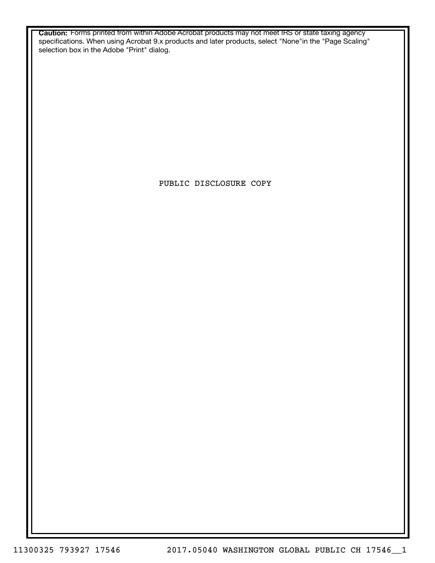**Caution:** Forms printed from within Adobe Acrobat products may not meet IRS or state taxing agency specifications. When using Acrobat 9.x products and later products, select "None"in the "Page Scaling" selection box in the Adobe "Print" dialog.

PUBLIC DISCLOSURE COPY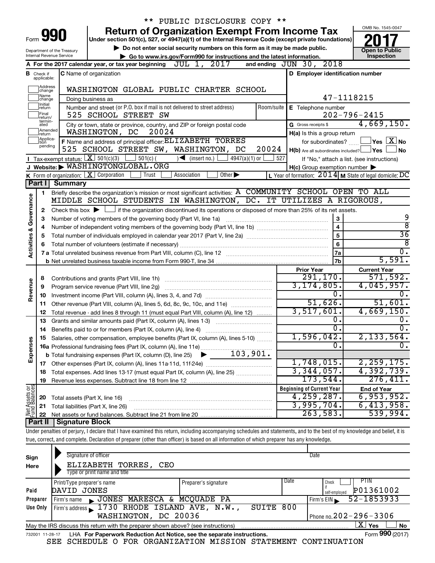|                                                                                                                    |                                  |                                                                                                                                                | PUBLIC DISCLOSURE COPY **                                                                                                                                                  |            |                                                     |                                                           |  |  |  |  |  |  |
|--------------------------------------------------------------------------------------------------------------------|----------------------------------|------------------------------------------------------------------------------------------------------------------------------------------------|----------------------------------------------------------------------------------------------------------------------------------------------------------------------------|------------|-----------------------------------------------------|-----------------------------------------------------------|--|--|--|--|--|--|
|                                                                                                                    |                                  |                                                                                                                                                | <b>Return of Organization Exempt From Income Tax</b>                                                                                                                       |            |                                                     | OMB No. 1545-0047                                         |  |  |  |  |  |  |
| Form                                                                                                               |                                  | 990                                                                                                                                            | Under section 501(c), 527, or 4947(a)(1) of the Internal Revenue Code (except private foundations)                                                                         |            |                                                     |                                                           |  |  |  |  |  |  |
|                                                                                                                    |                                  | Department of the Treasury                                                                                                                     | Do not enter social security numbers on this form as it may be made public.                                                                                                |            |                                                     | <b>Open to Public</b>                                     |  |  |  |  |  |  |
|                                                                                                                    |                                  | <b>Internal Revenue Service</b>                                                                                                                | Go to www.irs.gov/Form990 for instructions and the latest information.                                                                                                     |            |                                                     | Inspection                                                |  |  |  |  |  |  |
|                                                                                                                    |                                  |                                                                                                                                                | A For the 2017 calendar year, or tax year beginning $JUL$ 1, $2017$                                                                                                        |            | and ending JUN 30, 2018                             |                                                           |  |  |  |  |  |  |
|                                                                                                                    | <b>B</b> Check if<br>applicable: |                                                                                                                                                | <b>C</b> Name of organization                                                                                                                                              |            | D Employer identification number                    |                                                           |  |  |  |  |  |  |
|                                                                                                                    |                                  |                                                                                                                                                |                                                                                                                                                                            |            |                                                     |                                                           |  |  |  |  |  |  |
| Address<br> change<br>WASHINGTON GLOBAL PUBLIC CHARTER SCHOOL<br>Name<br>47-1118215<br>Doing business as<br>change |                                  |                                                                                                                                                |                                                                                                                                                                            |            |                                                     |                                                           |  |  |  |  |  |  |
|                                                                                                                    | Initial<br>return                |                                                                                                                                                | Number and street (or P.O. box if mail is not delivered to street address)                                                                                                 | Room/suite | E Telephone number                                  |                                                           |  |  |  |  |  |  |
|                                                                                                                    | Final<br>return/                 |                                                                                                                                                | 525 SCHOOL STREET SW                                                                                                                                                       |            |                                                     | $202 - 796 - 2415$                                        |  |  |  |  |  |  |
|                                                                                                                    | termin-<br>ated                  |                                                                                                                                                | City or town, state or province, country, and ZIP or foreign postal code                                                                                                   |            | G Gross receipts \$                                 | 4,669,150.                                                |  |  |  |  |  |  |
|                                                                                                                    | Amended<br>return                |                                                                                                                                                | 20024<br>WASHINGTON, DC                                                                                                                                                    |            | H(a) Is this a group return                         |                                                           |  |  |  |  |  |  |
|                                                                                                                    | Applica-<br>tion                 |                                                                                                                                                | F Name and address of principal officer: ELIZABETH TORRES                                                                                                                  |            | for subordinates?                                   | $\overline{\ }$ Yes $\overline{\rm X}$ No                 |  |  |  |  |  |  |
|                                                                                                                    | pending                          |                                                                                                                                                | 525 SCHOOL STREET SW, WASHINGTON, DC                                                                                                                                       | 20024      | $H(b)$ Are all subordinates included? $\Box$ Yes    | No                                                        |  |  |  |  |  |  |
|                                                                                                                    |                                  | <b>I</b> Tax-exempt status: $X \ 501(c)(3)$                                                                                                    | $\frac{1}{2}$ 501(c) (<br>$\sqrt{\phantom{a}}$ (insert no.)<br>4947(a)(1) or $\vert$                                                                                       | 527        |                                                     | If "No," attach a list. (see instructions)                |  |  |  |  |  |  |
|                                                                                                                    |                                  |                                                                                                                                                | J Website: WASHINGTONGLOBAL.ORG                                                                                                                                            |            | $H(c)$ Group exemption number $\blacktriangleright$ |                                                           |  |  |  |  |  |  |
|                                                                                                                    |                                  |                                                                                                                                                | K Form of organization: $X$ Corporation<br>Trust<br>Association<br>Other $\blacktriangleright$                                                                             |            |                                                     | L Year of formation: $2014$ M State of legal domicile: DC |  |  |  |  |  |  |
|                                                                                                                    | Part I                           | Summary                                                                                                                                        |                                                                                                                                                                            |            |                                                     |                                                           |  |  |  |  |  |  |
|                                                                                                                    | 1                                |                                                                                                                                                | Briefly describe the organization's mission or most significant activities: A COMMUNITY SCHOOL OPEN TO ALL                                                                 |            |                                                     |                                                           |  |  |  |  |  |  |
|                                                                                                                    |                                  |                                                                                                                                                | MIDDLE SCHOOL STUDENTS IN WASHINGTON, DC. IT UTILIZES A RIGOROUS,                                                                                                          |            |                                                     |                                                           |  |  |  |  |  |  |
| <b>Activities &amp; Governance</b>                                                                                 | 2                                | Check this box $\blacktriangleright \Box$ if the organization discontinued its operations or disposed of more than 25% of its net assets.<br>3 |                                                                                                                                                                            |            |                                                     |                                                           |  |  |  |  |  |  |
|                                                                                                                    | З                                |                                                                                                                                                | Number of voting members of the governing body (Part VI, line 1a)                                                                                                          |            |                                                     | 9<br>$\overline{8}$                                       |  |  |  |  |  |  |
|                                                                                                                    | 4                                |                                                                                                                                                |                                                                                                                                                                            |            | $\overline{\mathbf{4}}$<br>5                        | $\overline{36}$                                           |  |  |  |  |  |  |
|                                                                                                                    | 5                                |                                                                                                                                                |                                                                                                                                                                            |            | 6                                                   | ८                                                         |  |  |  |  |  |  |
|                                                                                                                    | 6                                |                                                                                                                                                |                                                                                                                                                                            |            | 7a                                                  | $\overline{0}$ .                                          |  |  |  |  |  |  |
|                                                                                                                    |                                  |                                                                                                                                                |                                                                                                                                                                            |            | 7b                                                  | 5,591.                                                    |  |  |  |  |  |  |
|                                                                                                                    |                                  |                                                                                                                                                |                                                                                                                                                                            |            | <b>Prior Year</b>                                   | <b>Current Year</b>                                       |  |  |  |  |  |  |
|                                                                                                                    | 8                                |                                                                                                                                                | Contributions and grants (Part VIII, line 1h)                                                                                                                              |            | 291,170.                                            | 571,592.                                                  |  |  |  |  |  |  |
| Revenue                                                                                                            | 9                                |                                                                                                                                                | Program service revenue (Part VIII, line 2g)                                                                                                                               |            | 3, 174, 805.                                        | 4,045,957.                                                |  |  |  |  |  |  |
|                                                                                                                    | 10                               |                                                                                                                                                |                                                                                                                                                                            |            | 0.                                                  | υ.                                                        |  |  |  |  |  |  |
|                                                                                                                    | 11                               |                                                                                                                                                | Other revenue (Part VIII, column (A), lines 5, 6d, 8c, 9c, 10c, and 11e)                                                                                                   |            | 51,626.                                             | 51,601.                                                   |  |  |  |  |  |  |
|                                                                                                                    | 12                               |                                                                                                                                                | Total revenue - add lines 8 through 11 (must equal Part VIII, column (A), line 12)                                                                                         |            | 3,517,601.                                          | 4,669,150.                                                |  |  |  |  |  |  |
|                                                                                                                    | 13                               |                                                                                                                                                | Grants and similar amounts paid (Part IX, column (A), lines 1-3)                                                                                                           |            | 0.                                                  | υ.                                                        |  |  |  |  |  |  |
|                                                                                                                    | 14                               |                                                                                                                                                | Benefits paid to or for members (Part IX, column (A), line 4)                                                                                                              |            | 0.                                                  | σ.                                                        |  |  |  |  |  |  |
|                                                                                                                    |                                  |                                                                                                                                                | 15 Salaries, other compensation, employee benefits (Part IX, column (A), lines 5-10)                                                                                       |            | 1,596,042.                                          | 2,133,564.                                                |  |  |  |  |  |  |
| Expenses                                                                                                           |                                  |                                                                                                                                                |                                                                                                                                                                            |            | 0.                                                  | о.                                                        |  |  |  |  |  |  |
|                                                                                                                    |                                  |                                                                                                                                                |                                                                                                                                                                            |            |                                                     |                                                           |  |  |  |  |  |  |
|                                                                                                                    |                                  |                                                                                                                                                |                                                                                                                                                                            |            | 1,748,015.                                          | 2, 259, 175.                                              |  |  |  |  |  |  |
|                                                                                                                    | 18                               |                                                                                                                                                | Total expenses. Add lines 13-17 (must equal Part IX, column (A), line 25)                                                                                                  |            | 3,344,057.                                          | 4,392,739.                                                |  |  |  |  |  |  |
|                                                                                                                    | 19                               |                                                                                                                                                |                                                                                                                                                                            |            | 173,544.                                            | 276,411.                                                  |  |  |  |  |  |  |
| Net Assets or                                                                                                      |                                  |                                                                                                                                                |                                                                                                                                                                            |            | <b>Beginning of Current Year</b>                    | <b>End of Year</b>                                        |  |  |  |  |  |  |
|                                                                                                                    | 20                               | Total assets (Part X, line 16)                                                                                                                 |                                                                                                                                                                            |            | 4,259,287.                                          | 6,953,952.                                                |  |  |  |  |  |  |
|                                                                                                                    | 21                               |                                                                                                                                                | Total liabilities (Part X, line 26)                                                                                                                                        |            | 3,995,704.                                          | 6,413,958.                                                |  |  |  |  |  |  |
|                                                                                                                    | 22<br>Part II                    |                                                                                                                                                |                                                                                                                                                                            |            | 263,583.                                            | 539,994.                                                  |  |  |  |  |  |  |
|                                                                                                                    |                                  | <b>Signature Block</b>                                                                                                                         | Under penalties of perjury, I declare that I have examined this return, including accompanying schedules and statements, and to the best of my knowledge and belief, it is |            |                                                     |                                                           |  |  |  |  |  |  |
|                                                                                                                    |                                  |                                                                                                                                                | true, correct, and complete. Declaration of preparer (other than officer) is based on all information of which preparer has any knowledge.                                 |            |                                                     |                                                           |  |  |  |  |  |  |
|                                                                                                                    |                                  |                                                                                                                                                |                                                                                                                                                                            |            |                                                     |                                                           |  |  |  |  |  |  |

| Sign<br>Here    | Signature of officer<br>ELIZABETH TORRES,<br>CEO<br>Type or print name and title  |                      |      | Date                       |  |  |  |  |  |  |
|-----------------|-----------------------------------------------------------------------------------|----------------------|------|----------------------------|--|--|--|--|--|--|
|                 | Print/Type preparer's name                                                        | Preparer's signature | Date | PTIN<br>Check              |  |  |  |  |  |  |
| Paid            | JONES<br>DAVID                                                                    |                      |      | P01361002<br>self-employed |  |  |  |  |  |  |
| Preparer        | JONES MARESCA & MCQUADE PA<br>Firm's name                                         |                      |      | 52-1853933<br>Firm's EIN   |  |  |  |  |  |  |
| Use Only        | Firm's address 1730 RHODE ISLAND AVE, N.W.,                                       | SUITE                | 800  |                            |  |  |  |  |  |  |
|                 | Phone no. $202 - 296 - 3306$<br>WASHINGTON, DC 20036                              |                      |      |                            |  |  |  |  |  |  |
|                 | May the IRS discuss this return with the preparer shown above? (see instructions) |                      |      | $X \mid$<br>Yes<br>No      |  |  |  |  |  |  |
| 732001 11-28-17 | LHA For Paperwork Reduction Act Notice, see the separate instructions.            |                      |      | Form 990 (2017)            |  |  |  |  |  |  |

SEE SCHEDULE O FOR ORGANIZATION MISSION STATEMENT CONTINUATION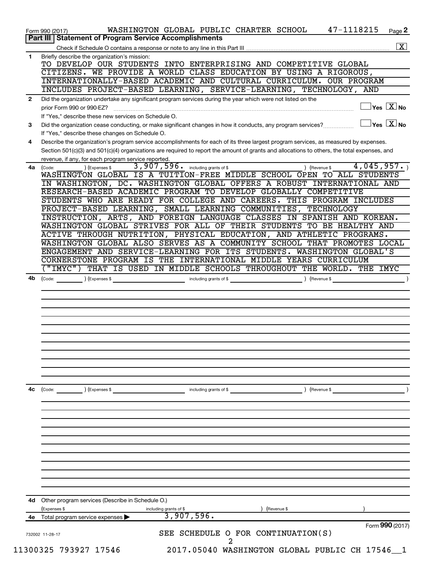| <b>Part III   Statement of Program Service Accomplishments</b><br>Briefly describe the organization's mission:<br>TO DEVELOP OUR STUDENTS INTO ENTERPRISING AND COMPETITIVE GLOBAL<br>CITIZENS. WE PROVIDE A WORLD CLASS EDUCATION BY USING A RIGOROUS,<br>INTERNATIONALLY-BASED ACADEMIC AND CULTURAL CURRICULUM. OUR PROGRAM<br>INCLUDES PROJECT-BASED LEARNING, SERVICE-LEARNING, TECHNOLOGY, AND<br>Did the organization undertake any significant program services during the year which were not listed on the<br>$\exists$ Yes $\boxed{\text{X}}$ No<br>prior Form 990 or 990-EZ?<br>If "Yes," describe these new services on Schedule O.<br>$\mathbb{I}$ Yes $\boxed{\mathrm{X}}$ No<br>Did the organization cease conducting, or make significant changes in how it conducts, any program services?<br>If "Yes," describe these changes on Schedule O.<br>Describe the organization's program service accomplishments for each of its three largest program services, as measured by expenses.<br>Section 501(c)(3) and 501(c)(4) organizations are required to report the amount of grants and allocations to others, the total expenses, and<br>revenue, if any, for each program service reported.<br>3,907,596. including grants of \$<br>) (Revenue \$<br>) (Expenses \$<br>(Code:<br>IN WASHINGTON, DC. WASHINGTON GLOBAL OFFERS A ROBUST INTERNATIONAL AND<br>RESEARCH-BASED ACADEMIC PROGRAM TO DEVELOP GLOBALLY COMPETITIVE<br>STUDENTS WHO ARE READY FOR COLLEGE AND CAREERS. THIS PROGRAM INCLUDES<br>PROJECT-BASED LEARNING, SMALL LEARNING COMMUNITIES, TECHNOLOGY<br>INSTRUCTION, ARTS, AND FOREIGN LANGUAGE CLASSES IN SPANISH AND KOREAN.<br>WASHINGTON GLOBAL STRIVES FOR ALL OF THEIR STUDENTS TO BE HEALTHY AND<br>ACTIVE THROUGH NUTRITION, PHYSICAL EDUCATION, AND ATHLETIC PROGRAMS.<br>WASHINGTON GLOBAL ALSO SERVES AS A COMMUNITY SCHOOL THAT PROMOTES LOCAL<br>ENGAGEMENT AND SERVICE-LEARNING FOR ITS STUDENTS. WASHINGTON GLOBAL'S<br>CORNERSTONE PROGRAM IS THE INTERNATIONAL MIDDLE YEARS CURRICULUM<br>("IMYC")<br>4b<br>(Expenses \$<br>including grants of \$<br>) (Revenue \$<br>(Code:<br>(Code: ) (Expenses \$<br>$\blacksquare$ including grants of \$<br>4d Other program services (Describe in Schedule O.)<br>(Expenses \$<br>Revenue \$<br>including grants of \$<br>3,907,596.<br>Total program service expenses ▶ |                | 47-1118215<br>WASHINGTON GLOBAL PUBLIC CHARTER SCHOOL<br>Page 2<br>Form 990 (2017) |
|-----------------------------------------------------------------------------------------------------------------------------------------------------------------------------------------------------------------------------------------------------------------------------------------------------------------------------------------------------------------------------------------------------------------------------------------------------------------------------------------------------------------------------------------------------------------------------------------------------------------------------------------------------------------------------------------------------------------------------------------------------------------------------------------------------------------------------------------------------------------------------------------------------------------------------------------------------------------------------------------------------------------------------------------------------------------------------------------------------------------------------------------------------------------------------------------------------------------------------------------------------------------------------------------------------------------------------------------------------------------------------------------------------------------------------------------------------------------------------------------------------------------------------------------------------------------------------------------------------------------------------------------------------------------------------------------------------------------------------------------------------------------------------------------------------------------------------------------------------------------------------------------------------------------------------------------------------------------------------------------------------------------------------------------------------------------------------------------------------------------------------------------------------------------------------------------------------------------------------------------------------------------------------------------------------------------------------------------------------------------------|----------------|------------------------------------------------------------------------------------|
|                                                                                                                                                                                                                                                                                                                                                                                                                                                                                                                                                                                                                                                                                                                                                                                                                                                                                                                                                                                                                                                                                                                                                                                                                                                                                                                                                                                                                                                                                                                                                                                                                                                                                                                                                                                                                                                                                                                                                                                                                                                                                                                                                                                                                                                                                                                                                                       |                | $\boxed{\text{X}}$                                                                 |
|                                                                                                                                                                                                                                                                                                                                                                                                                                                                                                                                                                                                                                                                                                                                                                                                                                                                                                                                                                                                                                                                                                                                                                                                                                                                                                                                                                                                                                                                                                                                                                                                                                                                                                                                                                                                                                                                                                                                                                                                                                                                                                                                                                                                                                                                                                                                                                       | 1              |                                                                                    |
|                                                                                                                                                                                                                                                                                                                                                                                                                                                                                                                                                                                                                                                                                                                                                                                                                                                                                                                                                                                                                                                                                                                                                                                                                                                                                                                                                                                                                                                                                                                                                                                                                                                                                                                                                                                                                                                                                                                                                                                                                                                                                                                                                                                                                                                                                                                                                                       |                |                                                                                    |
|                                                                                                                                                                                                                                                                                                                                                                                                                                                                                                                                                                                                                                                                                                                                                                                                                                                                                                                                                                                                                                                                                                                                                                                                                                                                                                                                                                                                                                                                                                                                                                                                                                                                                                                                                                                                                                                                                                                                                                                                                                                                                                                                                                                                                                                                                                                                                                       |                |                                                                                    |
|                                                                                                                                                                                                                                                                                                                                                                                                                                                                                                                                                                                                                                                                                                                                                                                                                                                                                                                                                                                                                                                                                                                                                                                                                                                                                                                                                                                                                                                                                                                                                                                                                                                                                                                                                                                                                                                                                                                                                                                                                                                                                                                                                                                                                                                                                                                                                                       |                |                                                                                    |
|                                                                                                                                                                                                                                                                                                                                                                                                                                                                                                                                                                                                                                                                                                                                                                                                                                                                                                                                                                                                                                                                                                                                                                                                                                                                                                                                                                                                                                                                                                                                                                                                                                                                                                                                                                                                                                                                                                                                                                                                                                                                                                                                                                                                                                                                                                                                                                       |                |                                                                                    |
|                                                                                                                                                                                                                                                                                                                                                                                                                                                                                                                                                                                                                                                                                                                                                                                                                                                                                                                                                                                                                                                                                                                                                                                                                                                                                                                                                                                                                                                                                                                                                                                                                                                                                                                                                                                                                                                                                                                                                                                                                                                                                                                                                                                                                                                                                                                                                                       | $\overline{2}$ |                                                                                    |
|                                                                                                                                                                                                                                                                                                                                                                                                                                                                                                                                                                                                                                                                                                                                                                                                                                                                                                                                                                                                                                                                                                                                                                                                                                                                                                                                                                                                                                                                                                                                                                                                                                                                                                                                                                                                                                                                                                                                                                                                                                                                                                                                                                                                                                                                                                                                                                       |                |                                                                                    |
|                                                                                                                                                                                                                                                                                                                                                                                                                                                                                                                                                                                                                                                                                                                                                                                                                                                                                                                                                                                                                                                                                                                                                                                                                                                                                                                                                                                                                                                                                                                                                                                                                                                                                                                                                                                                                                                                                                                                                                                                                                                                                                                                                                                                                                                                                                                                                                       |                |                                                                                    |
|                                                                                                                                                                                                                                                                                                                                                                                                                                                                                                                                                                                                                                                                                                                                                                                                                                                                                                                                                                                                                                                                                                                                                                                                                                                                                                                                                                                                                                                                                                                                                                                                                                                                                                                                                                                                                                                                                                                                                                                                                                                                                                                                                                                                                                                                                                                                                                       | 3              |                                                                                    |
|                                                                                                                                                                                                                                                                                                                                                                                                                                                                                                                                                                                                                                                                                                                                                                                                                                                                                                                                                                                                                                                                                                                                                                                                                                                                                                                                                                                                                                                                                                                                                                                                                                                                                                                                                                                                                                                                                                                                                                                                                                                                                                                                                                                                                                                                                                                                                                       | 4              |                                                                                    |
|                                                                                                                                                                                                                                                                                                                                                                                                                                                                                                                                                                                                                                                                                                                                                                                                                                                                                                                                                                                                                                                                                                                                                                                                                                                                                                                                                                                                                                                                                                                                                                                                                                                                                                                                                                                                                                                                                                                                                                                                                                                                                                                                                                                                                                                                                                                                                                       |                |                                                                                    |
|                                                                                                                                                                                                                                                                                                                                                                                                                                                                                                                                                                                                                                                                                                                                                                                                                                                                                                                                                                                                                                                                                                                                                                                                                                                                                                                                                                                                                                                                                                                                                                                                                                                                                                                                                                                                                                                                                                                                                                                                                                                                                                                                                                                                                                                                                                                                                                       |                |                                                                                    |
|                                                                                                                                                                                                                                                                                                                                                                                                                                                                                                                                                                                                                                                                                                                                                                                                                                                                                                                                                                                                                                                                                                                                                                                                                                                                                                                                                                                                                                                                                                                                                                                                                                                                                                                                                                                                                                                                                                                                                                                                                                                                                                                                                                                                                                                                                                                                                                       | 4a             | 4,045,957.                                                                         |
|                                                                                                                                                                                                                                                                                                                                                                                                                                                                                                                                                                                                                                                                                                                                                                                                                                                                                                                                                                                                                                                                                                                                                                                                                                                                                                                                                                                                                                                                                                                                                                                                                                                                                                                                                                                                                                                                                                                                                                                                                                                                                                                                                                                                                                                                                                                                                                       |                | WASHINGTON GLOBAL IS A TUITION-FREE MIDDLE SCHOOL OPEN TO ALL STUDENTS             |
|                                                                                                                                                                                                                                                                                                                                                                                                                                                                                                                                                                                                                                                                                                                                                                                                                                                                                                                                                                                                                                                                                                                                                                                                                                                                                                                                                                                                                                                                                                                                                                                                                                                                                                                                                                                                                                                                                                                                                                                                                                                                                                                                                                                                                                                                                                                                                                       |                |                                                                                    |
|                                                                                                                                                                                                                                                                                                                                                                                                                                                                                                                                                                                                                                                                                                                                                                                                                                                                                                                                                                                                                                                                                                                                                                                                                                                                                                                                                                                                                                                                                                                                                                                                                                                                                                                                                                                                                                                                                                                                                                                                                                                                                                                                                                                                                                                                                                                                                                       |                |                                                                                    |
|                                                                                                                                                                                                                                                                                                                                                                                                                                                                                                                                                                                                                                                                                                                                                                                                                                                                                                                                                                                                                                                                                                                                                                                                                                                                                                                                                                                                                                                                                                                                                                                                                                                                                                                                                                                                                                                                                                                                                                                                                                                                                                                                                                                                                                                                                                                                                                       |                |                                                                                    |
|                                                                                                                                                                                                                                                                                                                                                                                                                                                                                                                                                                                                                                                                                                                                                                                                                                                                                                                                                                                                                                                                                                                                                                                                                                                                                                                                                                                                                                                                                                                                                                                                                                                                                                                                                                                                                                                                                                                                                                                                                                                                                                                                                                                                                                                                                                                                                                       |                |                                                                                    |
|                                                                                                                                                                                                                                                                                                                                                                                                                                                                                                                                                                                                                                                                                                                                                                                                                                                                                                                                                                                                                                                                                                                                                                                                                                                                                                                                                                                                                                                                                                                                                                                                                                                                                                                                                                                                                                                                                                                                                                                                                                                                                                                                                                                                                                                                                                                                                                       |                |                                                                                    |
|                                                                                                                                                                                                                                                                                                                                                                                                                                                                                                                                                                                                                                                                                                                                                                                                                                                                                                                                                                                                                                                                                                                                                                                                                                                                                                                                                                                                                                                                                                                                                                                                                                                                                                                                                                                                                                                                                                                                                                                                                                                                                                                                                                                                                                                                                                                                                                       |                |                                                                                    |
|                                                                                                                                                                                                                                                                                                                                                                                                                                                                                                                                                                                                                                                                                                                                                                                                                                                                                                                                                                                                                                                                                                                                                                                                                                                                                                                                                                                                                                                                                                                                                                                                                                                                                                                                                                                                                                                                                                                                                                                                                                                                                                                                                                                                                                                                                                                                                                       |                |                                                                                    |
|                                                                                                                                                                                                                                                                                                                                                                                                                                                                                                                                                                                                                                                                                                                                                                                                                                                                                                                                                                                                                                                                                                                                                                                                                                                                                                                                                                                                                                                                                                                                                                                                                                                                                                                                                                                                                                                                                                                                                                                                                                                                                                                                                                                                                                                                                                                                                                       |                |                                                                                    |
|                                                                                                                                                                                                                                                                                                                                                                                                                                                                                                                                                                                                                                                                                                                                                                                                                                                                                                                                                                                                                                                                                                                                                                                                                                                                                                                                                                                                                                                                                                                                                                                                                                                                                                                                                                                                                                                                                                                                                                                                                                                                                                                                                                                                                                                                                                                                                                       |                |                                                                                    |
|                                                                                                                                                                                                                                                                                                                                                                                                                                                                                                                                                                                                                                                                                                                                                                                                                                                                                                                                                                                                                                                                                                                                                                                                                                                                                                                                                                                                                                                                                                                                                                                                                                                                                                                                                                                                                                                                                                                                                                                                                                                                                                                                                                                                                                                                                                                                                                       |                | THAT IS USED IN MIDDLE SCHOOLS THROUGHOUT THE WORLD. THE IMYC                      |
|                                                                                                                                                                                                                                                                                                                                                                                                                                                                                                                                                                                                                                                                                                                                                                                                                                                                                                                                                                                                                                                                                                                                                                                                                                                                                                                                                                                                                                                                                                                                                                                                                                                                                                                                                                                                                                                                                                                                                                                                                                                                                                                                                                                                                                                                                                                                                                       |                |                                                                                    |
|                                                                                                                                                                                                                                                                                                                                                                                                                                                                                                                                                                                                                                                                                                                                                                                                                                                                                                                                                                                                                                                                                                                                                                                                                                                                                                                                                                                                                                                                                                                                                                                                                                                                                                                                                                                                                                                                                                                                                                                                                                                                                                                                                                                                                                                                                                                                                                       |                |                                                                                    |
|                                                                                                                                                                                                                                                                                                                                                                                                                                                                                                                                                                                                                                                                                                                                                                                                                                                                                                                                                                                                                                                                                                                                                                                                                                                                                                                                                                                                                                                                                                                                                                                                                                                                                                                                                                                                                                                                                                                                                                                                                                                                                                                                                                                                                                                                                                                                                                       |                |                                                                                    |
|                                                                                                                                                                                                                                                                                                                                                                                                                                                                                                                                                                                                                                                                                                                                                                                                                                                                                                                                                                                                                                                                                                                                                                                                                                                                                                                                                                                                                                                                                                                                                                                                                                                                                                                                                                                                                                                                                                                                                                                                                                                                                                                                                                                                                                                                                                                                                                       |                |                                                                                    |
|                                                                                                                                                                                                                                                                                                                                                                                                                                                                                                                                                                                                                                                                                                                                                                                                                                                                                                                                                                                                                                                                                                                                                                                                                                                                                                                                                                                                                                                                                                                                                                                                                                                                                                                                                                                                                                                                                                                                                                                                                                                                                                                                                                                                                                                                                                                                                                       |                |                                                                                    |
|                                                                                                                                                                                                                                                                                                                                                                                                                                                                                                                                                                                                                                                                                                                                                                                                                                                                                                                                                                                                                                                                                                                                                                                                                                                                                                                                                                                                                                                                                                                                                                                                                                                                                                                                                                                                                                                                                                                                                                                                                                                                                                                                                                                                                                                                                                                                                                       |                |                                                                                    |
|                                                                                                                                                                                                                                                                                                                                                                                                                                                                                                                                                                                                                                                                                                                                                                                                                                                                                                                                                                                                                                                                                                                                                                                                                                                                                                                                                                                                                                                                                                                                                                                                                                                                                                                                                                                                                                                                                                                                                                                                                                                                                                                                                                                                                                                                                                                                                                       |                |                                                                                    |
|                                                                                                                                                                                                                                                                                                                                                                                                                                                                                                                                                                                                                                                                                                                                                                                                                                                                                                                                                                                                                                                                                                                                                                                                                                                                                                                                                                                                                                                                                                                                                                                                                                                                                                                                                                                                                                                                                                                                                                                                                                                                                                                                                                                                                                                                                                                                                                       | 4c             |                                                                                    |
|                                                                                                                                                                                                                                                                                                                                                                                                                                                                                                                                                                                                                                                                                                                                                                                                                                                                                                                                                                                                                                                                                                                                                                                                                                                                                                                                                                                                                                                                                                                                                                                                                                                                                                                                                                                                                                                                                                                                                                                                                                                                                                                                                                                                                                                                                                                                                                       |                |                                                                                    |
|                                                                                                                                                                                                                                                                                                                                                                                                                                                                                                                                                                                                                                                                                                                                                                                                                                                                                                                                                                                                                                                                                                                                                                                                                                                                                                                                                                                                                                                                                                                                                                                                                                                                                                                                                                                                                                                                                                                                                                                                                                                                                                                                                                                                                                                                                                                                                                       |                |                                                                                    |
|                                                                                                                                                                                                                                                                                                                                                                                                                                                                                                                                                                                                                                                                                                                                                                                                                                                                                                                                                                                                                                                                                                                                                                                                                                                                                                                                                                                                                                                                                                                                                                                                                                                                                                                                                                                                                                                                                                                                                                                                                                                                                                                                                                                                                                                                                                                                                                       |                |                                                                                    |
|                                                                                                                                                                                                                                                                                                                                                                                                                                                                                                                                                                                                                                                                                                                                                                                                                                                                                                                                                                                                                                                                                                                                                                                                                                                                                                                                                                                                                                                                                                                                                                                                                                                                                                                                                                                                                                                                                                                                                                                                                                                                                                                                                                                                                                                                                                                                                                       |                |                                                                                    |
|                                                                                                                                                                                                                                                                                                                                                                                                                                                                                                                                                                                                                                                                                                                                                                                                                                                                                                                                                                                                                                                                                                                                                                                                                                                                                                                                                                                                                                                                                                                                                                                                                                                                                                                                                                                                                                                                                                                                                                                                                                                                                                                                                                                                                                                                                                                                                                       |                |                                                                                    |
|                                                                                                                                                                                                                                                                                                                                                                                                                                                                                                                                                                                                                                                                                                                                                                                                                                                                                                                                                                                                                                                                                                                                                                                                                                                                                                                                                                                                                                                                                                                                                                                                                                                                                                                                                                                                                                                                                                                                                                                                                                                                                                                                                                                                                                                                                                                                                                       |                |                                                                                    |
|                                                                                                                                                                                                                                                                                                                                                                                                                                                                                                                                                                                                                                                                                                                                                                                                                                                                                                                                                                                                                                                                                                                                                                                                                                                                                                                                                                                                                                                                                                                                                                                                                                                                                                                                                                                                                                                                                                                                                                                                                                                                                                                                                                                                                                                                                                                                                                       |                |                                                                                    |
|                                                                                                                                                                                                                                                                                                                                                                                                                                                                                                                                                                                                                                                                                                                                                                                                                                                                                                                                                                                                                                                                                                                                                                                                                                                                                                                                                                                                                                                                                                                                                                                                                                                                                                                                                                                                                                                                                                                                                                                                                                                                                                                                                                                                                                                                                                                                                                       |                |                                                                                    |
|                                                                                                                                                                                                                                                                                                                                                                                                                                                                                                                                                                                                                                                                                                                                                                                                                                                                                                                                                                                                                                                                                                                                                                                                                                                                                                                                                                                                                                                                                                                                                                                                                                                                                                                                                                                                                                                                                                                                                                                                                                                                                                                                                                                                                                                                                                                                                                       |                |                                                                                    |
|                                                                                                                                                                                                                                                                                                                                                                                                                                                                                                                                                                                                                                                                                                                                                                                                                                                                                                                                                                                                                                                                                                                                                                                                                                                                                                                                                                                                                                                                                                                                                                                                                                                                                                                                                                                                                                                                                                                                                                                                                                                                                                                                                                                                                                                                                                                                                                       |                |                                                                                    |
|                                                                                                                                                                                                                                                                                                                                                                                                                                                                                                                                                                                                                                                                                                                                                                                                                                                                                                                                                                                                                                                                                                                                                                                                                                                                                                                                                                                                                                                                                                                                                                                                                                                                                                                                                                                                                                                                                                                                                                                                                                                                                                                                                                                                                                                                                                                                                                       |                |                                                                                    |
|                                                                                                                                                                                                                                                                                                                                                                                                                                                                                                                                                                                                                                                                                                                                                                                                                                                                                                                                                                                                                                                                                                                                                                                                                                                                                                                                                                                                                                                                                                                                                                                                                                                                                                                                                                                                                                                                                                                                                                                                                                                                                                                                                                                                                                                                                                                                                                       |                |                                                                                    |
|                                                                                                                                                                                                                                                                                                                                                                                                                                                                                                                                                                                                                                                                                                                                                                                                                                                                                                                                                                                                                                                                                                                                                                                                                                                                                                                                                                                                                                                                                                                                                                                                                                                                                                                                                                                                                                                                                                                                                                                                                                                                                                                                                                                                                                                                                                                                                                       |                |                                                                                    |
|                                                                                                                                                                                                                                                                                                                                                                                                                                                                                                                                                                                                                                                                                                                                                                                                                                                                                                                                                                                                                                                                                                                                                                                                                                                                                                                                                                                                                                                                                                                                                                                                                                                                                                                                                                                                                                                                                                                                                                                                                                                                                                                                                                                                                                                                                                                                                                       | 4е             |                                                                                    |
|                                                                                                                                                                                                                                                                                                                                                                                                                                                                                                                                                                                                                                                                                                                                                                                                                                                                                                                                                                                                                                                                                                                                                                                                                                                                                                                                                                                                                                                                                                                                                                                                                                                                                                                                                                                                                                                                                                                                                                                                                                                                                                                                                                                                                                                                                                                                                                       |                | Form 990 (2017)                                                                    |
| 732002 11-28-17                                                                                                                                                                                                                                                                                                                                                                                                                                                                                                                                                                                                                                                                                                                                                                                                                                                                                                                                                                                                                                                                                                                                                                                                                                                                                                                                                                                                                                                                                                                                                                                                                                                                                                                                                                                                                                                                                                                                                                                                                                                                                                                                                                                                                                                                                                                                                       |                | SEE SCHEDULE O FOR CONTINUATION(S)                                                 |
| 11300325 793927 17546                                                                                                                                                                                                                                                                                                                                                                                                                                                                                                                                                                                                                                                                                                                                                                                                                                                                                                                                                                                                                                                                                                                                                                                                                                                                                                                                                                                                                                                                                                                                                                                                                                                                                                                                                                                                                                                                                                                                                                                                                                                                                                                                                                                                                                                                                                                                                 |                | 2017.05040 WASHINGTON GLOBAL PUBLIC CH 17546_1                                     |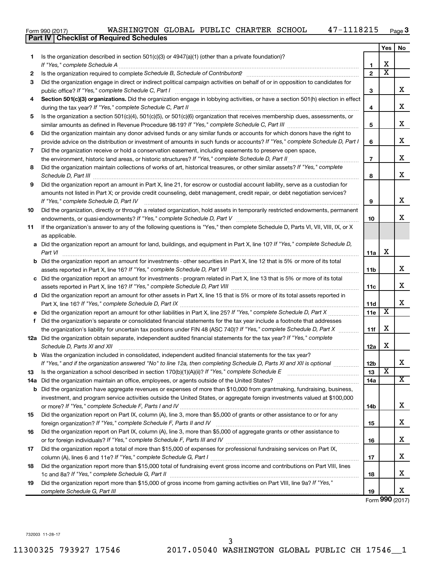| Form 990 (2017) |  | WASHINGTON GLOBAL PUBLIC CHARTER SCHOOL |  |  |  |  | 47-1118215 | Page |
|-----------------|--|-----------------------------------------|--|--|--|--|------------|------|
|-----------------|--|-----------------------------------------|--|--|--|--|------------|------|

|     | Part IV   Checklist of Required Schedules                                                                                                                                                                                                                                                                                                                            |                |                         |    |
|-----|----------------------------------------------------------------------------------------------------------------------------------------------------------------------------------------------------------------------------------------------------------------------------------------------------------------------------------------------------------------------|----------------|-------------------------|----|
|     |                                                                                                                                                                                                                                                                                                                                                                      |                | Yes                     | No |
| 1   | Is the organization described in section 501(c)(3) or $4947(a)(1)$ (other than a private foundation)?                                                                                                                                                                                                                                                                |                |                         |    |
|     |                                                                                                                                                                                                                                                                                                                                                                      | 1              | X                       |    |
| 2   |                                                                                                                                                                                                                                                                                                                                                                      | $\overline{2}$ | $\overline{\text{x}}$   |    |
| 3   | Did the organization engage in direct or indirect political campaign activities on behalf of or in opposition to candidates for                                                                                                                                                                                                                                      |                |                         |    |
|     |                                                                                                                                                                                                                                                                                                                                                                      | 3              |                         | x  |
| 4   | Section 501(c)(3) organizations. Did the organization engage in lobbying activities, or have a section 501(h) election in effect                                                                                                                                                                                                                                     |                |                         |    |
|     |                                                                                                                                                                                                                                                                                                                                                                      | 4              |                         | x  |
| 5   | Is the organization a section 501(c)(4), 501(c)(5), or 501(c)(6) organization that receives membership dues, assessments, or                                                                                                                                                                                                                                         |                |                         |    |
|     |                                                                                                                                                                                                                                                                                                                                                                      | 5              |                         | х  |
| 6   | Did the organization maintain any donor advised funds or any similar funds or accounts for which donors have the right to                                                                                                                                                                                                                                            |                |                         |    |
|     | provide advice on the distribution or investment of amounts in such funds or accounts? If "Yes," complete Schedule D, Part I                                                                                                                                                                                                                                         | 6              |                         | х  |
| 7   | Did the organization receive or hold a conservation easement, including easements to preserve open space,                                                                                                                                                                                                                                                            |                |                         |    |
|     | the environment, historic land areas, or historic structures? If "Yes," complete Schedule D, Part II                                                                                                                                                                                                                                                                 | $\overline{7}$ |                         | х  |
| 8   | Did the organization maintain collections of works of art, historical treasures, or other similar assets? If "Yes," complete                                                                                                                                                                                                                                         |                |                         |    |
|     |                                                                                                                                                                                                                                                                                                                                                                      | 8              |                         | х  |
| 9   | Schedule D, Part III <b>Marting Community</b> Contract of the Community Contract of the Community Contract of the Community Contract of the Community Contract of the Community Contract of the Community Community Community Contr<br>Did the organization report an amount in Part X, line 21, for escrow or custodial account liability, serve as a custodian for |                |                         |    |
|     | amounts not listed in Part X; or provide credit counseling, debt management, credit repair, or debt negotiation services?                                                                                                                                                                                                                                            |                |                         |    |
|     | If "Yes," complete Schedule D, Part IV                                                                                                                                                                                                                                                                                                                               | 9              |                         | х  |
| 10  | Did the organization, directly or through a related organization, hold assets in temporarily restricted endowments, permanent                                                                                                                                                                                                                                        |                |                         |    |
|     |                                                                                                                                                                                                                                                                                                                                                                      | 10             |                         | х  |
| 11  | If the organization's answer to any of the following questions is "Yes," then complete Schedule D, Parts VI, VII, VIII, IX, or X                                                                                                                                                                                                                                     |                |                         |    |
|     | as applicable.                                                                                                                                                                                                                                                                                                                                                       |                |                         |    |
|     | a Did the organization report an amount for land, buildings, and equipment in Part X, line 10? If "Yes," complete Schedule D,                                                                                                                                                                                                                                        |                |                         |    |
|     |                                                                                                                                                                                                                                                                                                                                                                      |                | X                       |    |
|     | Part VI                                                                                                                                                                                                                                                                                                                                                              | 11a            |                         |    |
|     | <b>b</b> Did the organization report an amount for investments - other securities in Part X, line 12 that is 5% or more of its total                                                                                                                                                                                                                                 |                |                         | x  |
|     |                                                                                                                                                                                                                                                                                                                                                                      | 11b            |                         |    |
|     | c Did the organization report an amount for investments - program related in Part X, line 13 that is 5% or more of its total                                                                                                                                                                                                                                         |                |                         | x  |
|     |                                                                                                                                                                                                                                                                                                                                                                      | 11c            |                         |    |
|     | d Did the organization report an amount for other assets in Part X, line 15 that is 5% or more of its total assets reported in                                                                                                                                                                                                                                       |                |                         | х  |
|     |                                                                                                                                                                                                                                                                                                                                                                      | 11d            | $\overline{\textbf{x}}$ |    |
|     | e Did the organization report an amount for other liabilities in Part X, line 25? If "Yes," complete Schedule D, Part X                                                                                                                                                                                                                                              | 11e            |                         |    |
| f.  | Did the organization's separate or consolidated financial statements for the tax year include a footnote that addresses                                                                                                                                                                                                                                              |                | X                       |    |
|     | the organization's liability for uncertain tax positions under FIN 48 (ASC 740)? If "Yes," complete Schedule D, Part X                                                                                                                                                                                                                                               | 11f            |                         |    |
|     | 12a Did the organization obtain separate, independent audited financial statements for the tax year? If "Yes," complete                                                                                                                                                                                                                                              |                | X                       |    |
|     | Schedule D, Parts XI and XII                                                                                                                                                                                                                                                                                                                                         | 12a            |                         |    |
| b   | Was the organization included in consolidated, independent audited financial statements for the tax year?                                                                                                                                                                                                                                                            |                |                         | х  |
|     | If "Yes," and if the organization answered "No" to line 12a, then completing Schedule D, Parts XI and XII is optional                                                                                                                                                                                                                                                | 12b            | $\overline{\textbf{x}}$ |    |
| 13  |                                                                                                                                                                                                                                                                                                                                                                      | 13             |                         | х  |
| 14a |                                                                                                                                                                                                                                                                                                                                                                      | 14a            |                         |    |
| b   | Did the organization have aggregate revenues or expenses of more than \$10,000 from grantmaking, fundraising, business,                                                                                                                                                                                                                                              |                |                         |    |
|     | investment, and program service activities outside the United States, or aggregate foreign investments valued at \$100,000                                                                                                                                                                                                                                           |                |                         | x  |
|     |                                                                                                                                                                                                                                                                                                                                                                      | 14b            |                         |    |
| 15  | Did the organization report on Part IX, column (A), line 3, more than \$5,000 of grants or other assistance to or for any                                                                                                                                                                                                                                            |                |                         |    |
|     |                                                                                                                                                                                                                                                                                                                                                                      | 15             |                         | х  |
| 16  | Did the organization report on Part IX, column (A), line 3, more than \$5,000 of aggregate grants or other assistance to                                                                                                                                                                                                                                             |                |                         |    |
|     |                                                                                                                                                                                                                                                                                                                                                                      | 16             |                         | х  |
| 17  | Did the organization report a total of more than \$15,000 of expenses for professional fundraising services on Part IX,                                                                                                                                                                                                                                              |                |                         |    |
|     |                                                                                                                                                                                                                                                                                                                                                                      | 17             |                         | х  |
| 18  | Did the organization report more than \$15,000 total of fundraising event gross income and contributions on Part VIII, lines                                                                                                                                                                                                                                         |                |                         |    |
|     |                                                                                                                                                                                                                                                                                                                                                                      | 18             |                         | х  |
| 19  | Did the organization report more than \$15,000 of gross income from gaming activities on Part VIII, line 9a? If "Yes,"                                                                                                                                                                                                                                               |                |                         |    |
|     |                                                                                                                                                                                                                                                                                                                                                                      | 19             |                         | x  |

Form (2017) **990**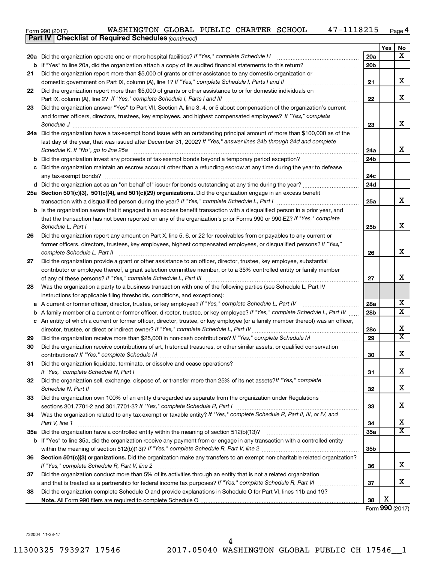Form 990 (2017) Page WASHINGTON GLOBAL PUBLIC CHARTER SCHOOL 47-1118215

|    | <b>Part IV   Checklist of Required Schedules (continued)</b>                                                                                                                                                                                        |                 |     |                         |
|----|-----------------------------------------------------------------------------------------------------------------------------------------------------------------------------------------------------------------------------------------------------|-----------------|-----|-------------------------|
|    |                                                                                                                                                                                                                                                     |                 | Yes | No.                     |
|    | 20a Did the organization operate one or more hospital facilities? If "Yes," complete Schedule H                                                                                                                                                     | 20a             |     | $\overline{\mathbf{X}}$ |
| b  |                                                                                                                                                                                                                                                     | 20 <sub>b</sub> |     |                         |
| 21 | Did the organization report more than \$5,000 of grants or other assistance to any domestic organization or                                                                                                                                         |                 |     |                         |
|    |                                                                                                                                                                                                                                                     | 21              |     | x                       |
| 22 | Did the organization report more than \$5,000 of grants or other assistance to or for domestic individuals on                                                                                                                                       |                 |     |                         |
|    |                                                                                                                                                                                                                                                     | 22              |     | x                       |
| 23 | Did the organization answer "Yes" to Part VII, Section A, line 3, 4, or 5 about compensation of the organization's current                                                                                                                          |                 |     |                         |
|    | and former officers, directors, trustees, key employees, and highest compensated employees? If "Yes," complete                                                                                                                                      |                 |     |                         |
|    | Schedule J                                                                                                                                                                                                                                          | 23              |     | x                       |
|    | 24a Did the organization have a tax-exempt bond issue with an outstanding principal amount of more than \$100,000 as of the                                                                                                                         |                 |     |                         |
|    | last day of the year, that was issued after December 31, 2002? If "Yes," answer lines 24b through 24d and complete                                                                                                                                  |                 |     |                         |
|    | Schedule K. If "No", go to line 25a                                                                                                                                                                                                                 | 24a             |     | x                       |
|    |                                                                                                                                                                                                                                                     | 24 <sub>b</sub> |     |                         |
|    | Did the organization maintain an escrow account other than a refunding escrow at any time during the year to defease                                                                                                                                |                 |     |                         |
|    |                                                                                                                                                                                                                                                     | 24c             |     |                         |
|    |                                                                                                                                                                                                                                                     | 24d             |     |                         |
|    | 25a Section 501(c)(3), 501(c)(4), and 501(c)(29) organizations. Did the organization engage in an excess benefit                                                                                                                                    | 25a             |     | x                       |
|    |                                                                                                                                                                                                                                                     |                 |     |                         |
| b  | Is the organization aware that it engaged in an excess benefit transaction with a disqualified person in a prior year, and<br>that the transaction has not been reported on any of the organization's prior Forms 990 or 990-EZ? If "Yes," complete |                 |     |                         |
|    | Schedule L, Part I                                                                                                                                                                                                                                  | 25b             |     | x                       |
| 26 | Did the organization report any amount on Part X, line 5, 6, or 22 for receivables from or payables to any current or                                                                                                                               |                 |     |                         |
|    | former officers, directors, trustees, key employees, highest compensated employees, or disqualified persons? If "Yes,"                                                                                                                              |                 |     |                         |
|    | complete Schedule L, Part II                                                                                                                                                                                                                        | 26              |     | x                       |
| 27 | Did the organization provide a grant or other assistance to an officer, director, trustee, key employee, substantial                                                                                                                                |                 |     |                         |
|    | contributor or employee thereof, a grant selection committee member, or to a 35% controlled entity or family member                                                                                                                                 |                 |     |                         |
|    |                                                                                                                                                                                                                                                     | 27              |     | x                       |
| 28 | Was the organization a party to a business transaction with one of the following parties (see Schedule L, Part IV                                                                                                                                   |                 |     |                         |
|    | instructions for applicable filing thresholds, conditions, and exceptions):                                                                                                                                                                         |                 |     |                         |
| а  | A current or former officer, director, trustee, or key employee? If "Yes," complete Schedule L, Part IV                                                                                                                                             | 28a             |     | x                       |
| b  | A family member of a current or former officer, director, trustee, or key employee? If "Yes," complete Schedule L, Part IV                                                                                                                          | 28 <sub>b</sub> |     | $\overline{\text{X}}$   |
|    | c An entity of which a current or former officer, director, trustee, or key employee (or a family member thereof) was an officer,                                                                                                                   |                 |     |                         |
|    | director, trustee, or direct or indirect owner? If "Yes," complete Schedule L, Part IV                                                                                                                                                              | 28c             |     | x                       |
| 29 |                                                                                                                                                                                                                                                     | 29              |     | $\overline{\mathtt{x}}$ |
| 30 | Did the organization receive contributions of art, historical treasures, or other similar assets, or qualified conservation                                                                                                                         |                 |     |                         |
|    |                                                                                                                                                                                                                                                     | 30              |     | Y<br>4                  |
| 31 | Did the organization liquidate, terminate, or dissolve and cease operations?                                                                                                                                                                        |                 |     |                         |
|    |                                                                                                                                                                                                                                                     | 31              |     | x                       |
| 32 | Did the organization sell, exchange, dispose of, or transfer more than 25% of its net assets? If "Yes," complete                                                                                                                                    |                 |     |                         |
|    |                                                                                                                                                                                                                                                     | 32              |     | x                       |
| 33 | Did the organization own 100% of an entity disregarded as separate from the organization under Regulations                                                                                                                                          |                 |     |                         |
|    |                                                                                                                                                                                                                                                     | 33              |     | x                       |
| 34 | Was the organization related to any tax-exempt or taxable entity? If "Yes," complete Schedule R, Part II, III, or IV, and                                                                                                                           |                 |     | x                       |
|    | Part V, line 1                                                                                                                                                                                                                                      | 34<br>35a       |     | $\overline{\mathtt{x}}$ |
|    |                                                                                                                                                                                                                                                     |                 |     |                         |
|    | b If "Yes" to line 35a, did the organization receive any payment from or engage in any transaction with a controlled entity                                                                                                                         | 35b             |     |                         |
| 36 | Section 501(c)(3) organizations. Did the organization make any transfers to an exempt non-charitable related organization?                                                                                                                          |                 |     |                         |
|    |                                                                                                                                                                                                                                                     | 36              |     | x                       |
| 37 | Did the organization conduct more than 5% of its activities through an entity that is not a related organization                                                                                                                                    |                 |     |                         |
|    |                                                                                                                                                                                                                                                     | 37              |     | x                       |
| 38 | Did the organization complete Schedule O and provide explanations in Schedule O for Part VI, lines 11b and 19?                                                                                                                                      |                 |     |                         |
|    |                                                                                                                                                                                                                                                     | 38              | х   |                         |

Form (2017) **990**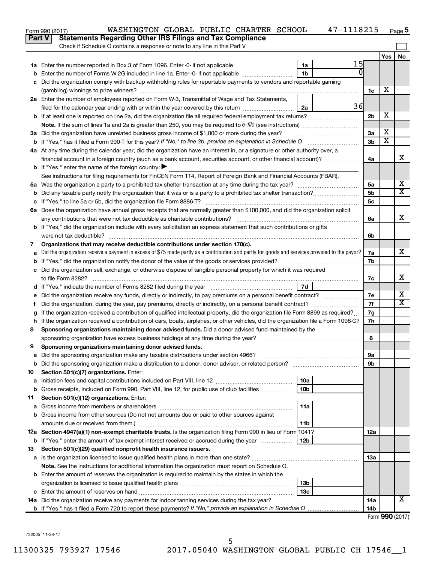|               | WASHINGTON GLOBAL PUBLIC CHARTER SCHOOL<br>Form 990 (2017)                                                                                      |                        | 47-1118215     |                        |                       | Page 5                     |
|---------------|-------------------------------------------------------------------------------------------------------------------------------------------------|------------------------|----------------|------------------------|-----------------------|----------------------------|
| <b>Part V</b> | <b>Statements Regarding Other IRS Filings and Tax Compliance</b>                                                                                |                        |                |                        |                       |                            |
|               | Check if Schedule O contains a response or note to any line in this Part V                                                                      |                        |                |                        |                       |                            |
|               |                                                                                                                                                 |                        |                |                        | Yes                   | No                         |
|               |                                                                                                                                                 | 1a                     | 15             |                        |                       |                            |
| b             | Enter the number of Forms W-2G included in line 1a. Enter -0- if not applicable                                                                 | 1 <sub>b</sub>         | $\overline{0}$ |                        |                       |                            |
| c             | Did the organization comply with backup withholding rules for reportable payments to vendors and reportable gaming                              |                        |                |                        |                       |                            |
|               |                                                                                                                                                 |                        |                | 1c                     | х                     |                            |
|               | 2a Enter the number of employees reported on Form W-3, Transmittal of Wage and Tax Statements,                                                  |                        |                |                        |                       |                            |
|               | filed for the calendar year ending with or within the year covered by this return                                                               | 2a                     | 36             |                        |                       |                            |
|               | <b>b</b> If at least one is reported on line 2a, did the organization file all required federal employment tax returns?                         |                        |                | 2 <sub>b</sub>         | X                     |                            |
|               |                                                                                                                                                 |                        |                |                        |                       |                            |
|               | 3a Did the organization have unrelated business gross income of \$1,000 or more during the year?                                                |                        |                | 3a                     | X                     |                            |
|               | <b>b</b> If "Yes," has it filed a Form 990-T for this year? If "No," to line 3b, provide an explanation in Schedule O                           |                        |                | 3b                     | $\overline{\text{X}}$ |                            |
|               | 4a At any time during the calendar year, did the organization have an interest in, or a signature or other authority over, a                    |                        |                |                        |                       |                            |
|               | financial account in a foreign country (such as a bank account, securities account, or other financial account)?                                |                        |                | 4a                     |                       | x                          |
|               | <b>b</b> If "Yes," enter the name of the foreign country: $\blacktriangleright$                                                                 |                        |                |                        |                       |                            |
|               | See instructions for filing requirements for FinCEN Form 114, Report of Foreign Bank and Financial Accounts (FBAR).                             |                        |                |                        |                       |                            |
|               |                                                                                                                                                 |                        |                | 5a                     |                       | х                          |
| b             |                                                                                                                                                 |                        |                | 5b                     |                       | $\overline{\text{X}}$      |
|               |                                                                                                                                                 |                        |                | 5c                     |                       |                            |
|               | 6a Does the organization have annual gross receipts that are normally greater than \$100,000, and did the organization solicit                  |                        |                |                        |                       |                            |
|               |                                                                                                                                                 |                        |                | 6a                     |                       | x                          |
|               | <b>b</b> If "Yes," did the organization include with every solicitation an express statement that such contributions or gifts                   |                        |                |                        |                       |                            |
|               | were not tax deductible?                                                                                                                        |                        |                | 6b                     |                       |                            |
| 7             | Organizations that may receive deductible contributions under section 170(c).                                                                   |                        |                |                        |                       |                            |
| a             | Did the organization receive a payment in excess of \$75 made partly as a contribution and partly for goods and services provided to the payor? |                        |                | 7а                     |                       | x                          |
| b             |                                                                                                                                                 |                        |                | 7b                     |                       |                            |
|               | c Did the organization sell, exchange, or otherwise dispose of tangible personal property for which it was required                             |                        |                |                        |                       |                            |
|               |                                                                                                                                                 |                        |                | 7c                     |                       | x                          |
|               |                                                                                                                                                 | 7d                     |                |                        |                       |                            |
|               |                                                                                                                                                 |                        |                | 7e                     |                       | х<br>$\overline{\text{X}}$ |
| Ť.            | Did the organization, during the year, pay premiums, directly or indirectly, on a personal benefit contract?                                    |                        |                | 7f                     |                       |                            |
| g             | If the organization received a contribution of qualified intellectual property, did the organization file Form 8899 as required?                |                        |                | 7g                     |                       |                            |
|               | h If the organization received a contribution of cars, boats, airplanes, or other vehicles, did the organization file a Form 1098-C?            |                        |                | 7h                     |                       |                            |
| 8             | Sponsoring organizations maintaining donor advised funds. Did a donor advised fund maintained by the                                            |                        |                |                        |                       |                            |
|               |                                                                                                                                                 |                        |                | 8                      |                       |                            |
|               | Sponsoring organizations maintaining donor advised funds.                                                                                       |                        |                |                        |                       |                            |
| а             | Did the sponsoring organization make any taxable distributions under section 4966?                                                              |                        |                | 9а                     |                       |                            |
| b             | Did the sponsoring organization make a distribution to a donor, donor advisor, or related person?                                               |                        |                | 9b                     |                       |                            |
| 10            | Section 501(c)(7) organizations. Enter:                                                                                                         |                        |                |                        |                       |                            |
| a             | Gross receipts, included on Form 990, Part VIII, line 12, for public use of club facilities                                                     | 10a<br>10 <sub>b</sub> |                |                        |                       |                            |
| b             | Section 501(c)(12) organizations. Enter:                                                                                                        |                        |                |                        |                       |                            |
| 11            |                                                                                                                                                 | 11a                    |                |                        |                       |                            |
| а             | Gross income from other sources (Do not net amounts due or paid to other sources against                                                        |                        |                |                        |                       |                            |
| b             |                                                                                                                                                 | 11b                    |                |                        |                       |                            |
|               | 12a Section 4947(a)(1) non-exempt charitable trusts. Is the organization filing Form 990 in lieu of Form 1041?                                  |                        |                | 12a                    |                       |                            |
|               | <b>b</b> If "Yes," enter the amount of tax-exempt interest received or accrued during the year                                                  | 12b                    |                |                        |                       |                            |
|               |                                                                                                                                                 |                        |                |                        |                       |                            |
| 13            | Section 501(c)(29) qualified nonprofit health insurance issuers.                                                                                |                        |                | 1За                    |                       |                            |
| а             | Note. See the instructions for additional information the organization must report on Schedule O.                                               |                        |                |                        |                       |                            |
|               |                                                                                                                                                 |                        |                |                        |                       |                            |
|               | <b>b</b> Enter the amount of reserves the organization is required to maintain by the states in which the                                       |                        |                |                        |                       |                            |
|               |                                                                                                                                                 | 13b<br>13 <sub>c</sub> |                |                        |                       |                            |
| c             |                                                                                                                                                 |                        |                |                        |                       | x                          |
|               | 14a Did the organization receive any payments for indoor tanning services during the tax year?                                                  |                        |                | 14a<br>14 <sub>b</sub> |                       |                            |
|               |                                                                                                                                                 |                        |                |                        | Form $990(2017)$      |                            |

Form (2017) **990**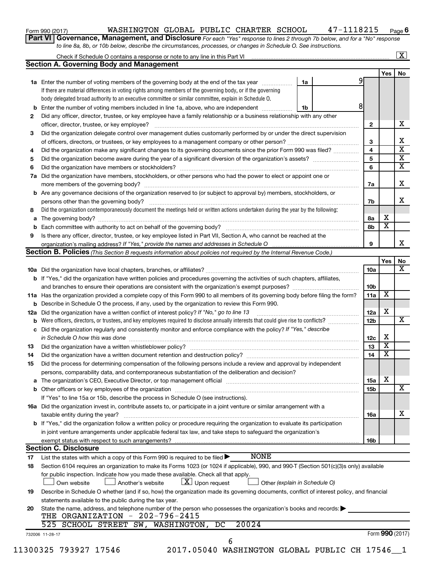| Form 990 (2017) |  |
|-----------------|--|
|-----------------|--|

# Form 990 (2017) Page WASHINGTON GLOBAL PUBLIC CHARTER SCHOOL 47-1118215

**6**

**Part VI** Governance, Management, and Disclosure For each "Yes" response to lines 2 through 7b below, and for a "No" response *to line 8a, 8b, or 10b below, describe the circumstances, processes, or changes in Schedule O. See instructions.*

|     |                                                                                                                                           |                               |                 |                         | $\mathbf{X}$            |  |  |  |
|-----|-------------------------------------------------------------------------------------------------------------------------------------------|-------------------------------|-----------------|-------------------------|-------------------------|--|--|--|
|     | <b>Section A. Governing Body and Management</b>                                                                                           |                               |                 |                         |                         |  |  |  |
|     |                                                                                                                                           |                               |                 | Yes                     | No                      |  |  |  |
|     | 1a Enter the number of voting members of the governing body at the end of the tax year manuscom                                           | 1a                            | 9               |                         |                         |  |  |  |
|     | If there are material differences in voting rights among members of the governing body, or if the governing                               |                               |                 |                         |                         |  |  |  |
|     | body delegated broad authority to an executive committee or similar committee, explain in Schedule O.                                     |                               |                 |                         |                         |  |  |  |
| b   | Enter the number of voting members included in line 1a, above, who are independent                                                        | 1b                            | 8               |                         |                         |  |  |  |
| 2   | Did any officer, director, trustee, or key employee have a family relationship or a business relationship with any other                  |                               |                 |                         |                         |  |  |  |
|     |                                                                                                                                           |                               | $\mathbf{2}$    |                         | х                       |  |  |  |
| 3   | Did the organization delegate control over management duties customarily performed by or under the direct supervision                     |                               |                 |                         |                         |  |  |  |
|     |                                                                                                                                           |                               | 3               |                         | х                       |  |  |  |
| 4   | Did the organization make any significant changes to its governing documents since the prior Form 990 was filed?                          |                               | 4               |                         | $\overline{\textbf{x}}$ |  |  |  |
| 5   |                                                                                                                                           |                               | 5               |                         | $\overline{\textbf{x}}$ |  |  |  |
| 6   |                                                                                                                                           |                               | 6               |                         | $\overline{\textbf{X}}$ |  |  |  |
| 7a  | Did the organization have members, stockholders, or other persons who had the power to elect or appoint one or                            |                               |                 |                         |                         |  |  |  |
|     |                                                                                                                                           |                               | 7a              |                         | X                       |  |  |  |
| b   | Are any governance decisions of the organization reserved to (or subject to approval by) members, stockholders, or                        |                               |                 |                         |                         |  |  |  |
|     |                                                                                                                                           |                               | 7b              |                         | x                       |  |  |  |
| 8   | Did the organization contemporaneously document the meetings held or written actions undertaken during the year by the following:         |                               |                 |                         |                         |  |  |  |
|     |                                                                                                                                           |                               |                 | х                       |                         |  |  |  |
| а   |                                                                                                                                           |                               | 8а              | $\overline{\textbf{x}}$ |                         |  |  |  |
|     |                                                                                                                                           |                               | 8b              |                         |                         |  |  |  |
| 9   | Is there any officer, director, trustee, or key employee listed in Part VII, Section A, who cannot be reached at the                      |                               |                 |                         | X.                      |  |  |  |
|     |                                                                                                                                           |                               | 9               |                         |                         |  |  |  |
|     | Section B. Policies (This Section B requests information about policies not required by the Internal Revenue Code.)                       |                               |                 |                         |                         |  |  |  |
|     |                                                                                                                                           |                               |                 | Yes                     | No                      |  |  |  |
|     |                                                                                                                                           |                               | 10a             |                         | x                       |  |  |  |
|     | <b>b</b> If "Yes," did the organization have written policies and procedures governing the activities of such chapters, affiliates,       |                               |                 |                         |                         |  |  |  |
|     |                                                                                                                                           |                               | 10 <sub>b</sub> |                         |                         |  |  |  |
|     | 11a Has the organization provided a complete copy of this Form 990 to all members of its governing body before filing the form?           |                               | 11a             | х                       |                         |  |  |  |
|     | Describe in Schedule O the process, if any, used by the organization to review this Form 990.                                             |                               |                 |                         |                         |  |  |  |
| 12a | Did the organization have a written conflict of interest policy? If "No," go to line 13                                                   |                               | 12a             | X                       |                         |  |  |  |
|     | Were officers, directors, or trustees, and key employees required to disclose annually interests that could give rise to conflicts?       |                               | 12 <sub>b</sub> |                         | х                       |  |  |  |
| с   | Did the organization regularly and consistently monitor and enforce compliance with the policy? If "Yes," describe                        |                               |                 |                         |                         |  |  |  |
|     |                                                                                                                                           |                               | 12c             | х                       |                         |  |  |  |
| 13  |                                                                                                                                           |                               | 13              | $\overline{\mathbf{X}}$ |                         |  |  |  |
| 14  |                                                                                                                                           |                               | 14              | $\overline{\mathbf{X}}$ |                         |  |  |  |
| 15  | Did the process for determining compensation of the following persons include a review and approval by independent                        |                               |                 |                         |                         |  |  |  |
|     | persons, comparability data, and contemporaneous substantiation of the deliberation and decision?                                         |                               |                 |                         |                         |  |  |  |
| а   |                                                                                                                                           |                               | 15a             | х                       |                         |  |  |  |
|     |                                                                                                                                           |                               | 15b             |                         | X                       |  |  |  |
|     | If "Yes" to line 15a or 15b, describe the process in Schedule O (see instructions).                                                       |                               |                 |                         |                         |  |  |  |
|     | 16a Did the organization invest in, contribute assets to, or participate in a joint venture or similar arrangement with a                 |                               |                 |                         |                         |  |  |  |
|     | taxable entity during the year?                                                                                                           |                               | 16a             |                         | х                       |  |  |  |
|     | b If "Yes," did the organization follow a written policy or procedure requiring the organization to evaluate its participation            |                               |                 |                         |                         |  |  |  |
|     | in joint venture arrangements under applicable federal tax law, and take steps to safeguard the organization's                            |                               |                 |                         |                         |  |  |  |
|     | exempt status with respect to such arrangements?                                                                                          |                               | 16b             |                         |                         |  |  |  |
|     | <b>Section C. Disclosure</b>                                                                                                              |                               |                 |                         |                         |  |  |  |
| 17  | <b>NONE</b><br>List the states with which a copy of this Form 990 is required to be filed $\blacktriangleright$                           |                               |                 |                         |                         |  |  |  |
|     |                                                                                                                                           |                               |                 |                         |                         |  |  |  |
| 18  | Section 6104 requires an organization to make its Forms 1023 (or 1024 if applicable), 990, and 990-T (Section 501(c)(3)s only) available  |                               |                 |                         |                         |  |  |  |
|     | for public inspection. Indicate how you made these available. Check all that apply.                                                       |                               |                 |                         |                         |  |  |  |
|     | $\lfloor x \rfloor$ Upon request<br>Another's website<br>Own website                                                                      | Other (explain in Schedule O) |                 |                         |                         |  |  |  |
| 19  | Describe in Schedule O whether (and if so, how) the organization made its governing documents, conflict of interest policy, and financial |                               |                 |                         |                         |  |  |  |
|     | statements available to the public during the tax year.                                                                                   |                               |                 |                         |                         |  |  |  |
| 20  | State the name, address, and telephone number of the person who possesses the organization's books and records:                           |                               |                 |                         |                         |  |  |  |
|     | THE ORGANIZATION - 202-796-2415                                                                                                           |                               |                 |                         |                         |  |  |  |
|     | 20024<br>525 SCHOOL STREET SW, WASHINGTON,<br>DC                                                                                          |                               |                 |                         |                         |  |  |  |
|     | 732006 11-28-17                                                                                                                           |                               |                 | Form 990 (2017)         |                         |  |  |  |
|     | 6<br>11300325 793927 17546<br>2017.05040 WASHINGTON GLOBAL PUBLIC CH 17546_1                                                              |                               |                 |                         |                         |  |  |  |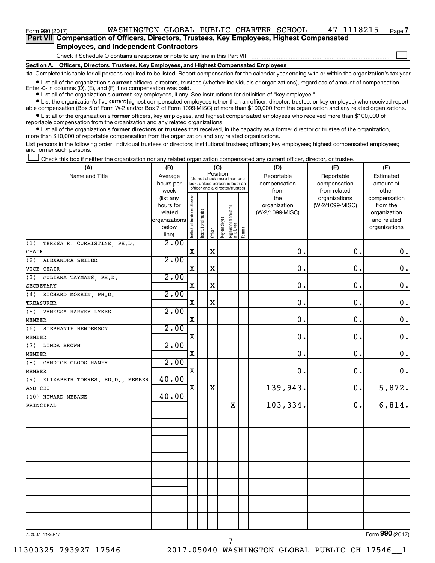$\Box$ 

**Part VII Compensation of Officers, Directors, Trustees, Key Employees, Highest Compensated Employees, and Independent Contractors**

Check if Schedule O contains a response or note to any line in this Part VII

**Section A. Officers, Directors, Trustees, Key Employees, and Highest Compensated Employees**

**1a**  Complete this table for all persons required to be listed. Report compensation for the calendar year ending with or within the organization's tax year.

**•** List all of the organization's current officers, directors, trustees (whether individuals or organizations), regardless of amount of compensation. Enter -0- in columns  $(D)$ ,  $(E)$ , and  $(F)$  if no compensation was paid.

**•** List all of the organization's **current** key employees, if any. See instructions for definition of "key employee."

**•** List the organization's five current highest compensated employees (other than an officer, director, trustee, or key employee) who received reportable compensation (Box 5 of Form W-2 and/or Box 7 of Form 1099-MISC) of more than \$100,000 from the organization and any related organizations.

**•** List all of the organization's former officers, key employees, and highest compensated employees who received more than \$100,000 of reportable compensation from the organization and any related organizations.

**•** List all of the organization's former directors or trustees that received, in the capacity as a former director or trustee of the organization, more than \$10,000 of reportable compensation from the organization and any related organizations.

List persons in the following order: individual trustees or directors; institutional trustees; officers; key employees; highest compensated employees; and former such persons.

Check this box if neither the organization nor any related organization compensated any current officer, director, or trustee.  $\Box$ 

| (A)                                               | (B)                                                                          | (C)                                                                                                         |                            |             |              |                                  |        | (D)                                            | (E)                                              | (F)                                                                               |
|---------------------------------------------------|------------------------------------------------------------------------------|-------------------------------------------------------------------------------------------------------------|----------------------------|-------------|--------------|----------------------------------|--------|------------------------------------------------|--------------------------------------------------|-----------------------------------------------------------------------------------|
| Name and Title                                    | Average<br>hours per                                                         | Position<br>(do not check more than one<br>box, unless person is both an<br>officer and a director/trustee) |                            |             |              |                                  |        | Reportable<br>compensation                     | Reportable<br>compensation                       | Estimated<br>amount of                                                            |
|                                                   | week<br>(list any<br>hours for<br>related<br>organizations<br>below<br>line) | Individual trustee or director                                                                              | trustee<br>Institutional t | Officer     | Key employee | Highest compensated<br> employee | Former | from<br>the<br>organization<br>(W-2/1099-MISC) | from related<br>organizations<br>(W-2/1099-MISC) | other<br>compensation<br>from the<br>organization<br>and related<br>organizations |
| TERESA R. CURRISTINE, PH.D.<br>(1)                | 2.00                                                                         |                                                                                                             |                            |             |              |                                  |        |                                                |                                                  |                                                                                   |
| CHAIR                                             |                                                                              | X                                                                                                           |                            | X           |              |                                  |        | $\mathbf 0$ .                                  | 0.                                               | $0 \cdot$                                                                         |
| (2)<br>ALEXANDRA ZEILER                           | 2.00                                                                         | $\mathbf X$                                                                                                 |                            | $\mathbf X$ |              |                                  |        | $\mathbf 0$ .                                  | $\mathbf 0$ .                                    | $\boldsymbol{0}$ .                                                                |
| VICE-CHAIR<br>JULIANA TAYMANS, PH.D.<br>(3)       | 2.00                                                                         |                                                                                                             |                            |             |              |                                  |        |                                                |                                                  |                                                                                   |
| <b>SECRETARY</b>                                  |                                                                              | X                                                                                                           |                            | $\mathbf X$ |              |                                  |        | $\mathbf 0$ .                                  | $\mathbf 0$ .                                    | $\boldsymbol{0}$ .                                                                |
| RICHARD MORRIN, PH.D.<br>(4)                      | 2.00                                                                         |                                                                                                             |                            |             |              |                                  |        |                                                |                                                  |                                                                                   |
| <b>TREASURER</b>                                  |                                                                              | $\mathbf X$                                                                                                 |                            | $\mathbf X$ |              |                                  |        | $\mathbf 0$ .                                  | $\mathbf 0$ .                                    | $\boldsymbol{0}$ .                                                                |
| (5) VANESSA HARVEY-LYKES                          | 2.00                                                                         |                                                                                                             |                            |             |              |                                  |        |                                                |                                                  |                                                                                   |
| <b>MEMBER</b>                                     |                                                                              | X                                                                                                           |                            |             |              |                                  |        | $\mathbf 0$ .                                  | $\mathbf 0$ .                                    | 0.                                                                                |
| (6)<br>STEPHANIE HENDERSON                        | 2.00                                                                         |                                                                                                             |                            |             |              |                                  |        |                                                |                                                  |                                                                                   |
| MEMBER                                            |                                                                              | X                                                                                                           |                            |             |              |                                  |        | $\mathbf 0$ .                                  | $\mathbf 0$ .                                    | $\boldsymbol{0}$ .                                                                |
| <b>LINDA BROWN</b><br>(7)                         | 2.00                                                                         |                                                                                                             |                            |             |              |                                  |        |                                                |                                                  |                                                                                   |
| MEMBER                                            |                                                                              | X                                                                                                           |                            |             |              |                                  |        | $\mathbf 0$ .                                  | $\mathbf 0$ .                                    | $\mathbf 0$ .                                                                     |
| (8)<br>CANDICE CLOOS HANEY                        | 2.00                                                                         |                                                                                                             |                            |             |              |                                  |        |                                                |                                                  |                                                                                   |
| <b>MEMBER</b>                                     |                                                                              | $\mathbf X$                                                                                                 |                            |             |              |                                  |        | 0.                                             | 0.                                               | $\boldsymbol{0}$ .                                                                |
| ELIZABETH TORRES, ED.D., MEMBER<br>(9)<br>AND CEO | 40.00                                                                        | X                                                                                                           |                            | $\mathbf X$ |              |                                  |        | 139,943.                                       | $\mathbf 0$ .                                    | 5,872.                                                                            |
| (10) HOWARD MEBANE                                | 40.00                                                                        |                                                                                                             |                            |             |              |                                  |        |                                                |                                                  |                                                                                   |
| PRINCIPAL                                         |                                                                              |                                                                                                             |                            |             |              | $\mathbf X$                      |        | 103,334.                                       | 0.                                               | 6,814.                                                                            |
|                                                   |                                                                              |                                                                                                             |                            |             |              |                                  |        |                                                |                                                  |                                                                                   |
|                                                   |                                                                              |                                                                                                             |                            |             |              |                                  |        |                                                |                                                  |                                                                                   |
|                                                   |                                                                              |                                                                                                             |                            |             |              |                                  |        |                                                |                                                  |                                                                                   |
|                                                   |                                                                              |                                                                                                             |                            |             |              |                                  |        |                                                |                                                  |                                                                                   |
|                                                   |                                                                              |                                                                                                             |                            |             |              |                                  |        |                                                |                                                  |                                                                                   |
|                                                   |                                                                              |                                                                                                             |                            |             |              |                                  |        |                                                |                                                  |                                                                                   |
|                                                   |                                                                              |                                                                                                             |                            |             |              |                                  |        |                                                |                                                  |                                                                                   |
|                                                   |                                                                              |                                                                                                             |                            |             |              |                                  |        |                                                |                                                  |                                                                                   |

7

732007 11-28-17

11300325 793927 17546 2017.05040 WASHINGTON GLOBAL PUBLIC CH 17546\_\_1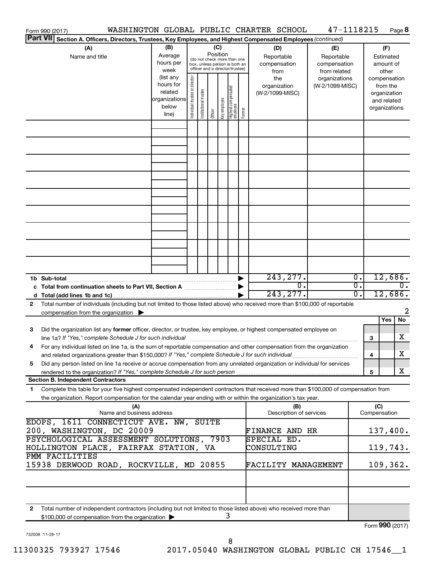| WASHINGTON GLOBAL PUBLIC CHARTER SCHOOL<br>Form 990 (2017)                                                                                                                                                                                                   |                                                                                                                 |                                                                                                                    |                       |         |              |                                            |  |                                                  |     | 47-1118215                                        |                                      |                     | Page 8                                                                   |  |
|--------------------------------------------------------------------------------------------------------------------------------------------------------------------------------------------------------------------------------------------------------------|-----------------------------------------------------------------------------------------------------------------|--------------------------------------------------------------------------------------------------------------------|-----------------------|---------|--------------|--------------------------------------------|--|--------------------------------------------------|-----|---------------------------------------------------|--------------------------------------|---------------------|--------------------------------------------------------------------------|--|
|                                                                                                                                                                                                                                                              | Part VII Section A. Officers, Directors, Trustees, Key Employees, and Highest Compensated Employees (continued) |                                                                                                                    |                       |         |              |                                            |  |                                                  |     |                                                   |                                      |                     |                                                                          |  |
| (A)<br>Name and title                                                                                                                                                                                                                                        | (B)<br>Average<br>hours per<br>week<br>(list any                                                                | (C)<br>Position<br>(do not check more than one<br>box, unless person is both an<br>officer and a director/trustee) |                       |         |              |                                            |  | (D)<br>Reportable<br>compensation<br>from<br>the |     | (E)<br>Reportable<br>compensation<br>from related |                                      |                     | (F)<br>Estimated<br>amount of<br>other                                   |  |
|                                                                                                                                                                                                                                                              | hours for<br>related<br>organizations<br>below<br>line)                                                         | Individual trustee or director                                                                                     | Institutional trustee | Officer | Key employee | Highest compensated<br> employee<br>Former |  | organization<br>(W-2/1099-MISC)                  |     | organizations<br>(W-2/1099-MISC)                  |                                      |                     | compensation<br>from the<br>organization<br>and related<br>organizations |  |
|                                                                                                                                                                                                                                                              |                                                                                                                 |                                                                                                                    |                       |         |              |                                            |  |                                                  |     |                                                   |                                      |                     |                                                                          |  |
|                                                                                                                                                                                                                                                              |                                                                                                                 |                                                                                                                    |                       |         |              |                                            |  |                                                  |     |                                                   |                                      |                     |                                                                          |  |
|                                                                                                                                                                                                                                                              |                                                                                                                 |                                                                                                                    |                       |         |              |                                            |  |                                                  |     |                                                   |                                      |                     |                                                                          |  |
|                                                                                                                                                                                                                                                              |                                                                                                                 |                                                                                                                    |                       |         |              |                                            |  |                                                  |     |                                                   |                                      |                     |                                                                          |  |
|                                                                                                                                                                                                                                                              |                                                                                                                 |                                                                                                                    |                       |         |              |                                            |  |                                                  |     |                                                   |                                      |                     |                                                                          |  |
|                                                                                                                                                                                                                                                              |                                                                                                                 |                                                                                                                    |                       |         |              |                                            |  |                                                  |     |                                                   |                                      |                     |                                                                          |  |
|                                                                                                                                                                                                                                                              |                                                                                                                 |                                                                                                                    |                       |         |              |                                            |  |                                                  |     |                                                   |                                      |                     |                                                                          |  |
|                                                                                                                                                                                                                                                              |                                                                                                                 |                                                                                                                    |                       |         |              |                                            |  |                                                  |     |                                                   |                                      |                     |                                                                          |  |
|                                                                                                                                                                                                                                                              |                                                                                                                 |                                                                                                                    |                       |         |              |                                            |  | 243, 277.                                        | σ.  |                                                   | $\overline{0}$ .<br>$\overline{0}$ . |                     | 12,686.<br>$\overline{0}$ .                                              |  |
| c Total from continuation sheets to Part VII, Section A manuscreen by                                                                                                                                                                                        |                                                                                                                 |                                                                                                                    |                       |         |              |                                            |  | 243, 277.                                        |     |                                                   | $\overline{0}$ .                     |                     | 12,686.                                                                  |  |
| Total number of individuals (including but not limited to those listed above) who received more than \$100,000 of reportable<br>2<br>compensation from the organization $\blacktriangleright$                                                                |                                                                                                                 |                                                                                                                    |                       |         |              |                                            |  |                                                  |     |                                                   |                                      |                     |                                                                          |  |
| Did the organization list any former officer, director, or trustee, key employee, or highest compensated employee on<br>3                                                                                                                                    |                                                                                                                 |                                                                                                                    |                       |         |              |                                            |  |                                                  |     |                                                   |                                      |                     | Yes<br>No                                                                |  |
| line 1a? If "Yes," complete Schedule J for such individual manufactured contains and the set of the schedule J<br>For any individual listed on line 1a, is the sum of reportable compensation and other compensation from the organization                   |                                                                                                                 |                                                                                                                    |                       |         |              |                                            |  |                                                  |     |                                                   |                                      | 3                   | х                                                                        |  |
| and related organizations greater than \$150,000? If "Yes," complete Schedule J for such individual<br>Did any person listed on line 1a receive or accrue compensation from any unrelated organization or individual for services<br>5                       |                                                                                                                 |                                                                                                                    |                       |         |              |                                            |  |                                                  |     |                                                   |                                      | 4                   | х                                                                        |  |
| <b>Section B. Independent Contractors</b>                                                                                                                                                                                                                    |                                                                                                                 |                                                                                                                    |                       |         |              |                                            |  |                                                  |     |                                                   |                                      | 5                   | X                                                                        |  |
| Complete this table for your five highest compensated independent contractors that received more than \$100,000 of compensation from<br>1.<br>the organization. Report compensation for the calendar year ending with or within the organization's tax year. |                                                                                                                 |                                                                                                                    |                       |         |              |                                            |  |                                                  |     |                                                   |                                      |                     |                                                                          |  |
| (A)<br>Name and business address                                                                                                                                                                                                                             |                                                                                                                 |                                                                                                                    |                       |         |              |                                            |  | Description of services                          | (B) |                                                   |                                      | (C)<br>Compensation |                                                                          |  |
| EDOPS, 1611 CONNECTICUT AVE. NW, SUITE<br>200, WASHINGTON, DC 20009                                                                                                                                                                                          |                                                                                                                 |                                                                                                                    |                       |         |              |                                            |  | <b>FINANCE AND HR</b>                            |     |                                                   |                                      |                     | 137,400.                                                                 |  |
| PSYCHOLOGICAL ASSESSMENT SOLUTIONS, 7903<br>HOLLINGTON PLACE, FAIRFAX STATION, VA                                                                                                                                                                            |                                                                                                                 |                                                                                                                    |                       |         |              |                                            |  | SPECIAL ED.<br>CONSULTING                        |     |                                                   |                                      | 119,743.            |                                                                          |  |
| PMM FACILITIES<br>15938 DERWOOD ROAD, ROCKVILLE, MD 20855                                                                                                                                                                                                    |                                                                                                                 |                                                                                                                    |                       |         |              |                                            |  |                                                  |     | FACILITY MANAGEMENT                               |                                      |                     | 109, 362.                                                                |  |
|                                                                                                                                                                                                                                                              |                                                                                                                 |                                                                                                                    |                       |         |              |                                            |  |                                                  |     |                                                   |                                      |                     |                                                                          |  |
| Total number of independent contractors (including but not limited to those listed above) who received more than<br>2                                                                                                                                        |                                                                                                                 |                                                                                                                    |                       |         |              |                                            |  |                                                  |     |                                                   |                                      |                     |                                                                          |  |
| \$100,000 of compensation from the organization                                                                                                                                                                                                              |                                                                                                                 |                                                                                                                    |                       |         | 3            |                                            |  |                                                  |     |                                                   |                                      |                     |                                                                          |  |

732008 11-28-17

Form (2017) **990**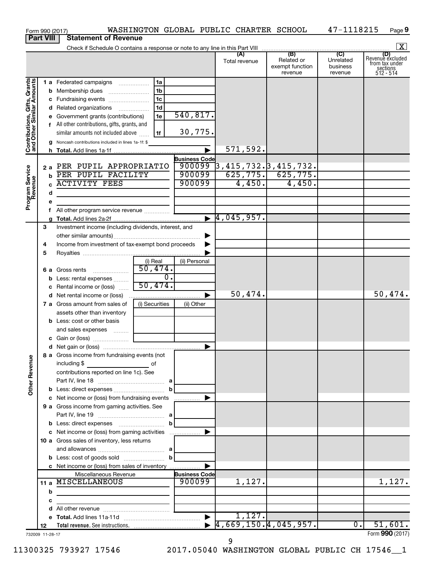| <b>Part VIII</b><br>$\mathbf{X}$<br>(B)<br>$\overline{C}$<br>(A)<br>Revenue excluded<br>Unrelated<br>Related or<br>Total revenue<br>from tax under<br>exempt function<br>business<br>sections<br>512 - 514<br>revenue<br>revenue<br>Contributions, Gifts, Grants<br>and Other Similar Amounts<br>1a<br>1 a Federated campaigns<br>1 <sub>b</sub><br>1 <sub>c</sub><br>c Fundraising events<br>1 <sub>d</sub><br>d Related organizations<br>540, 817.<br>1e<br>e Government grants (contributions)<br>f All other contributions, gifts, grants, and<br>30,775.<br>similar amounts not included above<br>1f<br>Noncash contributions included in lines 1a-1f: \$<br>571,592.<br>$\blacktriangleright$<br><b>Business Code</b><br>900099<br>$\frac{1}{3}$ , 415, 732. 3, 415, 732.<br>  625, 775. 625, 775.<br>2 a PER PUPIL APPROPRIATIO<br>Program Service<br>Revenue<br>900099<br><b>b</b> PER PUPIL FACILITY<br>4,450.<br>4,450.<br><b>ACTIVITY FEES</b><br>900099<br>d<br>е<br>All other program service revenue<br>f<br>$\blacktriangleright$ 4,045,957.<br>З<br>Investment income (including dividends, interest, and<br>Income from investment of tax-exempt bond proceeds<br>4<br>5<br>(i) Real<br>(ii) Personal<br>$\overline{50}$ , 474.<br><b>6 a</b> Gross rents<br>$\overline{0}$ .<br><b>b</b> Less: rental expenses<br>50,474.<br>c Rental income or (loss)<br>50,474.<br>▶<br>(i) Securities<br>7 a Gross amount from sales of<br>(ii) Other<br>assets other than inventory<br><b>b</b> Less: cost or other basis<br>and sales expenses<br>8 a Gross income from fundraising events (not<br><b>Other Revenue</b><br>including \$<br>contributions reported on line 1c). See<br>c Net income or (loss) from fundraising events<br>9 a Gross income from gaming activities. See<br>c Net income or (loss) from gaming activities<br>10 a Gross sales of inventory, less returns<br>c Net income or (loss) from sales of inventory<br>Miscellaneous Revenue<br><b>Business Code</b><br>11 a MISCELLANEOUS<br>900099<br>1,127.<br>1,127.<br>b<br>c<br>the control of the control of the control of the control of<br>d<br>1,127.<br>51,601.<br>0.<br>12<br>Form 990 (2017)<br>732009 11-28-17 |  | Form 990 (2017) | WASHINGTON GLOBAL PUBLIC CHARTER SCHOOL |  | 47-1118215 | Page 9  |
|---------------------------------------------------------------------------------------------------------------------------------------------------------------------------------------------------------------------------------------------------------------------------------------------------------------------------------------------------------------------------------------------------------------------------------------------------------------------------------------------------------------------------------------------------------------------------------------------------------------------------------------------------------------------------------------------------------------------------------------------------------------------------------------------------------------------------------------------------------------------------------------------------------------------------------------------------------------------------------------------------------------------------------------------------------------------------------------------------------------------------------------------------------------------------------------------------------------------------------------------------------------------------------------------------------------------------------------------------------------------------------------------------------------------------------------------------------------------------------------------------------------------------------------------------------------------------------------------------------------------------------------------------------------------------------------------------------------------------------------------------------------------------------------------------------------------------------------------------------------------------------------------------------------------------------------------------------------------------------------------------------------------------------------------------------------------------------------------------------------------------------------------------------------------------------------------------------|--|-----------------|-----------------------------------------|--|------------|---------|
|                                                                                                                                                                                                                                                                                                                                                                                                                                                                                                                                                                                                                                                                                                                                                                                                                                                                                                                                                                                                                                                                                                                                                                                                                                                                                                                                                                                                                                                                                                                                                                                                                                                                                                                                                                                                                                                                                                                                                                                                                                                                                                                                                                                                         |  |                 | <b>Statement of Revenue</b>             |  |            |         |
|                                                                                                                                                                                                                                                                                                                                                                                                                                                                                                                                                                                                                                                                                                                                                                                                                                                                                                                                                                                                                                                                                                                                                                                                                                                                                                                                                                                                                                                                                                                                                                                                                                                                                                                                                                                                                                                                                                                                                                                                                                                                                                                                                                                                         |  |                 |                                         |  |            |         |
|                                                                                                                                                                                                                                                                                                                                                                                                                                                                                                                                                                                                                                                                                                                                                                                                                                                                                                                                                                                                                                                                                                                                                                                                                                                                                                                                                                                                                                                                                                                                                                                                                                                                                                                                                                                                                                                                                                                                                                                                                                                                                                                                                                                                         |  |                 |                                         |  |            |         |
|                                                                                                                                                                                                                                                                                                                                                                                                                                                                                                                                                                                                                                                                                                                                                                                                                                                                                                                                                                                                                                                                                                                                                                                                                                                                                                                                                                                                                                                                                                                                                                                                                                                                                                                                                                                                                                                                                                                                                                                                                                                                                                                                                                                                         |  |                 |                                         |  |            |         |
|                                                                                                                                                                                                                                                                                                                                                                                                                                                                                                                                                                                                                                                                                                                                                                                                                                                                                                                                                                                                                                                                                                                                                                                                                                                                                                                                                                                                                                                                                                                                                                                                                                                                                                                                                                                                                                                                                                                                                                                                                                                                                                                                                                                                         |  |                 |                                         |  |            |         |
|                                                                                                                                                                                                                                                                                                                                                                                                                                                                                                                                                                                                                                                                                                                                                                                                                                                                                                                                                                                                                                                                                                                                                                                                                                                                                                                                                                                                                                                                                                                                                                                                                                                                                                                                                                                                                                                                                                                                                                                                                                                                                                                                                                                                         |  |                 |                                         |  |            |         |
|                                                                                                                                                                                                                                                                                                                                                                                                                                                                                                                                                                                                                                                                                                                                                                                                                                                                                                                                                                                                                                                                                                                                                                                                                                                                                                                                                                                                                                                                                                                                                                                                                                                                                                                                                                                                                                                                                                                                                                                                                                                                                                                                                                                                         |  |                 |                                         |  |            |         |
|                                                                                                                                                                                                                                                                                                                                                                                                                                                                                                                                                                                                                                                                                                                                                                                                                                                                                                                                                                                                                                                                                                                                                                                                                                                                                                                                                                                                                                                                                                                                                                                                                                                                                                                                                                                                                                                                                                                                                                                                                                                                                                                                                                                                         |  |                 |                                         |  |            |         |
|                                                                                                                                                                                                                                                                                                                                                                                                                                                                                                                                                                                                                                                                                                                                                                                                                                                                                                                                                                                                                                                                                                                                                                                                                                                                                                                                                                                                                                                                                                                                                                                                                                                                                                                                                                                                                                                                                                                                                                                                                                                                                                                                                                                                         |  |                 |                                         |  |            |         |
|                                                                                                                                                                                                                                                                                                                                                                                                                                                                                                                                                                                                                                                                                                                                                                                                                                                                                                                                                                                                                                                                                                                                                                                                                                                                                                                                                                                                                                                                                                                                                                                                                                                                                                                                                                                                                                                                                                                                                                                                                                                                                                                                                                                                         |  |                 |                                         |  |            |         |
|                                                                                                                                                                                                                                                                                                                                                                                                                                                                                                                                                                                                                                                                                                                                                                                                                                                                                                                                                                                                                                                                                                                                                                                                                                                                                                                                                                                                                                                                                                                                                                                                                                                                                                                                                                                                                                                                                                                                                                                                                                                                                                                                                                                                         |  |                 |                                         |  |            |         |
|                                                                                                                                                                                                                                                                                                                                                                                                                                                                                                                                                                                                                                                                                                                                                                                                                                                                                                                                                                                                                                                                                                                                                                                                                                                                                                                                                                                                                                                                                                                                                                                                                                                                                                                                                                                                                                                                                                                                                                                                                                                                                                                                                                                                         |  |                 |                                         |  |            |         |
|                                                                                                                                                                                                                                                                                                                                                                                                                                                                                                                                                                                                                                                                                                                                                                                                                                                                                                                                                                                                                                                                                                                                                                                                                                                                                                                                                                                                                                                                                                                                                                                                                                                                                                                                                                                                                                                                                                                                                                                                                                                                                                                                                                                                         |  |                 |                                         |  |            |         |
|                                                                                                                                                                                                                                                                                                                                                                                                                                                                                                                                                                                                                                                                                                                                                                                                                                                                                                                                                                                                                                                                                                                                                                                                                                                                                                                                                                                                                                                                                                                                                                                                                                                                                                                                                                                                                                                                                                                                                                                                                                                                                                                                                                                                         |  |                 |                                         |  |            |         |
|                                                                                                                                                                                                                                                                                                                                                                                                                                                                                                                                                                                                                                                                                                                                                                                                                                                                                                                                                                                                                                                                                                                                                                                                                                                                                                                                                                                                                                                                                                                                                                                                                                                                                                                                                                                                                                                                                                                                                                                                                                                                                                                                                                                                         |  |                 |                                         |  |            |         |
|                                                                                                                                                                                                                                                                                                                                                                                                                                                                                                                                                                                                                                                                                                                                                                                                                                                                                                                                                                                                                                                                                                                                                                                                                                                                                                                                                                                                                                                                                                                                                                                                                                                                                                                                                                                                                                                                                                                                                                                                                                                                                                                                                                                                         |  |                 |                                         |  |            |         |
|                                                                                                                                                                                                                                                                                                                                                                                                                                                                                                                                                                                                                                                                                                                                                                                                                                                                                                                                                                                                                                                                                                                                                                                                                                                                                                                                                                                                                                                                                                                                                                                                                                                                                                                                                                                                                                                                                                                                                                                                                                                                                                                                                                                                         |  |                 |                                         |  |            |         |
|                                                                                                                                                                                                                                                                                                                                                                                                                                                                                                                                                                                                                                                                                                                                                                                                                                                                                                                                                                                                                                                                                                                                                                                                                                                                                                                                                                                                                                                                                                                                                                                                                                                                                                                                                                                                                                                                                                                                                                                                                                                                                                                                                                                                         |  |                 |                                         |  |            |         |
|                                                                                                                                                                                                                                                                                                                                                                                                                                                                                                                                                                                                                                                                                                                                                                                                                                                                                                                                                                                                                                                                                                                                                                                                                                                                                                                                                                                                                                                                                                                                                                                                                                                                                                                                                                                                                                                                                                                                                                                                                                                                                                                                                                                                         |  |                 |                                         |  |            |         |
|                                                                                                                                                                                                                                                                                                                                                                                                                                                                                                                                                                                                                                                                                                                                                                                                                                                                                                                                                                                                                                                                                                                                                                                                                                                                                                                                                                                                                                                                                                                                                                                                                                                                                                                                                                                                                                                                                                                                                                                                                                                                                                                                                                                                         |  |                 |                                         |  |            |         |
|                                                                                                                                                                                                                                                                                                                                                                                                                                                                                                                                                                                                                                                                                                                                                                                                                                                                                                                                                                                                                                                                                                                                                                                                                                                                                                                                                                                                                                                                                                                                                                                                                                                                                                                                                                                                                                                                                                                                                                                                                                                                                                                                                                                                         |  |                 |                                         |  |            |         |
|                                                                                                                                                                                                                                                                                                                                                                                                                                                                                                                                                                                                                                                                                                                                                                                                                                                                                                                                                                                                                                                                                                                                                                                                                                                                                                                                                                                                                                                                                                                                                                                                                                                                                                                                                                                                                                                                                                                                                                                                                                                                                                                                                                                                         |  |                 |                                         |  |            |         |
|                                                                                                                                                                                                                                                                                                                                                                                                                                                                                                                                                                                                                                                                                                                                                                                                                                                                                                                                                                                                                                                                                                                                                                                                                                                                                                                                                                                                                                                                                                                                                                                                                                                                                                                                                                                                                                                                                                                                                                                                                                                                                                                                                                                                         |  |                 |                                         |  |            |         |
|                                                                                                                                                                                                                                                                                                                                                                                                                                                                                                                                                                                                                                                                                                                                                                                                                                                                                                                                                                                                                                                                                                                                                                                                                                                                                                                                                                                                                                                                                                                                                                                                                                                                                                                                                                                                                                                                                                                                                                                                                                                                                                                                                                                                         |  |                 |                                         |  |            |         |
|                                                                                                                                                                                                                                                                                                                                                                                                                                                                                                                                                                                                                                                                                                                                                                                                                                                                                                                                                                                                                                                                                                                                                                                                                                                                                                                                                                                                                                                                                                                                                                                                                                                                                                                                                                                                                                                                                                                                                                                                                                                                                                                                                                                                         |  |                 |                                         |  |            |         |
|                                                                                                                                                                                                                                                                                                                                                                                                                                                                                                                                                                                                                                                                                                                                                                                                                                                                                                                                                                                                                                                                                                                                                                                                                                                                                                                                                                                                                                                                                                                                                                                                                                                                                                                                                                                                                                                                                                                                                                                                                                                                                                                                                                                                         |  |                 |                                         |  |            |         |
|                                                                                                                                                                                                                                                                                                                                                                                                                                                                                                                                                                                                                                                                                                                                                                                                                                                                                                                                                                                                                                                                                                                                                                                                                                                                                                                                                                                                                                                                                                                                                                                                                                                                                                                                                                                                                                                                                                                                                                                                                                                                                                                                                                                                         |  |                 |                                         |  |            | 50,474. |
|                                                                                                                                                                                                                                                                                                                                                                                                                                                                                                                                                                                                                                                                                                                                                                                                                                                                                                                                                                                                                                                                                                                                                                                                                                                                                                                                                                                                                                                                                                                                                                                                                                                                                                                                                                                                                                                                                                                                                                                                                                                                                                                                                                                                         |  |                 |                                         |  |            |         |
|                                                                                                                                                                                                                                                                                                                                                                                                                                                                                                                                                                                                                                                                                                                                                                                                                                                                                                                                                                                                                                                                                                                                                                                                                                                                                                                                                                                                                                                                                                                                                                                                                                                                                                                                                                                                                                                                                                                                                                                                                                                                                                                                                                                                         |  |                 |                                         |  |            |         |
|                                                                                                                                                                                                                                                                                                                                                                                                                                                                                                                                                                                                                                                                                                                                                                                                                                                                                                                                                                                                                                                                                                                                                                                                                                                                                                                                                                                                                                                                                                                                                                                                                                                                                                                                                                                                                                                                                                                                                                                                                                                                                                                                                                                                         |  |                 |                                         |  |            |         |
|                                                                                                                                                                                                                                                                                                                                                                                                                                                                                                                                                                                                                                                                                                                                                                                                                                                                                                                                                                                                                                                                                                                                                                                                                                                                                                                                                                                                                                                                                                                                                                                                                                                                                                                                                                                                                                                                                                                                                                                                                                                                                                                                                                                                         |  |                 |                                         |  |            |         |
|                                                                                                                                                                                                                                                                                                                                                                                                                                                                                                                                                                                                                                                                                                                                                                                                                                                                                                                                                                                                                                                                                                                                                                                                                                                                                                                                                                                                                                                                                                                                                                                                                                                                                                                                                                                                                                                                                                                                                                                                                                                                                                                                                                                                         |  |                 |                                         |  |            |         |
|                                                                                                                                                                                                                                                                                                                                                                                                                                                                                                                                                                                                                                                                                                                                                                                                                                                                                                                                                                                                                                                                                                                                                                                                                                                                                                                                                                                                                                                                                                                                                                                                                                                                                                                                                                                                                                                                                                                                                                                                                                                                                                                                                                                                         |  |                 |                                         |  |            |         |
|                                                                                                                                                                                                                                                                                                                                                                                                                                                                                                                                                                                                                                                                                                                                                                                                                                                                                                                                                                                                                                                                                                                                                                                                                                                                                                                                                                                                                                                                                                                                                                                                                                                                                                                                                                                                                                                                                                                                                                                                                                                                                                                                                                                                         |  |                 |                                         |  |            |         |
|                                                                                                                                                                                                                                                                                                                                                                                                                                                                                                                                                                                                                                                                                                                                                                                                                                                                                                                                                                                                                                                                                                                                                                                                                                                                                                                                                                                                                                                                                                                                                                                                                                                                                                                                                                                                                                                                                                                                                                                                                                                                                                                                                                                                         |  |                 |                                         |  |            |         |
|                                                                                                                                                                                                                                                                                                                                                                                                                                                                                                                                                                                                                                                                                                                                                                                                                                                                                                                                                                                                                                                                                                                                                                                                                                                                                                                                                                                                                                                                                                                                                                                                                                                                                                                                                                                                                                                                                                                                                                                                                                                                                                                                                                                                         |  |                 |                                         |  |            |         |
|                                                                                                                                                                                                                                                                                                                                                                                                                                                                                                                                                                                                                                                                                                                                                                                                                                                                                                                                                                                                                                                                                                                                                                                                                                                                                                                                                                                                                                                                                                                                                                                                                                                                                                                                                                                                                                                                                                                                                                                                                                                                                                                                                                                                         |  |                 |                                         |  |            |         |
|                                                                                                                                                                                                                                                                                                                                                                                                                                                                                                                                                                                                                                                                                                                                                                                                                                                                                                                                                                                                                                                                                                                                                                                                                                                                                                                                                                                                                                                                                                                                                                                                                                                                                                                                                                                                                                                                                                                                                                                                                                                                                                                                                                                                         |  |                 |                                         |  |            |         |
|                                                                                                                                                                                                                                                                                                                                                                                                                                                                                                                                                                                                                                                                                                                                                                                                                                                                                                                                                                                                                                                                                                                                                                                                                                                                                                                                                                                                                                                                                                                                                                                                                                                                                                                                                                                                                                                                                                                                                                                                                                                                                                                                                                                                         |  |                 |                                         |  |            |         |
|                                                                                                                                                                                                                                                                                                                                                                                                                                                                                                                                                                                                                                                                                                                                                                                                                                                                                                                                                                                                                                                                                                                                                                                                                                                                                                                                                                                                                                                                                                                                                                                                                                                                                                                                                                                                                                                                                                                                                                                                                                                                                                                                                                                                         |  |                 |                                         |  |            |         |
|                                                                                                                                                                                                                                                                                                                                                                                                                                                                                                                                                                                                                                                                                                                                                                                                                                                                                                                                                                                                                                                                                                                                                                                                                                                                                                                                                                                                                                                                                                                                                                                                                                                                                                                                                                                                                                                                                                                                                                                                                                                                                                                                                                                                         |  |                 |                                         |  |            |         |
|                                                                                                                                                                                                                                                                                                                                                                                                                                                                                                                                                                                                                                                                                                                                                                                                                                                                                                                                                                                                                                                                                                                                                                                                                                                                                                                                                                                                                                                                                                                                                                                                                                                                                                                                                                                                                                                                                                                                                                                                                                                                                                                                                                                                         |  |                 |                                         |  |            |         |
|                                                                                                                                                                                                                                                                                                                                                                                                                                                                                                                                                                                                                                                                                                                                                                                                                                                                                                                                                                                                                                                                                                                                                                                                                                                                                                                                                                                                                                                                                                                                                                                                                                                                                                                                                                                                                                                                                                                                                                                                                                                                                                                                                                                                         |  |                 |                                         |  |            |         |
|                                                                                                                                                                                                                                                                                                                                                                                                                                                                                                                                                                                                                                                                                                                                                                                                                                                                                                                                                                                                                                                                                                                                                                                                                                                                                                                                                                                                                                                                                                                                                                                                                                                                                                                                                                                                                                                                                                                                                                                                                                                                                                                                                                                                         |  |                 |                                         |  |            |         |
|                                                                                                                                                                                                                                                                                                                                                                                                                                                                                                                                                                                                                                                                                                                                                                                                                                                                                                                                                                                                                                                                                                                                                                                                                                                                                                                                                                                                                                                                                                                                                                                                                                                                                                                                                                                                                                                                                                                                                                                                                                                                                                                                                                                                         |  |                 |                                         |  |            |         |
|                                                                                                                                                                                                                                                                                                                                                                                                                                                                                                                                                                                                                                                                                                                                                                                                                                                                                                                                                                                                                                                                                                                                                                                                                                                                                                                                                                                                                                                                                                                                                                                                                                                                                                                                                                                                                                                                                                                                                                                                                                                                                                                                                                                                         |  |                 |                                         |  |            |         |
|                                                                                                                                                                                                                                                                                                                                                                                                                                                                                                                                                                                                                                                                                                                                                                                                                                                                                                                                                                                                                                                                                                                                                                                                                                                                                                                                                                                                                                                                                                                                                                                                                                                                                                                                                                                                                                                                                                                                                                                                                                                                                                                                                                                                         |  |                 |                                         |  |            |         |
|                                                                                                                                                                                                                                                                                                                                                                                                                                                                                                                                                                                                                                                                                                                                                                                                                                                                                                                                                                                                                                                                                                                                                                                                                                                                                                                                                                                                                                                                                                                                                                                                                                                                                                                                                                                                                                                                                                                                                                                                                                                                                                                                                                                                         |  |                 |                                         |  |            |         |
|                                                                                                                                                                                                                                                                                                                                                                                                                                                                                                                                                                                                                                                                                                                                                                                                                                                                                                                                                                                                                                                                                                                                                                                                                                                                                                                                                                                                                                                                                                                                                                                                                                                                                                                                                                                                                                                                                                                                                                                                                                                                                                                                                                                                         |  |                 |                                         |  |            |         |
|                                                                                                                                                                                                                                                                                                                                                                                                                                                                                                                                                                                                                                                                                                                                                                                                                                                                                                                                                                                                                                                                                                                                                                                                                                                                                                                                                                                                                                                                                                                                                                                                                                                                                                                                                                                                                                                                                                                                                                                                                                                                                                                                                                                                         |  |                 |                                         |  |            |         |
|                                                                                                                                                                                                                                                                                                                                                                                                                                                                                                                                                                                                                                                                                                                                                                                                                                                                                                                                                                                                                                                                                                                                                                                                                                                                                                                                                                                                                                                                                                                                                                                                                                                                                                                                                                                                                                                                                                                                                                                                                                                                                                                                                                                                         |  |                 |                                         |  |            |         |
|                                                                                                                                                                                                                                                                                                                                                                                                                                                                                                                                                                                                                                                                                                                                                                                                                                                                                                                                                                                                                                                                                                                                                                                                                                                                                                                                                                                                                                                                                                                                                                                                                                                                                                                                                                                                                                                                                                                                                                                                                                                                                                                                                                                                         |  |                 |                                         |  |            |         |

9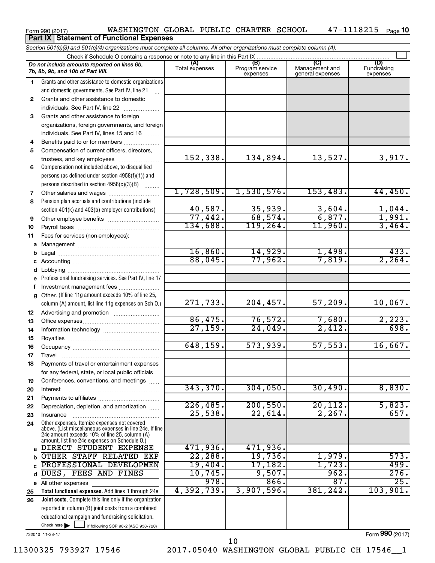|    | Part IX   Statement of Functional Expenses                                                                                 |                                  |                                    |                                           |                                |  |  |  |  |  |
|----|----------------------------------------------------------------------------------------------------------------------------|----------------------------------|------------------------------------|-------------------------------------------|--------------------------------|--|--|--|--|--|
|    | Section 501(c)(3) and 501(c)(4) organizations must complete all columns. All other organizations must complete column (A). |                                  |                                    |                                           |                                |  |  |  |  |  |
|    | Check if Schedule O contains a response or note to any line in this Part IX                                                |                                  |                                    |                                           |                                |  |  |  |  |  |
|    | Do not include amounts reported on lines 6b,<br>7b, 8b, 9b, and 10b of Part VIII.                                          | (A)<br>Total expenses            | (B)<br>Program service<br>expenses | (C)<br>Management and<br>general expenses | (D)<br>Fundraising<br>expenses |  |  |  |  |  |
| 1. | Grants and other assistance to domestic organizations                                                                      |                                  |                                    |                                           |                                |  |  |  |  |  |
|    | and domestic governments. See Part IV, line 21                                                                             |                                  |                                    |                                           |                                |  |  |  |  |  |
| 2  | Grants and other assistance to domestic                                                                                    |                                  |                                    |                                           |                                |  |  |  |  |  |
|    | individuals. See Part IV, line 22                                                                                          |                                  |                                    |                                           |                                |  |  |  |  |  |
| 3  | Grants and other assistance to foreign                                                                                     |                                  |                                    |                                           |                                |  |  |  |  |  |
|    | organizations, foreign governments, and foreign                                                                            |                                  |                                    |                                           |                                |  |  |  |  |  |
|    | individuals. See Part IV, lines 15 and 16                                                                                  |                                  |                                    |                                           |                                |  |  |  |  |  |
| 4  | Benefits paid to or for members                                                                                            |                                  |                                    |                                           |                                |  |  |  |  |  |
| 5  | Compensation of current officers, directors,<br>trustees, and key employees                                                | 152,338.                         | 134,894.                           | 13,527.                                   | 3,917.                         |  |  |  |  |  |
| 6  | Compensation not included above, to disqualified                                                                           |                                  |                                    |                                           |                                |  |  |  |  |  |
|    | persons (as defined under section 4958(f)(1)) and                                                                          |                                  |                                    |                                           |                                |  |  |  |  |  |
|    | persons described in section 4958(c)(3)(B)                                                                                 |                                  |                                    |                                           |                                |  |  |  |  |  |
| 7  | Other salaries and wages                                                                                                   | 1,728,509.                       | 1,530,576.                         | 153,483.                                  | 44,450.                        |  |  |  |  |  |
| 8  | Pension plan accruals and contributions (include                                                                           |                                  |                                    |                                           |                                |  |  |  |  |  |
|    | section 401(k) and 403(b) employer contributions)                                                                          | 40,587.                          | 35,939.                            |                                           |                                |  |  |  |  |  |
| 9  | Other employee benefits                                                                                                    | 77,442.                          | 68,574.                            | $\frac{3,604}{6,877}$ .                   | $\frac{1,044}{1,991}$          |  |  |  |  |  |
| 10 |                                                                                                                            | 134,688.                         | 119, 264.                          | 11,960.                                   | 3,464.                         |  |  |  |  |  |
| 11 | Fees for services (non-employees):                                                                                         |                                  |                                    |                                           |                                |  |  |  |  |  |
| a  |                                                                                                                            |                                  |                                    |                                           |                                |  |  |  |  |  |
| b  |                                                                                                                            | 16,860.                          | 14,929.                            | 1,498.                                    | 433.                           |  |  |  |  |  |
| с  |                                                                                                                            | 88,045.                          | 77,962.                            | 7,819.                                    | 2, 264.                        |  |  |  |  |  |
| d  |                                                                                                                            |                                  |                                    |                                           |                                |  |  |  |  |  |
| e  | Professional fundraising services. See Part IV, line 17                                                                    |                                  |                                    |                                           |                                |  |  |  |  |  |
| f  | Investment management fees                                                                                                 |                                  |                                    |                                           |                                |  |  |  |  |  |
| g  | Other. (If line 11g amount exceeds 10% of line 25,                                                                         |                                  |                                    |                                           |                                |  |  |  |  |  |
|    | column (A) amount, list line 11g expenses on Sch O.)                                                                       | 271,733.                         | 204, 457.                          | 57,209.                                   | 10,067.                        |  |  |  |  |  |
| 12 |                                                                                                                            |                                  |                                    |                                           |                                |  |  |  |  |  |
| 13 |                                                                                                                            | 86,475.<br>$\overline{27,159}$ . | 76,572.<br>24,049.                 | 7,680.<br>2,412.                          | 2,223.<br>698.                 |  |  |  |  |  |
| 14 |                                                                                                                            |                                  |                                    |                                           |                                |  |  |  |  |  |
| 15 |                                                                                                                            | 648, 159.                        | 573,939.                           | 57, 553.                                  | 16,667.                        |  |  |  |  |  |
| 16 |                                                                                                                            |                                  |                                    |                                           |                                |  |  |  |  |  |
| 17 | <b>I</b> ravel                                                                                                             |                                  |                                    |                                           |                                |  |  |  |  |  |
| 18 | Payments of travel or entertainment expenses<br>for any federal, state, or local public officials                          |                                  |                                    |                                           |                                |  |  |  |  |  |
| 19 | Conferences, conventions, and meetings                                                                                     |                                  |                                    |                                           |                                |  |  |  |  |  |
| 20 | Interest                                                                                                                   | 343,370.                         | 304,050.                           | 30,490.                                   | 8,830.                         |  |  |  |  |  |
| 21 |                                                                                                                            |                                  |                                    |                                           |                                |  |  |  |  |  |
| 22 | Depreciation, depletion, and amortization                                                                                  | 226,485.                         | 200, 550.                          | 20, 112.                                  | 5,823.                         |  |  |  |  |  |
| 23 | Insurance                                                                                                                  | 25,538.                          | 22,614.                            | 2,267.                                    | 657.                           |  |  |  |  |  |
| 24 | Other expenses. Itemize expenses not covered<br>above. (List miscellaneous expenses in line 24e. If line                   |                                  |                                    |                                           |                                |  |  |  |  |  |
|    | 24e amount exceeds 10% of line 25, column (A)<br>amount, list line 24e expenses on Schedule O.)                            |                                  |                                    |                                           |                                |  |  |  |  |  |
| a  | DIRECT STUDENT EXPENSE                                                                                                     | 471,936.                         | 471,936.                           |                                           |                                |  |  |  |  |  |
| b  | OTHER STAFF RELATED EXP                                                                                                    | 22, 288.                         | 19,736.                            | 1,979.                                    | 573.                           |  |  |  |  |  |
| C  | PROFESSIONAL DEVELOPMEN                                                                                                    | $19,404$ .                       | 17,182.                            | 1,723.                                    | 499.                           |  |  |  |  |  |
| d  | DUES, FEES AND FINES                                                                                                       | 10,745.                          | 9,507.                             | 962.                                      | 276.                           |  |  |  |  |  |
| е  | All other expenses                                                                                                         | 978.                             | 866.                               | 87.                                       | 25.                            |  |  |  |  |  |
| 25 | Total functional expenses. Add lines 1 through 24e                                                                         | 4,392,739.                       | 3,907,596.                         | 381,242.                                  | 103,901.                       |  |  |  |  |  |
| 26 | Joint costs. Complete this line only if the organization                                                                   |                                  |                                    |                                           |                                |  |  |  |  |  |
|    | reported in column (B) joint costs from a combined                                                                         |                                  |                                    |                                           |                                |  |  |  |  |  |
|    | educational campaign and fundraising solicitation.                                                                         |                                  |                                    |                                           |                                |  |  |  |  |  |
|    | Check here<br>if following SOP 98-2 (ASC 958-720)                                                                          |                                  |                                    |                                           |                                |  |  |  |  |  |
|    | 732010 11-28-17                                                                                                            |                                  |                                    |                                           | Form 990 (2017)                |  |  |  |  |  |

Form 990 (2017) Page

WASHINGTON GLOBAL PUBLIC CHARTER SCHOOL 47-1118215

47-1118215 Page 10

11300325 793927 17546 2017.05040 WASHINGTON GLOBAL PUBLIC CH 17546\_\_1 10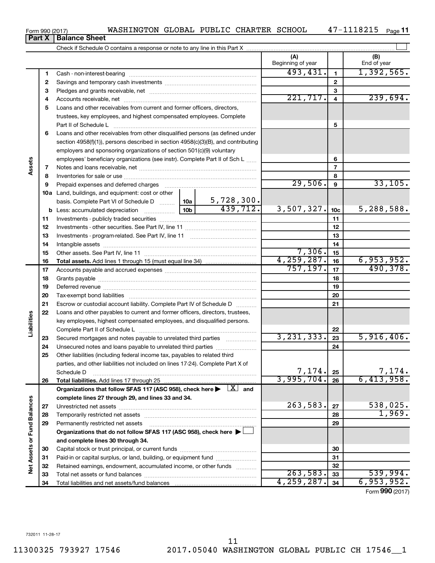| Form 990 (2017) | WASHINGTON GLOBAL PUBLIC CHARTER SCHOOL |  |  | 0413 | Page |
|-----------------|-----------------------------------------|--|--|------|------|
|                 |                                         |  |  |      |      |

# **Part X Balance Sheet**

|                             |          |                                                                                                                                                          |              |    | (A)<br>Beginning of year |                 | (B)<br>End of year     |
|-----------------------------|----------|----------------------------------------------------------------------------------------------------------------------------------------------------------|--------------|----|--------------------------|-----------------|------------------------|
|                             | 1        |                                                                                                                                                          |              |    | 493,431.                 | $\mathbf{1}$    | 1,392,565.             |
|                             | 2        |                                                                                                                                                          |              |    |                          | $\mathbf{2}$    |                        |
|                             | з        |                                                                                                                                                          |              |    | 3                        |                 |                        |
|                             | 4        |                                                                                                                                                          |              |    | 221,717.                 | $\overline{4}$  | 239,694.               |
|                             | 5        | Loans and other receivables from current and former officers, directors,                                                                                 |              |    |                          |                 |                        |
|                             |          | trustees, key employees, and highest compensated employees. Complete                                                                                     |              |    |                          |                 |                        |
|                             |          | Part II of Schedule L                                                                                                                                    |              |    |                          | 5               |                        |
|                             | 6        | Loans and other receivables from other disqualified persons (as defined under                                                                            |              |    |                          |                 |                        |
|                             |          | section 4958(f)(1)), persons described in section 4958(c)(3)(B), and contributing                                                                        |              |    |                          |                 |                        |
|                             |          | employers and sponsoring organizations of section 501(c)(9) voluntary                                                                                    |              |    |                          |                 |                        |
|                             |          | employees' beneficiary organizations (see instr). Complete Part II of Sch L                                                                              |              |    |                          | 6               |                        |
| Assets                      | 7        |                                                                                                                                                          |              |    |                          | 7               |                        |
|                             | 8        |                                                                                                                                                          |              |    |                          | 8               |                        |
|                             | 9        | Prepaid expenses and deferred charges                                                                                                                    |              |    | 29,506.                  | 9               | 33,105.                |
|                             |          | 10a Land, buildings, and equipment: cost or other                                                                                                        |              |    |                          |                 |                        |
|                             |          |                                                                                                                                                          |              |    |                          |                 |                        |
|                             |          |                                                                                                                                                          |              |    | 3,507,327.               | 10 <sub>c</sub> | 5,288,588.             |
|                             | 11       |                                                                                                                                                          |              |    |                          | 11              |                        |
|                             | 12       |                                                                                                                                                          |              |    |                          | 12              |                        |
|                             | 13       |                                                                                                                                                          |              |    |                          | 13              |                        |
|                             | 14       |                                                                                                                                                          | 7,306.       | 14 |                          |                 |                        |
|                             | 15       |                                                                                                                                                          |              |    | 4,259,287.               | 15              |                        |
|                             | 16       |                                                                                                                                                          |              |    | 757, 197.                | 16              | 6,953,952.<br>490,378. |
|                             | 17       |                                                                                                                                                          |              |    | 17                       |                 |                        |
|                             | 18       |                                                                                                                                                          |              |    | 18                       |                 |                        |
|                             | 19       |                                                                                                                                                          |              |    | 19                       |                 |                        |
|                             | 20       |                                                                                                                                                          |              |    |                          | 20              |                        |
|                             | 21<br>22 | Escrow or custodial account liability. Complete Part IV of Schedule D                                                                                    |              |    |                          | 21              |                        |
| Liabilities                 |          | Loans and other payables to current and former officers, directors, trustees,<br>key employees, highest compensated employees, and disqualified persons. |              |    |                          |                 |                        |
|                             |          |                                                                                                                                                          |              |    |                          | 22              |                        |
|                             | 23       | Secured mortgages and notes payable to unrelated third parties                                                                                           |              |    | 3, 231, 333.             | 23              | 5,916,406.             |
|                             | 24       |                                                                                                                                                          |              |    |                          | 24              |                        |
|                             | 25       | Other liabilities (including federal income tax, payables to related third                                                                               |              |    |                          |                 |                        |
|                             |          | parties, and other liabilities not included on lines 17-24). Complete Part X of                                                                          |              |    |                          |                 |                        |
|                             |          | Schedule D                                                                                                                                               |              |    | 7,174.                   | 25              | 7,174.                 |
|                             | 26       | Total liabilities. Add lines 17 through 25                                                                                                               |              |    | 3,995,704.               | 26              | 6,413,958.             |
|                             |          | Organizations that follow SFAS 117 (ASC 958), check here $\blacktriangleright \begin{array}{c} \boxed{X} \end{array}$ and                                |              |    |                          |                 |                        |
|                             |          | complete lines 27 through 29, and lines 33 and 34.                                                                                                       |              |    |                          |                 |                        |
|                             | 27       |                                                                                                                                                          |              |    | 263,583.                 | 27              | 538,025.               |
|                             | 28       |                                                                                                                                                          |              |    |                          | 28              | 1,969.                 |
|                             | 29       | Permanently restricted net assets                                                                                                                        |              |    |                          | 29              |                        |
|                             |          | Organizations that do not follow SFAS 117 (ASC 958), check here $\blacktriangleright$                                                                    |              |    |                          |                 |                        |
|                             |          | and complete lines 30 through 34.                                                                                                                        |              |    |                          |                 |                        |
|                             | 30       |                                                                                                                                                          |              |    |                          | 30              |                        |
|                             | 31       | Paid-in or capital surplus, or land, building, or equipment fund                                                                                         |              |    |                          | 31              |                        |
| Net Assets or Fund Balances | 32       | Retained earnings, endowment, accumulated income, or other funds                                                                                         |              |    |                          | 32              |                        |
|                             | 33       |                                                                                                                                                          |              |    | 263,583.                 | 33              | 539,994.               |
|                             | 34       |                                                                                                                                                          | 4, 259, 287. | 34 | 6,953,952.               |                 |                        |

Form (2017) **990**

 $\overline{\phantom{0}}$ 

|  | orm 990 (2017) |  |
|--|----------------|--|
|  |                |  |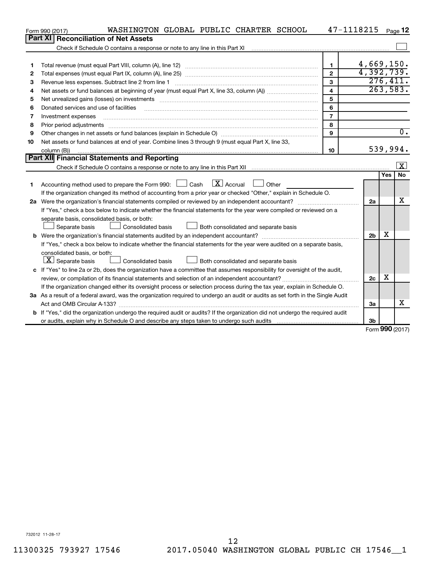|    | WASHINGTON GLOBAL PUBLIC CHARTER SCHOOL<br>Form 990 (2017)                                                                      |                         | 47-1118215     |            | Page 12                 |
|----|---------------------------------------------------------------------------------------------------------------------------------|-------------------------|----------------|------------|-------------------------|
|    | Part XI   Reconciliation of Net Assets                                                                                          |                         |                |            |                         |
|    |                                                                                                                                 |                         |                |            |                         |
|    |                                                                                                                                 |                         |                |            |                         |
| 1  |                                                                                                                                 | $\mathbf{1}$            | 4,669,150.     |            |                         |
| 2  |                                                                                                                                 | $\overline{2}$          | 4,392,739.     |            |                         |
| З  | Revenue less expenses. Subtract line 2 from line 1                                                                              | 3                       |                |            | 276,411.                |
| 4  |                                                                                                                                 | $\overline{\mathbf{4}}$ |                |            | 263,583.                |
| 5  |                                                                                                                                 | 5                       |                |            |                         |
| 6  | Donated services and use of facilities                                                                                          | 6                       |                |            |                         |
| 7  | Investment expenses                                                                                                             | $\overline{7}$          |                |            |                         |
| 8  | Prior period adjustments                                                                                                        | 8                       |                |            |                         |
| 9  |                                                                                                                                 | 9                       |                |            | $\overline{0}$ .        |
| 10 | Net assets or fund balances at end of year. Combine lines 3 through 9 (must equal Part X, line 33,                              |                         |                |            |                         |
|    | column (B))                                                                                                                     | 10                      |                |            | 539,994.                |
|    | Part XII Financial Statements and Reporting                                                                                     |                         |                |            |                         |
|    |                                                                                                                                 |                         |                |            | $\overline{\mathbf{x}}$ |
|    |                                                                                                                                 |                         |                | <b>Yes</b> | No                      |
| 1  | Accounting method used to prepare the Form 990: $\Box$ Cash $\Box X$ Accrual<br>$\Box$ Other                                    |                         |                |            |                         |
|    | If the organization changed its method of accounting from a prior year or checked "Other," explain in Schedule O.               |                         |                |            |                         |
|    |                                                                                                                                 |                         | 2a             |            | х                       |
|    | If "Yes," check a box below to indicate whether the financial statements for the year were compiled or reviewed on a            |                         |                |            |                         |
|    | separate basis, consolidated basis, or both:                                                                                    |                         |                |            |                         |
|    | Separate basis<br>Consolidated basis<br>Both consolidated and separate basis                                                    |                         |                |            |                         |
|    |                                                                                                                                 |                         | 2 <sub>b</sub> | X          |                         |
|    | If "Yes," check a box below to indicate whether the financial statements for the year were audited on a separate basis,         |                         |                |            |                         |
|    | consolidated basis, or both:                                                                                                    |                         |                |            |                         |
|    | $ \mathbf{X} $ Separate basis<br><b>Consolidated basis</b><br>Both consolidated and separate basis                              |                         |                |            |                         |
|    | c If "Yes" to line 2a or 2b, does the organization have a committee that assumes responsibility for oversight of the audit,     |                         |                |            |                         |
|    |                                                                                                                                 |                         | 2c             | х          |                         |
|    | If the organization changed either its oversight process or selection process during the tax year, explain in Schedule O.       |                         |                |            |                         |
|    | 3a As a result of a federal award, was the organization required to undergo an audit or audits as set forth in the Single Audit |                         |                |            |                         |
|    |                                                                                                                                 |                         | За             |            | x                       |
|    | b If "Yes," did the organization undergo the required audit or audits? If the organization did not undergo the required audit   |                         |                |            |                         |
|    |                                                                                                                                 |                         | 3b             |            |                         |

Form (2017) **990**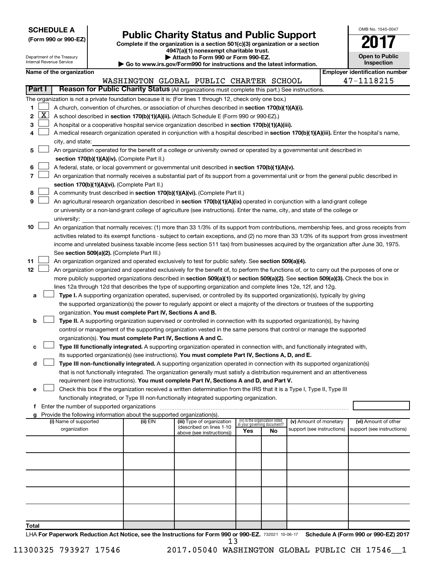| <b>SCHEDULE A</b> |  |
|-------------------|--|
|-------------------|--|

| (Form 990 or 990-EZ) |  |  |
|----------------------|--|--|
|                      |  |  |

# Form 990 or 990-EZ)<br>
Complete if the organization is a section 501(c)(3) organization or a section<br> **Public Charity Status and Public Support**

**4947(a)(1) nonexempt charitable trust.**

| OMB No 1545-0047             |
|------------------------------|
|                              |
| Open to Public<br>Inspection |

l

|        |                       | Department of the Treasury<br>Internal Revenue Service |                                                                                    | Attach to Form 990 or Form 990-EZ.<br>Go to www.irs.gov/Form990 for instructions and the latest information.                                  |     |                                   |                            | <b>Open to Public</b><br><b>Inspection</b> |
|--------|-----------------------|--------------------------------------------------------|------------------------------------------------------------------------------------|-----------------------------------------------------------------------------------------------------------------------------------------------|-----|-----------------------------------|----------------------------|--------------------------------------------|
|        |                       | Name of the organization                               |                                                                                    |                                                                                                                                               |     |                                   |                            | <b>Employer identification number</b>      |
|        |                       |                                                        |                                                                                    | WASHINGTON GLOBAL PUBLIC CHARTER SCHOOL                                                                                                       |     |                                   |                            | 47-1118215                                 |
| Part I |                       |                                                        |                                                                                    | Reason for Public Charity Status (All organizations must complete this part.) See instructions.                                               |     |                                   |                            |                                            |
|        |                       |                                                        |                                                                                    | The organization is not a private foundation because it is: (For lines 1 through 12, check only one box.)                                     |     |                                   |                            |                                            |
| 1      |                       |                                                        |                                                                                    | A church, convention of churches, or association of churches described in section 170(b)(1)(A)(i).                                            |     |                                   |                            |                                            |
| 2      | $\overline{\text{X}}$ |                                                        |                                                                                    | A school described in section 170(b)(1)(A)(ii). (Attach Schedule E (Form 990 or 990-EZ).)                                                     |     |                                   |                            |                                            |
| 3      |                       |                                                        |                                                                                    | A hospital or a cooperative hospital service organization described in section 170(b)(1)(A)(iii).                                             |     |                                   |                            |                                            |
| 4      |                       |                                                        |                                                                                    | A medical research organization operated in conjunction with a hospital described in section 170(b)(1)(A)(iii). Enter the hospital's name,    |     |                                   |                            |                                            |
|        |                       | city, and state:                                       |                                                                                    |                                                                                                                                               |     |                                   |                            |                                            |
| 5      |                       |                                                        |                                                                                    | An organization operated for the benefit of a college or university owned or operated by a governmental unit described in                     |     |                                   |                            |                                            |
|        |                       |                                                        | section 170(b)(1)(A)(iv). (Complete Part II.)                                      |                                                                                                                                               |     |                                   |                            |                                            |
| 6      |                       |                                                        |                                                                                    | A federal, state, or local government or governmental unit described in section 170(b)(1)(A)(v).                                              |     |                                   |                            |                                            |
| 7      |                       |                                                        |                                                                                    | An organization that normally receives a substantial part of its support from a governmental unit or from the general public described in     |     |                                   |                            |                                            |
|        |                       |                                                        | section 170(b)(1)(A)(vi). (Complete Part II.)                                      |                                                                                                                                               |     |                                   |                            |                                            |
| 8      |                       |                                                        |                                                                                    | A community trust described in section 170(b)(1)(A)(vi). (Complete Part II.)                                                                  |     |                                   |                            |                                            |
| 9      |                       |                                                        |                                                                                    | An agricultural research organization described in section 170(b)(1)(A)(ix) operated in conjunction with a land-grant college                 |     |                                   |                            |                                            |
|        |                       |                                                        |                                                                                    | or university or a non-land-grant college of agriculture (see instructions). Enter the name, city, and state of the college or                |     |                                   |                            |                                            |
|        |                       | university:                                            |                                                                                    |                                                                                                                                               |     |                                   |                            |                                            |
| 10     |                       |                                                        |                                                                                    | An organization that normally receives: (1) more than 33 1/3% of its support from contributions, membership fees, and gross receipts from     |     |                                   |                            |                                            |
|        |                       |                                                        |                                                                                    | activities related to its exempt functions - subject to certain exceptions, and (2) no more than 33 1/3% of its support from gross investment |     |                                   |                            |                                            |
|        |                       |                                                        |                                                                                    | income and unrelated business taxable income (less section 511 tax) from businesses acquired by the organization after June 30, 1975.         |     |                                   |                            |                                            |
|        |                       |                                                        | See section 509(a)(2). (Complete Part III.)                                        |                                                                                                                                               |     |                                   |                            |                                            |
| 11     |                       |                                                        |                                                                                    | An organization organized and operated exclusively to test for public safety. See section 509(a)(4).                                          |     |                                   |                            |                                            |
| 12     |                       |                                                        |                                                                                    | An organization organized and operated exclusively for the benefit of, to perform the functions of, or to carry out the purposes of one or    |     |                                   |                            |                                            |
|        |                       |                                                        |                                                                                    | more publicly supported organizations described in section 509(a)(1) or section 509(a)(2). See section 509(a)(3). Check the box in            |     |                                   |                            |                                            |
|        |                       |                                                        |                                                                                    | lines 12a through 12d that describes the type of supporting organization and complete lines 12e, 12f, and 12g.                                |     |                                   |                            |                                            |
| а      |                       |                                                        |                                                                                    | Type I. A supporting organization operated, supervised, or controlled by its supported organization(s), typically by giving                   |     |                                   |                            |                                            |
|        |                       |                                                        |                                                                                    | the supported organization(s) the power to regularly appoint or elect a majority of the directors or trustees of the supporting               |     |                                   |                            |                                            |
|        |                       |                                                        | organization. You must complete Part IV, Sections A and B.                         |                                                                                                                                               |     |                                   |                            |                                            |
| b      |                       |                                                        |                                                                                    | Type II. A supporting organization supervised or controlled in connection with its supported organization(s), by having                       |     |                                   |                            |                                            |
|        |                       |                                                        |                                                                                    | control or management of the supporting organization vested in the same persons that control or manage the supported                          |     |                                   |                            |                                            |
|        |                       |                                                        | organization(s). You must complete Part IV, Sections A and C.                      |                                                                                                                                               |     |                                   |                            |                                            |
| с      |                       |                                                        |                                                                                    | Type III functionally integrated. A supporting organization operated in connection with, and functionally integrated with,                    |     |                                   |                            |                                            |
|        |                       |                                                        |                                                                                    | its supported organization(s) (see instructions). You must complete Part IV, Sections A, D, and E.                                            |     |                                   |                            |                                            |
| d      |                       |                                                        |                                                                                    | Type III non-functionally integrated. A supporting organization operated in connection with its supported organization(s)                     |     |                                   |                            |                                            |
|        |                       |                                                        |                                                                                    | that is not functionally integrated. The organization generally must satisfy a distribution requirement and an attentiveness                  |     |                                   |                            |                                            |
|        |                       |                                                        |                                                                                    | requirement (see instructions). You must complete Part IV, Sections A and D, and Part V.                                                      |     |                                   |                            |                                            |
|        |                       |                                                        |                                                                                    | Check this box if the organization received a written determination from the IRS that it is a Type I, Type II, Type III                       |     |                                   |                            |                                            |
|        |                       |                                                        |                                                                                    | functionally integrated, or Type III non-functionally integrated supporting organization.                                                     |     |                                   |                            |                                            |
|        |                       |                                                        |                                                                                    |                                                                                                                                               |     |                                   |                            |                                            |
|        |                       | (i) Name of supported                                  | Provide the following information about the supported organization(s).<br>(ii) EIN | (iii) Type of organization                                                                                                                    |     | (iv) Is the organization listed   | (v) Amount of monetary     | (vi) Amount of other                       |
|        |                       | organization                                           |                                                                                    | (described on lines 1-10                                                                                                                      | Yes | in your governing document?<br>No | support (see instructions) | support (see instructions)                 |
|        |                       |                                                        |                                                                                    | above (see instructions))                                                                                                                     |     |                                   |                            |                                            |
|        |                       |                                                        |                                                                                    |                                                                                                                                               |     |                                   |                            |                                            |
|        |                       |                                                        |                                                                                    |                                                                                                                                               |     |                                   |                            |                                            |
|        |                       |                                                        |                                                                                    |                                                                                                                                               |     |                                   |                            |                                            |
|        |                       |                                                        |                                                                                    |                                                                                                                                               |     |                                   |                            |                                            |
|        |                       |                                                        |                                                                                    |                                                                                                                                               |     |                                   |                            |                                            |
|        |                       |                                                        |                                                                                    |                                                                                                                                               |     |                                   |                            |                                            |
|        |                       |                                                        |                                                                                    |                                                                                                                                               |     |                                   |                            |                                            |
|        |                       |                                                        |                                                                                    |                                                                                                                                               |     |                                   |                            |                                            |
|        |                       |                                                        |                                                                                    |                                                                                                                                               |     |                                   |                            |                                            |
| Total  |                       |                                                        |                                                                                    |                                                                                                                                               |     |                                   |                            |                                            |

LHA For Paperwork Reduction Act Notice, see the Instructions for Form 990 or 990-EZ. 732021 10-06-17 Schedule A (Form 990 or 990-EZ) 2017 13

11300325 793927 17546 2017.05040 WASHINGTON GLOBAL PUBLIC CH 17546\_\_1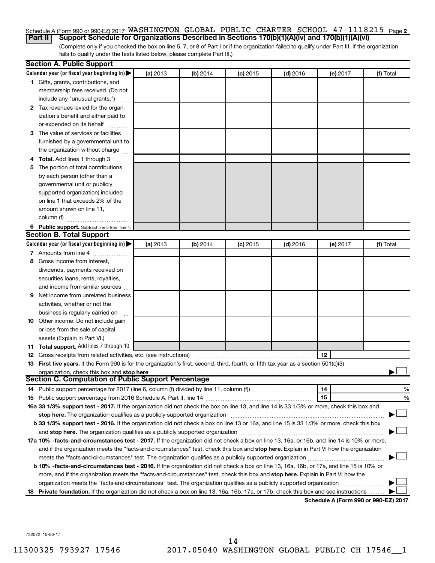### Schedule A (Form 990 or 990-EZ) 2017 WASHINGTON GLOBAL PUBLIC CHARTER SCHOOL  $\,$  47-1118215  $\,$  <sub>Page</sub> 2 **Part II Support Schedule for Organizations Described in Sections 170(b)(1)(A)(iv) and 170(b)(1)(A)(vi)**

(Complete only if you checked the box on line 5, 7, or 8 of Part I or if the organization failed to qualify under Part III. If the organization fails to qualify under the tests listed below, please complete Part III.)

| Calendar year (or fiscal year beginning in)<br>(a) 2013<br>(b) 2014<br>$(c)$ 2015<br>$(d)$ 2016<br>(f) Total<br>(e) 2017<br>1 Gifts, grants, contributions, and<br>membership fees received. (Do not<br>include any "unusual grants.")<br>2 Tax revenues levied for the organ-<br>ization's benefit and either paid to<br>or expended on its behalf<br>3 The value of services or facilities<br>furnished by a governmental unit to<br>the organization without charge<br>4 Total. Add lines 1 through 3<br>5 The portion of total contributions<br>by each person (other than a<br>governmental unit or publicly<br>supported organization) included<br>on line 1 that exceeds 2% of the<br>amount shown on line 11,<br>column (f)<br>6 Public support. Subtract line 5 from line 4.<br><b>Section B. Total Support</b><br>Calendar year (or fiscal year beginning in)<br>(a) 2013<br>(b) 2014<br>$(c)$ 2015<br>$(d)$ 2016<br>(f) Total<br>(e) 2017<br>7 Amounts from line 4<br>Gross income from interest,<br>8<br>dividends, payments received on<br>securities loans, rents, royalties,<br>and income from similar sources<br>Net income from unrelated business<br>9<br>activities, whether or not the<br>business is regularly carried on<br>10 Other income. Do not include gain<br>or loss from the sale of capital<br>assets (Explain in Part VI.)<br>11 Total support. Add lines 7 through 10<br>12<br><b>12</b> Gross receipts from related activities, etc. (see instructions)<br>13 First five years. If the Form 990 is for the organization's first, second, third, fourth, or fifth tax year as a section 501(c)(3)<br>organization, check this box and stop here<br><b>Section C. Computation of Public Support Percentage</b><br>14<br>15<br>16a 33 1/3% support test - 2017. If the organization did not check the box on line 13, and line 14 is 33 1/3% or more, check this box and<br>b 33 1/3% support test - 2016. If the organization did not check a box on line 13 or 16a, and line 15 is 33 1/3% or more, check this box<br>17a 10% -facts-and-circumstances test - 2017. If the organization did not check a box on line 13, 16a, or 16b, and line 14 is 10% or more,<br>and if the organization meets the "facts-and-circumstances" test, check this box and stop here. Explain in Part VI how the organization | <b>Section A. Public Support</b> |  |  |   |
|-----------------------------------------------------------------------------------------------------------------------------------------------------------------------------------------------------------------------------------------------------------------------------------------------------------------------------------------------------------------------------------------------------------------------------------------------------------------------------------------------------------------------------------------------------------------------------------------------------------------------------------------------------------------------------------------------------------------------------------------------------------------------------------------------------------------------------------------------------------------------------------------------------------------------------------------------------------------------------------------------------------------------------------------------------------------------------------------------------------------------------------------------------------------------------------------------------------------------------------------------------------------------------------------------------------------------------------------------------------------------------------------------------------------------------------------------------------------------------------------------------------------------------------------------------------------------------------------------------------------------------------------------------------------------------------------------------------------------------------------------------------------------------------------------------------------------------------------------------------------------------------------------------------------------------------------------------------------------------------------------------------------------------------------------------------------------------------------------------------------------------------------------------------------------------------------------------------------------------------------------------------------------------------------------------------------------------------------------|----------------------------------|--|--|---|
|                                                                                                                                                                                                                                                                                                                                                                                                                                                                                                                                                                                                                                                                                                                                                                                                                                                                                                                                                                                                                                                                                                                                                                                                                                                                                                                                                                                                                                                                                                                                                                                                                                                                                                                                                                                                                                                                                                                                                                                                                                                                                                                                                                                                                                                                                                                                               |                                  |  |  |   |
|                                                                                                                                                                                                                                                                                                                                                                                                                                                                                                                                                                                                                                                                                                                                                                                                                                                                                                                                                                                                                                                                                                                                                                                                                                                                                                                                                                                                                                                                                                                                                                                                                                                                                                                                                                                                                                                                                                                                                                                                                                                                                                                                                                                                                                                                                                                                               |                                  |  |  |   |
|                                                                                                                                                                                                                                                                                                                                                                                                                                                                                                                                                                                                                                                                                                                                                                                                                                                                                                                                                                                                                                                                                                                                                                                                                                                                                                                                                                                                                                                                                                                                                                                                                                                                                                                                                                                                                                                                                                                                                                                                                                                                                                                                                                                                                                                                                                                                               |                                  |  |  |   |
|                                                                                                                                                                                                                                                                                                                                                                                                                                                                                                                                                                                                                                                                                                                                                                                                                                                                                                                                                                                                                                                                                                                                                                                                                                                                                                                                                                                                                                                                                                                                                                                                                                                                                                                                                                                                                                                                                                                                                                                                                                                                                                                                                                                                                                                                                                                                               |                                  |  |  |   |
|                                                                                                                                                                                                                                                                                                                                                                                                                                                                                                                                                                                                                                                                                                                                                                                                                                                                                                                                                                                                                                                                                                                                                                                                                                                                                                                                                                                                                                                                                                                                                                                                                                                                                                                                                                                                                                                                                                                                                                                                                                                                                                                                                                                                                                                                                                                                               |                                  |  |  |   |
|                                                                                                                                                                                                                                                                                                                                                                                                                                                                                                                                                                                                                                                                                                                                                                                                                                                                                                                                                                                                                                                                                                                                                                                                                                                                                                                                                                                                                                                                                                                                                                                                                                                                                                                                                                                                                                                                                                                                                                                                                                                                                                                                                                                                                                                                                                                                               |                                  |  |  |   |
|                                                                                                                                                                                                                                                                                                                                                                                                                                                                                                                                                                                                                                                                                                                                                                                                                                                                                                                                                                                                                                                                                                                                                                                                                                                                                                                                                                                                                                                                                                                                                                                                                                                                                                                                                                                                                                                                                                                                                                                                                                                                                                                                                                                                                                                                                                                                               |                                  |  |  |   |
|                                                                                                                                                                                                                                                                                                                                                                                                                                                                                                                                                                                                                                                                                                                                                                                                                                                                                                                                                                                                                                                                                                                                                                                                                                                                                                                                                                                                                                                                                                                                                                                                                                                                                                                                                                                                                                                                                                                                                                                                                                                                                                                                                                                                                                                                                                                                               |                                  |  |  |   |
|                                                                                                                                                                                                                                                                                                                                                                                                                                                                                                                                                                                                                                                                                                                                                                                                                                                                                                                                                                                                                                                                                                                                                                                                                                                                                                                                                                                                                                                                                                                                                                                                                                                                                                                                                                                                                                                                                                                                                                                                                                                                                                                                                                                                                                                                                                                                               |                                  |  |  |   |
|                                                                                                                                                                                                                                                                                                                                                                                                                                                                                                                                                                                                                                                                                                                                                                                                                                                                                                                                                                                                                                                                                                                                                                                                                                                                                                                                                                                                                                                                                                                                                                                                                                                                                                                                                                                                                                                                                                                                                                                                                                                                                                                                                                                                                                                                                                                                               |                                  |  |  |   |
|                                                                                                                                                                                                                                                                                                                                                                                                                                                                                                                                                                                                                                                                                                                                                                                                                                                                                                                                                                                                                                                                                                                                                                                                                                                                                                                                                                                                                                                                                                                                                                                                                                                                                                                                                                                                                                                                                                                                                                                                                                                                                                                                                                                                                                                                                                                                               |                                  |  |  |   |
|                                                                                                                                                                                                                                                                                                                                                                                                                                                                                                                                                                                                                                                                                                                                                                                                                                                                                                                                                                                                                                                                                                                                                                                                                                                                                                                                                                                                                                                                                                                                                                                                                                                                                                                                                                                                                                                                                                                                                                                                                                                                                                                                                                                                                                                                                                                                               |                                  |  |  |   |
|                                                                                                                                                                                                                                                                                                                                                                                                                                                                                                                                                                                                                                                                                                                                                                                                                                                                                                                                                                                                                                                                                                                                                                                                                                                                                                                                                                                                                                                                                                                                                                                                                                                                                                                                                                                                                                                                                                                                                                                                                                                                                                                                                                                                                                                                                                                                               |                                  |  |  |   |
|                                                                                                                                                                                                                                                                                                                                                                                                                                                                                                                                                                                                                                                                                                                                                                                                                                                                                                                                                                                                                                                                                                                                                                                                                                                                                                                                                                                                                                                                                                                                                                                                                                                                                                                                                                                                                                                                                                                                                                                                                                                                                                                                                                                                                                                                                                                                               |                                  |  |  |   |
|                                                                                                                                                                                                                                                                                                                                                                                                                                                                                                                                                                                                                                                                                                                                                                                                                                                                                                                                                                                                                                                                                                                                                                                                                                                                                                                                                                                                                                                                                                                                                                                                                                                                                                                                                                                                                                                                                                                                                                                                                                                                                                                                                                                                                                                                                                                                               |                                  |  |  |   |
|                                                                                                                                                                                                                                                                                                                                                                                                                                                                                                                                                                                                                                                                                                                                                                                                                                                                                                                                                                                                                                                                                                                                                                                                                                                                                                                                                                                                                                                                                                                                                                                                                                                                                                                                                                                                                                                                                                                                                                                                                                                                                                                                                                                                                                                                                                                                               |                                  |  |  |   |
|                                                                                                                                                                                                                                                                                                                                                                                                                                                                                                                                                                                                                                                                                                                                                                                                                                                                                                                                                                                                                                                                                                                                                                                                                                                                                                                                                                                                                                                                                                                                                                                                                                                                                                                                                                                                                                                                                                                                                                                                                                                                                                                                                                                                                                                                                                                                               |                                  |  |  |   |
|                                                                                                                                                                                                                                                                                                                                                                                                                                                                                                                                                                                                                                                                                                                                                                                                                                                                                                                                                                                                                                                                                                                                                                                                                                                                                                                                                                                                                                                                                                                                                                                                                                                                                                                                                                                                                                                                                                                                                                                                                                                                                                                                                                                                                                                                                                                                               |                                  |  |  |   |
|                                                                                                                                                                                                                                                                                                                                                                                                                                                                                                                                                                                                                                                                                                                                                                                                                                                                                                                                                                                                                                                                                                                                                                                                                                                                                                                                                                                                                                                                                                                                                                                                                                                                                                                                                                                                                                                                                                                                                                                                                                                                                                                                                                                                                                                                                                                                               |                                  |  |  |   |
|                                                                                                                                                                                                                                                                                                                                                                                                                                                                                                                                                                                                                                                                                                                                                                                                                                                                                                                                                                                                                                                                                                                                                                                                                                                                                                                                                                                                                                                                                                                                                                                                                                                                                                                                                                                                                                                                                                                                                                                                                                                                                                                                                                                                                                                                                                                                               |                                  |  |  |   |
|                                                                                                                                                                                                                                                                                                                                                                                                                                                                                                                                                                                                                                                                                                                                                                                                                                                                                                                                                                                                                                                                                                                                                                                                                                                                                                                                                                                                                                                                                                                                                                                                                                                                                                                                                                                                                                                                                                                                                                                                                                                                                                                                                                                                                                                                                                                                               |                                  |  |  |   |
|                                                                                                                                                                                                                                                                                                                                                                                                                                                                                                                                                                                                                                                                                                                                                                                                                                                                                                                                                                                                                                                                                                                                                                                                                                                                                                                                                                                                                                                                                                                                                                                                                                                                                                                                                                                                                                                                                                                                                                                                                                                                                                                                                                                                                                                                                                                                               |                                  |  |  |   |
|                                                                                                                                                                                                                                                                                                                                                                                                                                                                                                                                                                                                                                                                                                                                                                                                                                                                                                                                                                                                                                                                                                                                                                                                                                                                                                                                                                                                                                                                                                                                                                                                                                                                                                                                                                                                                                                                                                                                                                                                                                                                                                                                                                                                                                                                                                                                               |                                  |  |  |   |
|                                                                                                                                                                                                                                                                                                                                                                                                                                                                                                                                                                                                                                                                                                                                                                                                                                                                                                                                                                                                                                                                                                                                                                                                                                                                                                                                                                                                                                                                                                                                                                                                                                                                                                                                                                                                                                                                                                                                                                                                                                                                                                                                                                                                                                                                                                                                               |                                  |  |  |   |
|                                                                                                                                                                                                                                                                                                                                                                                                                                                                                                                                                                                                                                                                                                                                                                                                                                                                                                                                                                                                                                                                                                                                                                                                                                                                                                                                                                                                                                                                                                                                                                                                                                                                                                                                                                                                                                                                                                                                                                                                                                                                                                                                                                                                                                                                                                                                               |                                  |  |  |   |
|                                                                                                                                                                                                                                                                                                                                                                                                                                                                                                                                                                                                                                                                                                                                                                                                                                                                                                                                                                                                                                                                                                                                                                                                                                                                                                                                                                                                                                                                                                                                                                                                                                                                                                                                                                                                                                                                                                                                                                                                                                                                                                                                                                                                                                                                                                                                               |                                  |  |  |   |
|                                                                                                                                                                                                                                                                                                                                                                                                                                                                                                                                                                                                                                                                                                                                                                                                                                                                                                                                                                                                                                                                                                                                                                                                                                                                                                                                                                                                                                                                                                                                                                                                                                                                                                                                                                                                                                                                                                                                                                                                                                                                                                                                                                                                                                                                                                                                               |                                  |  |  |   |
|                                                                                                                                                                                                                                                                                                                                                                                                                                                                                                                                                                                                                                                                                                                                                                                                                                                                                                                                                                                                                                                                                                                                                                                                                                                                                                                                                                                                                                                                                                                                                                                                                                                                                                                                                                                                                                                                                                                                                                                                                                                                                                                                                                                                                                                                                                                                               |                                  |  |  |   |
|                                                                                                                                                                                                                                                                                                                                                                                                                                                                                                                                                                                                                                                                                                                                                                                                                                                                                                                                                                                                                                                                                                                                                                                                                                                                                                                                                                                                                                                                                                                                                                                                                                                                                                                                                                                                                                                                                                                                                                                                                                                                                                                                                                                                                                                                                                                                               |                                  |  |  |   |
|                                                                                                                                                                                                                                                                                                                                                                                                                                                                                                                                                                                                                                                                                                                                                                                                                                                                                                                                                                                                                                                                                                                                                                                                                                                                                                                                                                                                                                                                                                                                                                                                                                                                                                                                                                                                                                                                                                                                                                                                                                                                                                                                                                                                                                                                                                                                               |                                  |  |  |   |
|                                                                                                                                                                                                                                                                                                                                                                                                                                                                                                                                                                                                                                                                                                                                                                                                                                                                                                                                                                                                                                                                                                                                                                                                                                                                                                                                                                                                                                                                                                                                                                                                                                                                                                                                                                                                                                                                                                                                                                                                                                                                                                                                                                                                                                                                                                                                               |                                  |  |  |   |
|                                                                                                                                                                                                                                                                                                                                                                                                                                                                                                                                                                                                                                                                                                                                                                                                                                                                                                                                                                                                                                                                                                                                                                                                                                                                                                                                                                                                                                                                                                                                                                                                                                                                                                                                                                                                                                                                                                                                                                                                                                                                                                                                                                                                                                                                                                                                               |                                  |  |  |   |
|                                                                                                                                                                                                                                                                                                                                                                                                                                                                                                                                                                                                                                                                                                                                                                                                                                                                                                                                                                                                                                                                                                                                                                                                                                                                                                                                                                                                                                                                                                                                                                                                                                                                                                                                                                                                                                                                                                                                                                                                                                                                                                                                                                                                                                                                                                                                               |                                  |  |  |   |
|                                                                                                                                                                                                                                                                                                                                                                                                                                                                                                                                                                                                                                                                                                                                                                                                                                                                                                                                                                                                                                                                                                                                                                                                                                                                                                                                                                                                                                                                                                                                                                                                                                                                                                                                                                                                                                                                                                                                                                                                                                                                                                                                                                                                                                                                                                                                               |                                  |  |  |   |
|                                                                                                                                                                                                                                                                                                                                                                                                                                                                                                                                                                                                                                                                                                                                                                                                                                                                                                                                                                                                                                                                                                                                                                                                                                                                                                                                                                                                                                                                                                                                                                                                                                                                                                                                                                                                                                                                                                                                                                                                                                                                                                                                                                                                                                                                                                                                               |                                  |  |  |   |
|                                                                                                                                                                                                                                                                                                                                                                                                                                                                                                                                                                                                                                                                                                                                                                                                                                                                                                                                                                                                                                                                                                                                                                                                                                                                                                                                                                                                                                                                                                                                                                                                                                                                                                                                                                                                                                                                                                                                                                                                                                                                                                                                                                                                                                                                                                                                               |                                  |  |  |   |
|                                                                                                                                                                                                                                                                                                                                                                                                                                                                                                                                                                                                                                                                                                                                                                                                                                                                                                                                                                                                                                                                                                                                                                                                                                                                                                                                                                                                                                                                                                                                                                                                                                                                                                                                                                                                                                                                                                                                                                                                                                                                                                                                                                                                                                                                                                                                               |                                  |  |  |   |
|                                                                                                                                                                                                                                                                                                                                                                                                                                                                                                                                                                                                                                                                                                                                                                                                                                                                                                                                                                                                                                                                                                                                                                                                                                                                                                                                                                                                                                                                                                                                                                                                                                                                                                                                                                                                                                                                                                                                                                                                                                                                                                                                                                                                                                                                                                                                               |                                  |  |  | % |
|                                                                                                                                                                                                                                                                                                                                                                                                                                                                                                                                                                                                                                                                                                                                                                                                                                                                                                                                                                                                                                                                                                                                                                                                                                                                                                                                                                                                                                                                                                                                                                                                                                                                                                                                                                                                                                                                                                                                                                                                                                                                                                                                                                                                                                                                                                                                               |                                  |  |  | % |
|                                                                                                                                                                                                                                                                                                                                                                                                                                                                                                                                                                                                                                                                                                                                                                                                                                                                                                                                                                                                                                                                                                                                                                                                                                                                                                                                                                                                                                                                                                                                                                                                                                                                                                                                                                                                                                                                                                                                                                                                                                                                                                                                                                                                                                                                                                                                               |                                  |  |  |   |
|                                                                                                                                                                                                                                                                                                                                                                                                                                                                                                                                                                                                                                                                                                                                                                                                                                                                                                                                                                                                                                                                                                                                                                                                                                                                                                                                                                                                                                                                                                                                                                                                                                                                                                                                                                                                                                                                                                                                                                                                                                                                                                                                                                                                                                                                                                                                               |                                  |  |  |   |
|                                                                                                                                                                                                                                                                                                                                                                                                                                                                                                                                                                                                                                                                                                                                                                                                                                                                                                                                                                                                                                                                                                                                                                                                                                                                                                                                                                                                                                                                                                                                                                                                                                                                                                                                                                                                                                                                                                                                                                                                                                                                                                                                                                                                                                                                                                                                               |                                  |  |  |   |
|                                                                                                                                                                                                                                                                                                                                                                                                                                                                                                                                                                                                                                                                                                                                                                                                                                                                                                                                                                                                                                                                                                                                                                                                                                                                                                                                                                                                                                                                                                                                                                                                                                                                                                                                                                                                                                                                                                                                                                                                                                                                                                                                                                                                                                                                                                                                               |                                  |  |  |   |
|                                                                                                                                                                                                                                                                                                                                                                                                                                                                                                                                                                                                                                                                                                                                                                                                                                                                                                                                                                                                                                                                                                                                                                                                                                                                                                                                                                                                                                                                                                                                                                                                                                                                                                                                                                                                                                                                                                                                                                                                                                                                                                                                                                                                                                                                                                                                               |                                  |  |  |   |
|                                                                                                                                                                                                                                                                                                                                                                                                                                                                                                                                                                                                                                                                                                                                                                                                                                                                                                                                                                                                                                                                                                                                                                                                                                                                                                                                                                                                                                                                                                                                                                                                                                                                                                                                                                                                                                                                                                                                                                                                                                                                                                                                                                                                                                                                                                                                               |                                  |  |  |   |
|                                                                                                                                                                                                                                                                                                                                                                                                                                                                                                                                                                                                                                                                                                                                                                                                                                                                                                                                                                                                                                                                                                                                                                                                                                                                                                                                                                                                                                                                                                                                                                                                                                                                                                                                                                                                                                                                                                                                                                                                                                                                                                                                                                                                                                                                                                                                               |                                  |  |  |   |
| b 10% -facts-and-circumstances test - 2016. If the organization did not check a box on line 13, 16a, 16b, or 17a, and line 15 is 10% or                                                                                                                                                                                                                                                                                                                                                                                                                                                                                                                                                                                                                                                                                                                                                                                                                                                                                                                                                                                                                                                                                                                                                                                                                                                                                                                                                                                                                                                                                                                                                                                                                                                                                                                                                                                                                                                                                                                                                                                                                                                                                                                                                                                                       |                                  |  |  |   |
| more, and if the organization meets the "facts-and-circumstances" test, check this box and stop here. Explain in Part VI how the                                                                                                                                                                                                                                                                                                                                                                                                                                                                                                                                                                                                                                                                                                                                                                                                                                                                                                                                                                                                                                                                                                                                                                                                                                                                                                                                                                                                                                                                                                                                                                                                                                                                                                                                                                                                                                                                                                                                                                                                                                                                                                                                                                                                              |                                  |  |  |   |
| organization meets the "facts-and-circumstances" test. The organization qualifies as a publicly supported organization                                                                                                                                                                                                                                                                                                                                                                                                                                                                                                                                                                                                                                                                                                                                                                                                                                                                                                                                                                                                                                                                                                                                                                                                                                                                                                                                                                                                                                                                                                                                                                                                                                                                                                                                                                                                                                                                                                                                                                                                                                                                                                                                                                                                                        |                                  |  |  |   |
| 18 Private foundation. If the organization did not check a box on line 13, 16a, 16b, 17a, or 17b, check this box and see instructions<br>Schedule A (Form 990 or 990-F7) 2017                                                                                                                                                                                                                                                                                                                                                                                                                                                                                                                                                                                                                                                                                                                                                                                                                                                                                                                                                                                                                                                                                                                                                                                                                                                                                                                                                                                                                                                                                                                                                                                                                                                                                                                                                                                                                                                                                                                                                                                                                                                                                                                                                                 |                                  |  |  |   |

**Schedule A (Form 990 or 990-EZ) 2017**

732022 10-06-17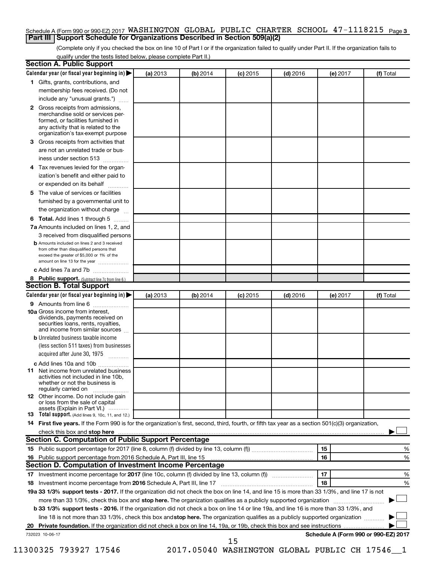## Schedule A (Form 990 or 990-EZ) 2017 WASHINGTON GLOBAL PUBLIC CHARTER SCHOOL  $\,$  47-1118215  $\,$  <sub>Page 3</sub> **Part III Support Schedule for Organizations Described in Section 509(a)(2)**

(Complete only if you checked the box on line 10 of Part I or if the organization failed to qualify under Part II. If the organization fails to qualify under the tests listed below, please complete Part II.)

| <b>Section A. Public Support</b>                                                                                                                                                                                                                                        |          |          |            |            |          |                                      |
|-------------------------------------------------------------------------------------------------------------------------------------------------------------------------------------------------------------------------------------------------------------------------|----------|----------|------------|------------|----------|--------------------------------------|
| Calendar year (or fiscal year beginning in)                                                                                                                                                                                                                             | (a) 2013 | (b) 2014 | $(c)$ 2015 | $(d)$ 2016 | (e) 2017 | (f) Total                            |
| 1 Gifts, grants, contributions, and                                                                                                                                                                                                                                     |          |          |            |            |          |                                      |
| membership fees received. (Do not                                                                                                                                                                                                                                       |          |          |            |            |          |                                      |
| include any "unusual grants.")                                                                                                                                                                                                                                          |          |          |            |            |          |                                      |
| 2 Gross receipts from admissions,<br>merchandise sold or services per-<br>formed, or facilities furnished in<br>any activity that is related to the<br>organization's tax-exempt purpose                                                                                |          |          |            |            |          |                                      |
| <b>3</b> Gross receipts from activities that                                                                                                                                                                                                                            |          |          |            |            |          |                                      |
| are not an unrelated trade or bus-                                                                                                                                                                                                                                      |          |          |            |            |          |                                      |
| iness under section 513                                                                                                                                                                                                                                                 |          |          |            |            |          |                                      |
| 4 Tax revenues levied for the organ-                                                                                                                                                                                                                                    |          |          |            |            |          |                                      |
| ization's benefit and either paid to                                                                                                                                                                                                                                    |          |          |            |            |          |                                      |
| or expended on its behalf                                                                                                                                                                                                                                               |          |          |            |            |          |                                      |
| 5 The value of services or facilities                                                                                                                                                                                                                                   |          |          |            |            |          |                                      |
| furnished by a governmental unit to                                                                                                                                                                                                                                     |          |          |            |            |          |                                      |
| the organization without charge                                                                                                                                                                                                                                         |          |          |            |            |          |                                      |
| 6 Total. Add lines 1 through 5                                                                                                                                                                                                                                          |          |          |            |            |          |                                      |
| 7a Amounts included on lines 1, 2, and                                                                                                                                                                                                                                  |          |          |            |            |          |                                      |
| 3 received from disqualified persons                                                                                                                                                                                                                                    |          |          |            |            |          |                                      |
| <b>b</b> Amounts included on lines 2 and 3 received<br>from other than disqualified persons that<br>exceed the greater of \$5,000 or 1% of the<br>amount on line 13 for the year                                                                                        |          |          |            |            |          |                                      |
| c Add lines 7a and 7b                                                                                                                                                                                                                                                   |          |          |            |            |          |                                      |
| 8 Public support. (Subtract line 7c from line 6.)                                                                                                                                                                                                                       |          |          |            |            |          |                                      |
| <b>Section B. Total Support</b>                                                                                                                                                                                                                                         |          |          |            |            |          |                                      |
| Calendar year (or fiscal year beginning in) $\blacktriangleright$                                                                                                                                                                                                       | (a) 2013 | (b) 2014 | $(c)$ 2015 | $(d)$ 2016 | (e) 2017 | (f) Total                            |
| 9 Amounts from line 6                                                                                                                                                                                                                                                   |          |          |            |            |          |                                      |
| <b>10a</b> Gross income from interest,<br>dividends, payments received on<br>securities loans, rents, royalties,<br>and income from similar sources                                                                                                                     |          |          |            |            |          |                                      |
| <b>b</b> Unrelated business taxable income                                                                                                                                                                                                                              |          |          |            |            |          |                                      |
| (less section 511 taxes) from businesses                                                                                                                                                                                                                                |          |          |            |            |          |                                      |
| acquired after June 30, 1975<br>$\overline{\phantom{a}}$                                                                                                                                                                                                                |          |          |            |            |          |                                      |
| c Add lines 10a and 10b                                                                                                                                                                                                                                                 |          |          |            |            |          |                                      |
| <b>11</b> Net income from unrelated business<br>activities not included in line 10b.<br>whether or not the business is<br>regularly carried on                                                                                                                          |          |          |            |            |          |                                      |
| <b>12</b> Other income. Do not include gain<br>or loss from the sale of capital<br>assets (Explain in Part VI.)                                                                                                                                                         |          |          |            |            |          |                                      |
| <b>13</b> Total support. (Add lines 9, 10c, 11, and 12.)                                                                                                                                                                                                                |          |          |            |            |          |                                      |
| 14 First five years. If the Form 990 is for the organization's first, second, third, fourth, or fifth tax year as a section 501(c)(3) organization,                                                                                                                     |          |          |            |            |          |                                      |
| check this box and stop here <i>macuum construction construction and stop</i> here <i>maximum construction</i> and stop here <i>macuum construction</i> and <i>stop</i> here <i>maximum construction</i> and <i>stop</i> here <i>maximum construction</i> and <i>st</i> |          |          |            |            |          |                                      |
| Section C. Computation of Public Support Percentage                                                                                                                                                                                                                     |          |          |            |            |          |                                      |
|                                                                                                                                                                                                                                                                         |          |          |            |            | 15       | %                                    |
| 16 Public support percentage from 2016 Schedule A, Part III, line 15                                                                                                                                                                                                    |          |          |            |            | 16       | %                                    |
| Section D. Computation of Investment Income Percentage                                                                                                                                                                                                                  |          |          |            |            |          |                                      |
|                                                                                                                                                                                                                                                                         |          |          |            |            | 17       | %                                    |
| 18 Investment income percentage from 2016 Schedule A, Part III, line 17                                                                                                                                                                                                 |          |          |            |            | 18       | %                                    |
| 19a 33 1/3% support tests - 2017. If the organization did not check the box on line 14, and line 15 is more than 33 1/3%, and line 17 is not                                                                                                                            |          |          |            |            |          |                                      |
| more than 33 1/3%, check this box and stop here. The organization qualifies as a publicly supported organization                                                                                                                                                        |          |          |            |            |          |                                      |
| b 33 1/3% support tests - 2016. If the organization did not check a box on line 14 or line 19a, and line 16 is more than 33 1/3%, and                                                                                                                                   |          |          |            |            |          |                                      |
| line 18 is not more than 33 1/3%, check this box and stop here. The organization qualifies as a publicly supported organization                                                                                                                                         |          |          |            |            |          |                                      |
|                                                                                                                                                                                                                                                                         |          |          |            |            |          |                                      |
| 732023 10-06-17                                                                                                                                                                                                                                                         |          |          | 15         |            |          | Schedule A (Form 990 or 990-EZ) 2017 |

11300325 793927 17546 2017.05040 WASHINGTON GLOBAL PUBLIC CH 17546\_\_1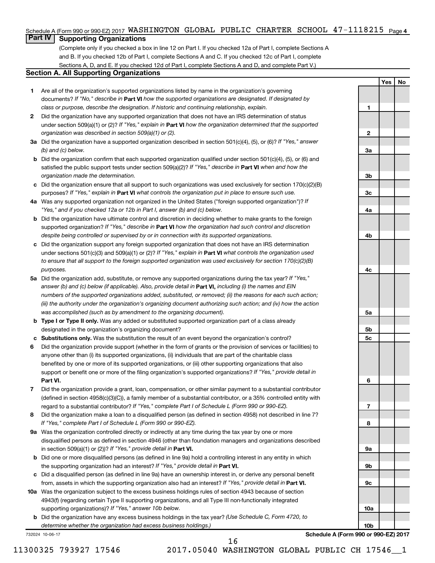## Schedule A (Form 990 or 990-EZ) 2017 WASHINGTON GLOBAL PUBLIC CHARTER SCHOOL  $\,$  47-1118215  $\,$  <sub>Page 4</sub>

# **Part IV Supporting Organizations**

(Complete only if you checked a box in line 12 on Part I. If you checked 12a of Part I, complete Sections A and B. If you checked 12b of Part I, complete Sections A and C. If you checked 12c of Part I, complete Sections A, D, and E. If you checked 12d of Part I, complete Sections A and D, and complete Part V.)

## **Section A. All Supporting Organizations**

- **1** Are all of the organization's supported organizations listed by name in the organization's governing documents? If "No," describe in Part VI how the supported organizations are designated. If designated by *class or purpose, describe the designation. If historic and continuing relationship, explain.*
- **2** Did the organization have any supported organization that does not have an IRS determination of status under section 509(a)(1) or (2)? If "Yes," explain in Part **VI** how the organization determined that the supported *organization was described in section 509(a)(1) or (2).*
- **3a** Did the organization have a supported organization described in section 501(c)(4), (5), or (6)? If "Yes," answer *(b) and (c) below.*
- **b** Did the organization confirm that each supported organization qualified under section 501(c)(4), (5), or (6) and satisfied the public support tests under section 509(a)(2)? If "Yes," describe in Part VI when and how the *organization made the determination.*
- **c** Did the organization ensure that all support to such organizations was used exclusively for section 170(c)(2)(B) purposes? If "Yes," explain in Part VI what controls the organization put in place to ensure such use.
- **4 a** *If* Was any supported organization not organized in the United States ("foreign supported organization")? *"Yes," and if you checked 12a or 12b in Part I, answer (b) and (c) below.*
- **b** Did the organization have ultimate control and discretion in deciding whether to make grants to the foreign supported organization? If "Yes," describe in Part VI how the organization had such control and discretion *despite being controlled or supervised by or in connection with its supported organizations.*
- **c** Did the organization support any foreign supported organization that does not have an IRS determination under sections 501(c)(3) and 509(a)(1) or (2)? If "Yes," explain in Part VI what controls the organization used *to ensure that all support to the foreign supported organization was used exclusively for section 170(c)(2)(B) purposes.*
- **5a** Did the organization add, substitute, or remove any supported organizations during the tax year? If "Yes," answer (b) and (c) below (if applicable). Also, provide detail in **Part VI,** including (i) the names and EIN *numbers of the supported organizations added, substituted, or removed; (ii) the reasons for each such action; (iii) the authority under the organization's organizing document authorizing such action; and (iv) how the action was accomplished (such as by amendment to the organizing document).*
- **b** Type I or Type II only. Was any added or substituted supported organization part of a class already designated in the organization's organizing document?
- **c Substitutions only.**  Was the substitution the result of an event beyond the organization's control?
- **6** Did the organization provide support (whether in the form of grants or the provision of services or facilities) to **Part VI.** support or benefit one or more of the filing organization's supported organizations? If "Yes," provide detail in anyone other than (i) its supported organizations, (ii) individuals that are part of the charitable class benefited by one or more of its supported organizations, or (iii) other supporting organizations that also
- **7** Did the organization provide a grant, loan, compensation, or other similar payment to a substantial contributor regard to a substantial contributor? If "Yes," complete Part I of Schedule L (Form 990 or 990-EZ). (defined in section 4958(c)(3)(C)), a family member of a substantial contributor, or a 35% controlled entity with
- **8** Did the organization make a loan to a disqualified person (as defined in section 4958) not described in line 7? *If "Yes," complete Part I of Schedule L (Form 990 or 990-EZ).*
- **9 a** Was the organization controlled directly or indirectly at any time during the tax year by one or more in section 509(a)(1) or (2))? If "Yes," provide detail in **Part VI.** disqualified persons as defined in section 4946 (other than foundation managers and organizations described
- **b** Did one or more disqualified persons (as defined in line 9a) hold a controlling interest in any entity in which the supporting organization had an interest? If "Yes," provide detail in Part VI.
- **c** Did a disqualified person (as defined in line 9a) have an ownership interest in, or derive any personal benefit from, assets in which the supporting organization also had an interest? If "Yes," provide detail in Part VI.
- **10 a** Was the organization subject to the excess business holdings rules of section 4943 because of section supporting organizations)? If "Yes," answer 10b below. 4943(f) (regarding certain Type II supporting organizations, and all Type III non-functionally integrated
	- **b** Did the organization have any excess business holdings in the tax year? (Use Schedule C, Form 4720, to *determine whether the organization had excess business holdings.)*

732024 10-06-17

**10b Schedule A (Form 990 or 990-EZ) 2017**

**Yes No**

**1**

**2**

**3a**

**3b**

**3c**

**4a**

**4b**

**4c**

**5a**

**5b 5c**

**6**

**7**

**8**

**9a**

**9b**

**9c**

**10a**

16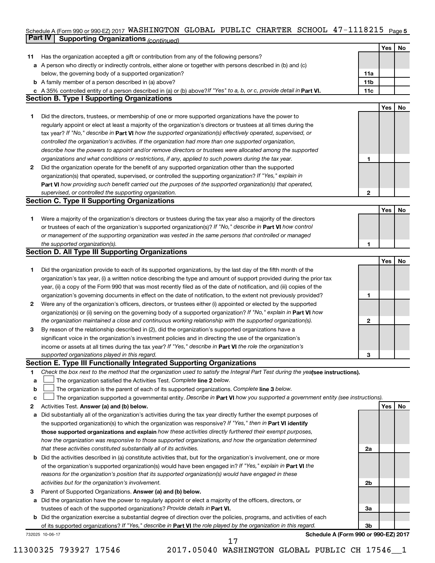#### Schedule A (Form 990 or 990-EZ) 2017 WASHINGTON GLOBAL PUBLIC CHARTER SCHOOL 4 7 – III82I5 Page 5 **Part IV Supporting Organizations** *(continued)* WASHINGTON GLOBAL PUBLIC CHARTER SCHOOL 47-1118215

|    |                                                                                                                                                                              |              | Yes | <b>No</b> |
|----|------------------------------------------------------------------------------------------------------------------------------------------------------------------------------|--------------|-----|-----------|
| 11 | Has the organization accepted a gift or contribution from any of the following persons?                                                                                      |              |     |           |
|    | a A person who directly or indirectly controls, either alone or together with persons described in (b) and (c)                                                               |              |     |           |
|    | below, the governing body of a supported organization?                                                                                                                       | 11a          |     |           |
|    | <b>b</b> A family member of a person described in (a) above?                                                                                                                 | 11b          |     |           |
|    | c A 35% controlled entity of a person described in (a) or (b) above? If "Yes" to a, b, or c, provide detail in Part VI.<br><b>Section B. Type I Supporting Organizations</b> | 11c          |     |           |
|    |                                                                                                                                                                              |              |     |           |
|    |                                                                                                                                                                              |              | Yes | <b>No</b> |
| 1. | Did the directors, trustees, or membership of one or more supported organizations have the power to                                                                          |              |     |           |
|    | regularly appoint or elect at least a majority of the organization's directors or trustees at all times during the                                                           |              |     |           |
|    | tax year? If "No," describe in Part VI how the supported organization(s) effectively operated, supervised, or                                                                |              |     |           |
|    | controlled the organization's activities. If the organization had more than one supported organization,                                                                      |              |     |           |
|    | describe how the powers to appoint and/or remove directors or trustees were allocated among the supported                                                                    |              |     |           |
|    | organizations and what conditions or restrictions, if any, applied to such powers during the tax year.                                                                       | 1            |     |           |
| 2  | Did the organization operate for the benefit of any supported organization other than the supported                                                                          |              |     |           |
|    | organization(s) that operated, supervised, or controlled the supporting organization? If "Yes," explain in                                                                   |              |     |           |
|    | Part VI how providing such benefit carried out the purposes of the supported organization(s) that operated,                                                                  |              |     |           |
|    | supervised, or controlled the supporting organization.                                                                                                                       | $\mathbf{2}$ |     |           |
|    | <b>Section C. Type II Supporting Organizations</b>                                                                                                                           |              |     |           |
|    |                                                                                                                                                                              |              | Yes | <b>No</b> |
| 1. | Were a majority of the organization's directors or trustees during the tax year also a majority of the directors                                                             |              |     |           |
|    | or trustees of each of the organization's supported organization(s)? If "No," describe in Part VI how control                                                                |              |     |           |
|    | or management of the supporting organization was vested in the same persons that controlled or managed                                                                       |              |     |           |
|    | the supported organization(s).                                                                                                                                               | 1            |     |           |
|    | <b>Section D. All Type III Supporting Organizations</b>                                                                                                                      |              |     |           |
|    |                                                                                                                                                                              |              | Yes | <b>No</b> |
| 1. | Did the organization provide to each of its supported organizations, by the last day of the fifth month of the                                                               |              |     |           |
|    | organization's tax year, (i) a written notice describing the type and amount of support provided during the prior tax                                                        |              |     |           |
|    | year, (ii) a copy of the Form 990 that was most recently filed as of the date of notification, and (iii) copies of the                                                       |              |     |           |
|    | organization's governing documents in effect on the date of notification, to the extent not previously provided?                                                             | 1            |     |           |
| 2  | Were any of the organization's officers, directors, or trustees either (i) appointed or elected by the supported                                                             |              |     |           |
|    | organization(s) or (ii) serving on the governing body of a supported organization? If "No," explain in <b>Part VI</b> how                                                    |              |     |           |
|    | the organization maintained a close and continuous working relationship with the supported organization(s).                                                                  | 2            |     |           |
| 3  | By reason of the relationship described in (2), did the organization's supported organizations have a                                                                        |              |     |           |
|    | significant voice in the organization's investment policies and in directing the use of the organization's                                                                   |              |     |           |
|    | income or assets at all times during the tax year? If "Yes," describe in Part VI the role the organization's                                                                 |              |     |           |
|    | supported organizations played in this regard.                                                                                                                               | 3            |     |           |
|    | Section E. Type III Functionally Integrated Supporting Organizations                                                                                                         |              |     |           |
| 1  | Check the box next to the method that the organization used to satisfy the Integral Part Test during the yealsee instructions).                                              |              |     |           |
| а  | The organization satisfied the Activities Test. Complete line 2 below.                                                                                                       |              |     |           |
| b  | The organization is the parent of each of its supported organizations. Complete line 3 below.                                                                                |              |     |           |
| с  | The organization supported a governmental entity. Describe in Part VI how you supported a government entity (see instructions).                                              |              |     |           |
| 2  | Activities Test. Answer (a) and (b) below.                                                                                                                                   |              | Yes | No        |
| а  | Did substantially all of the organization's activities during the tax year directly further the exempt purposes of                                                           |              |     |           |
|    | the supported organization(s) to which the organization was responsive? If "Yes," then in Part VI identify                                                                   |              |     |           |
|    | those supported organizations and explain how these activities directly furthered their exempt purposes,                                                                     |              |     |           |
|    | how the organization was responsive to those supported organizations, and how the organization determined                                                                    |              |     |           |
|    | that these activities constituted substantially all of its activities.                                                                                                       | 2a           |     |           |
| b  | Did the activities described in (a) constitute activities that, but for the organization's involvement, one or more                                                          |              |     |           |
|    | of the organization's supported organization(s) would have been engaged in? If "Yes," explain in Part VI the                                                                 |              |     |           |
|    | reasons for the organization's position that its supported organization(s) would have engaged in these                                                                       |              |     |           |
|    | activities but for the organization's involvement.                                                                                                                           | 2b           |     |           |
| з  | Parent of Supported Organizations. Answer (a) and (b) below.                                                                                                                 |              |     |           |
|    | a Did the organization have the power to regularly appoint or elect a majority of the officers, directors, or                                                                |              |     |           |
|    | trustees of each of the supported organizations? Provide details in Part VI.                                                                                                 | 3a           |     |           |
|    | <b>b</b> Did the organization exercise a substantial degree of direction over the policies, programs, and activities of each                                                 |              |     |           |
|    | of its supported organizations? If "Yes," describe in Part VI the role played by the organization in this regard.                                                            | 3b           |     |           |
|    | Schedule A (Form 990 or 990-EZ) 2017                                                                                                                                         |              |     |           |
|    | 732025 10-06-17                                                                                                                                                              |              |     |           |

11300325 793927 17546 2017.05040 WASHINGTON GLOBAL PUBLIC CH 17546\_\_1 17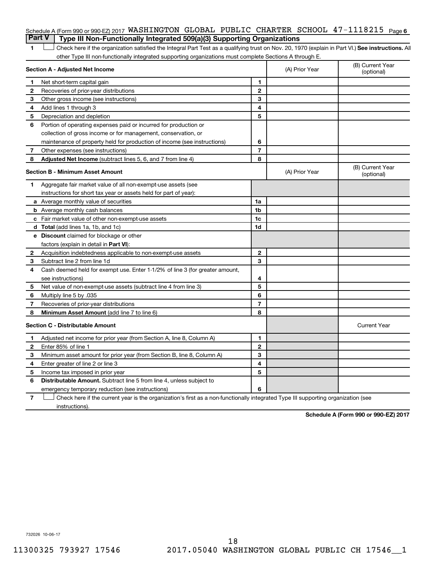# Schedule A (Form 990 or 990-EZ) 2017 WASHINGTON GLOBAL PUBLIC CHARTER SCHOOL  $47-1118215$  Page 6 **Part V Type III Non-Functionally Integrated 509(a)(3) Supporting Organizations**

1 **Letter See instructions.** All Check here if the organization satisfied the Integral Part Test as a qualifying trust on Nov. 20, 1970 (explain in Part VI.) See instructions. All other Type III non-functionally integrated supporting organizations must complete Sections A through E.

|                                         | Section A - Adjusted Net Income                                              |                | (A) Prior Year | (B) Current Year<br>(optional) |
|-----------------------------------------|------------------------------------------------------------------------------|----------------|----------------|--------------------------------|
| 1                                       | Net short-term capital gain                                                  | 1              |                |                                |
| 2                                       | Recoveries of prior-year distributions                                       | $\mathbf{2}$   |                |                                |
| З                                       | Other gross income (see instructions)                                        | 3              |                |                                |
| 4                                       | Add lines 1 through 3                                                        | 4              |                |                                |
| 5                                       | Depreciation and depletion                                                   | 5              |                |                                |
| 6                                       | Portion of operating expenses paid or incurred for production or             |                |                |                                |
|                                         | collection of gross income or for management, conservation, or               |                |                |                                |
|                                         | maintenance of property held for production of income (see instructions)     | 6              |                |                                |
| 7                                       | Other expenses (see instructions)                                            | $\overline{7}$ |                |                                |
| 8                                       | Adjusted Net Income (subtract lines 5, 6, and 7 from line 4)                 | 8              |                |                                |
| <b>Section B - Minimum Asset Amount</b> |                                                                              |                | (A) Prior Year | (B) Current Year<br>(optional) |
| 1.                                      | Aggregate fair market value of all non-exempt-use assets (see                |                |                |                                |
|                                         | instructions for short tax year or assets held for part of year):            |                |                |                                |
|                                         | <b>a</b> Average monthly value of securities                                 | 1a             |                |                                |
|                                         | <b>b</b> Average monthly cash balances                                       | 1 <sub>b</sub> |                |                                |
|                                         | c Fair market value of other non-exempt-use assets                           | 1 <sub>c</sub> |                |                                |
|                                         | d Total (add lines 1a, 1b, and 1c)                                           | 1d             |                |                                |
|                                         | e Discount claimed for blockage or other                                     |                |                |                                |
|                                         | factors (explain in detail in <b>Part VI</b> ):                              |                |                |                                |
| 2                                       | Acquisition indebtedness applicable to non-exempt-use assets                 | $\mathbf{2}$   |                |                                |
| 3                                       | Subtract line 2 from line 1d                                                 | 3              |                |                                |
| 4                                       | Cash deemed held for exempt use. Enter 1-1/2% of line 3 (for greater amount, |                |                |                                |
|                                         | see instructions)                                                            | 4              |                |                                |
| 5                                       | Net value of non-exempt-use assets (subtract line 4 from line 3)             | 5              |                |                                |
| 6                                       | Multiply line 5 by .035                                                      | 6              |                |                                |
| 7                                       | Recoveries of prior-year distributions                                       | $\overline{7}$ |                |                                |
| 8                                       | Minimum Asset Amount (add line 7 to line 6)                                  | 8              |                |                                |
|                                         | <b>Section C - Distributable Amount</b>                                      |                |                | <b>Current Year</b>            |
| 1                                       | Adjusted net income for prior year (from Section A, line 8, Column A)        | 1              |                |                                |
| 2                                       | Enter 85% of line 1                                                          | $\mathbf{2}$   |                |                                |
| 3                                       | Minimum asset amount for prior year (from Section B, line 8, Column A)       | 3              |                |                                |
| 4                                       | Enter greater of line 2 or line 3                                            | 4              |                |                                |
| 5                                       | Income tax imposed in prior year                                             | 5              |                |                                |
| 6                                       | <b>Distributable Amount.</b> Subtract line 5 from line 4, unless subject to  |                |                |                                |
|                                         | emergency temporary reduction (see instructions)                             | 6              |                |                                |
|                                         |                                                                              |                |                |                                |

**7** Check here if the current year is the organization's first as a non-functionally integrated Type III supporting organization (see † instructions).

**Schedule A (Form 990 or 990-EZ) 2017**

732026 10-06-17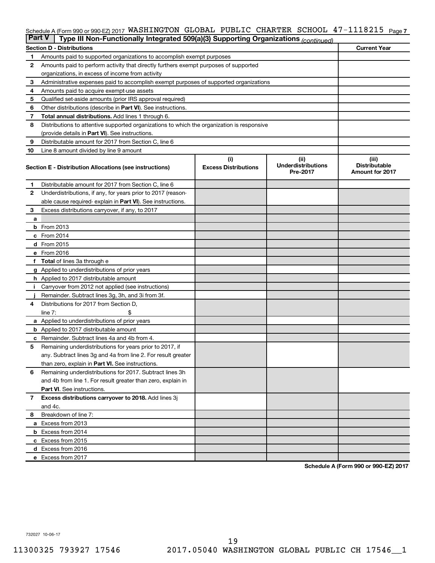#### **7** Schedule A (Form 990 or 990-EZ) 2017 Page WASHINGTON GLOBAL PUBLIC CHARTER SCHOOL 47-1118215

| <b>Part V</b> | Type III Non-Functionally Integrated 509(a)(3) Supporting Organizations (continued)        |                                    |                                               |                                                         |  |  |  |  |  |  |
|---------------|--------------------------------------------------------------------------------------------|------------------------------------|-----------------------------------------------|---------------------------------------------------------|--|--|--|--|--|--|
|               | <b>Current Year</b><br><b>Section D - Distributions</b>                                    |                                    |                                               |                                                         |  |  |  |  |  |  |
| 1             | Amounts paid to supported organizations to accomplish exempt purposes                      |                                    |                                               |                                                         |  |  |  |  |  |  |
| $\mathbf{2}$  | Amounts paid to perform activity that directly furthers exempt purposes of supported       |                                    |                                               |                                                         |  |  |  |  |  |  |
|               | organizations, in excess of income from activity                                           |                                    |                                               |                                                         |  |  |  |  |  |  |
| 3             | Administrative expenses paid to accomplish exempt purposes of supported organizations      |                                    |                                               |                                                         |  |  |  |  |  |  |
| 4             | Amounts paid to acquire exempt-use assets                                                  |                                    |                                               |                                                         |  |  |  |  |  |  |
| 5             | Qualified set-aside amounts (prior IRS approval required)                                  |                                    |                                               |                                                         |  |  |  |  |  |  |
| 6             | Other distributions (describe in <b>Part VI</b> ). See instructions.                       |                                    |                                               |                                                         |  |  |  |  |  |  |
| 7             | Total annual distributions. Add lines 1 through 6.                                         |                                    |                                               |                                                         |  |  |  |  |  |  |
| 8             | Distributions to attentive supported organizations to which the organization is responsive |                                    |                                               |                                                         |  |  |  |  |  |  |
|               | (provide details in Part VI). See instructions.                                            |                                    |                                               |                                                         |  |  |  |  |  |  |
| 9             | Distributable amount for 2017 from Section C, line 6                                       |                                    |                                               |                                                         |  |  |  |  |  |  |
| 10            | Line 8 amount divided by line 9 amount                                                     |                                    |                                               |                                                         |  |  |  |  |  |  |
|               | Section E - Distribution Allocations (see instructions)                                    | (i)<br><b>Excess Distributions</b> | (ii)<br><b>Underdistributions</b><br>Pre-2017 | (iii)<br><b>Distributable</b><br><b>Amount for 2017</b> |  |  |  |  |  |  |
| 1             | Distributable amount for 2017 from Section C, line 6                                       |                                    |                                               |                                                         |  |  |  |  |  |  |
| $\mathbf{2}$  | Underdistributions, if any, for years prior to 2017 (reason-                               |                                    |                                               |                                                         |  |  |  |  |  |  |
|               | able cause required- explain in Part VI). See instructions.                                |                                    |                                               |                                                         |  |  |  |  |  |  |
| 3             | Excess distributions carryover, if any, to 2017                                            |                                    |                                               |                                                         |  |  |  |  |  |  |
| a             |                                                                                            |                                    |                                               |                                                         |  |  |  |  |  |  |
|               | <b>b</b> From 2013                                                                         |                                    |                                               |                                                         |  |  |  |  |  |  |
|               | c From 2014                                                                                |                                    |                                               |                                                         |  |  |  |  |  |  |
|               | d From 2015                                                                                |                                    |                                               |                                                         |  |  |  |  |  |  |
|               | e From 2016                                                                                |                                    |                                               |                                                         |  |  |  |  |  |  |
|               | f Total of lines 3a through e                                                              |                                    |                                               |                                                         |  |  |  |  |  |  |
|               | <b>g</b> Applied to underdistributions of prior years                                      |                                    |                                               |                                                         |  |  |  |  |  |  |
|               | h Applied to 2017 distributable amount                                                     |                                    |                                               |                                                         |  |  |  |  |  |  |
| Ť.            | Carryover from 2012 not applied (see instructions)                                         |                                    |                                               |                                                         |  |  |  |  |  |  |
|               | Remainder. Subtract lines 3g, 3h, and 3i from 3f.                                          |                                    |                                               |                                                         |  |  |  |  |  |  |
| 4             | Distributions for 2017 from Section D,                                                     |                                    |                                               |                                                         |  |  |  |  |  |  |
|               | line $7:$                                                                                  |                                    |                                               |                                                         |  |  |  |  |  |  |
|               | a Applied to underdistributions of prior years                                             |                                    |                                               |                                                         |  |  |  |  |  |  |
|               | <b>b</b> Applied to 2017 distributable amount                                              |                                    |                                               |                                                         |  |  |  |  |  |  |
| с             | Remainder. Subtract lines 4a and 4b from 4.                                                |                                    |                                               |                                                         |  |  |  |  |  |  |
| 5             | Remaining underdistributions for years prior to 2017, if                                   |                                    |                                               |                                                         |  |  |  |  |  |  |
|               | any. Subtract lines 3g and 4a from line 2. For result greater                              |                                    |                                               |                                                         |  |  |  |  |  |  |
|               | than zero, explain in Part VI. See instructions.                                           |                                    |                                               |                                                         |  |  |  |  |  |  |
| 6             | Remaining underdistributions for 2017. Subtract lines 3h                                   |                                    |                                               |                                                         |  |  |  |  |  |  |
|               | and 4b from line 1. For result greater than zero, explain in                               |                                    |                                               |                                                         |  |  |  |  |  |  |
|               | <b>Part VI.</b> See instructions.                                                          |                                    |                                               |                                                         |  |  |  |  |  |  |
| $\mathbf{7}$  | Excess distributions carryover to 2018. Add lines 3j                                       |                                    |                                               |                                                         |  |  |  |  |  |  |
|               | and 4c.                                                                                    |                                    |                                               |                                                         |  |  |  |  |  |  |
| 8             | Breakdown of line 7:                                                                       |                                    |                                               |                                                         |  |  |  |  |  |  |
|               | a Excess from 2013                                                                         |                                    |                                               |                                                         |  |  |  |  |  |  |
|               | <b>b</b> Excess from 2014                                                                  |                                    |                                               |                                                         |  |  |  |  |  |  |
|               | c Excess from 2015                                                                         |                                    |                                               |                                                         |  |  |  |  |  |  |
|               | d Excess from 2016                                                                         |                                    |                                               |                                                         |  |  |  |  |  |  |
|               | e Excess from 2017                                                                         |                                    |                                               |                                                         |  |  |  |  |  |  |

**Schedule A (Form 990 or 990-EZ) 2017**

732027 10-06-17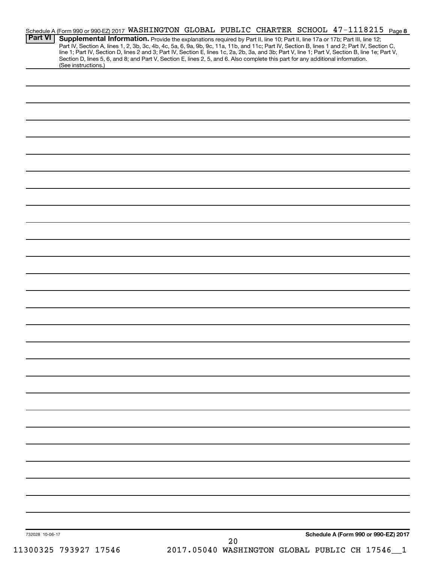| <b>Part VI</b>  | Schedule A (Form 990 or 990-EZ) 2017 WASHINGTON GLOBAL PUBLIC CHARTER SCHOOL 47-1118215 Page 8<br>Supplemental Information. Provide the explanations required by Part II, line 10; Part II, line 17a or 17b; Part III, line 12;<br>Part IV, Section A, lines 1, 2, 3b, 3c, 4b, 4c, 5a, 6, 9a, 9b, 9c, 11a, 11b, and 11c; Part IV, Section B, lines 1 and 2; Part IV, Section C,<br>line 1; Part IV, Section D, lines 2 and 3; Part IV, Section E, lines 1c, 2a, 2b, 3a, and 3b; Part V, line 1; Part V, Section B, line 1e; Part V, |  |    |  |                                              |     |
|-----------------|-------------------------------------------------------------------------------------------------------------------------------------------------------------------------------------------------------------------------------------------------------------------------------------------------------------------------------------------------------------------------------------------------------------------------------------------------------------------------------------------------------------------------------------|--|----|--|----------------------------------------------|-----|
|                 | Section D, lines 5, 6, and 8; and Part V, Section E, lines 2, 5, and 6. Also complete this part for any additional information.<br>(See instructions.)                                                                                                                                                                                                                                                                                                                                                                              |  |    |  |                                              |     |
|                 |                                                                                                                                                                                                                                                                                                                                                                                                                                                                                                                                     |  |    |  |                                              |     |
|                 |                                                                                                                                                                                                                                                                                                                                                                                                                                                                                                                                     |  |    |  |                                              |     |
|                 |                                                                                                                                                                                                                                                                                                                                                                                                                                                                                                                                     |  |    |  |                                              |     |
|                 |                                                                                                                                                                                                                                                                                                                                                                                                                                                                                                                                     |  |    |  |                                              |     |
|                 |                                                                                                                                                                                                                                                                                                                                                                                                                                                                                                                                     |  |    |  |                                              |     |
|                 |                                                                                                                                                                                                                                                                                                                                                                                                                                                                                                                                     |  |    |  |                                              |     |
|                 |                                                                                                                                                                                                                                                                                                                                                                                                                                                                                                                                     |  |    |  |                                              |     |
|                 |                                                                                                                                                                                                                                                                                                                                                                                                                                                                                                                                     |  |    |  |                                              |     |
|                 |                                                                                                                                                                                                                                                                                                                                                                                                                                                                                                                                     |  |    |  |                                              |     |
|                 |                                                                                                                                                                                                                                                                                                                                                                                                                                                                                                                                     |  |    |  |                                              |     |
|                 |                                                                                                                                                                                                                                                                                                                                                                                                                                                                                                                                     |  |    |  |                                              |     |
|                 |                                                                                                                                                                                                                                                                                                                                                                                                                                                                                                                                     |  |    |  |                                              |     |
|                 |                                                                                                                                                                                                                                                                                                                                                                                                                                                                                                                                     |  |    |  |                                              |     |
|                 |                                                                                                                                                                                                                                                                                                                                                                                                                                                                                                                                     |  |    |  |                                              |     |
|                 |                                                                                                                                                                                                                                                                                                                                                                                                                                                                                                                                     |  |    |  |                                              |     |
|                 |                                                                                                                                                                                                                                                                                                                                                                                                                                                                                                                                     |  |    |  |                                              |     |
|                 |                                                                                                                                                                                                                                                                                                                                                                                                                                                                                                                                     |  |    |  |                                              |     |
|                 |                                                                                                                                                                                                                                                                                                                                                                                                                                                                                                                                     |  |    |  |                                              |     |
|                 |                                                                                                                                                                                                                                                                                                                                                                                                                                                                                                                                     |  |    |  |                                              |     |
|                 |                                                                                                                                                                                                                                                                                                                                                                                                                                                                                                                                     |  |    |  |                                              |     |
|                 |                                                                                                                                                                                                                                                                                                                                                                                                                                                                                                                                     |  |    |  |                                              |     |
|                 |                                                                                                                                                                                                                                                                                                                                                                                                                                                                                                                                     |  |    |  |                                              |     |
|                 |                                                                                                                                                                                                                                                                                                                                                                                                                                                                                                                                     |  |    |  |                                              |     |
|                 |                                                                                                                                                                                                                                                                                                                                                                                                                                                                                                                                     |  |    |  |                                              |     |
|                 |                                                                                                                                                                                                                                                                                                                                                                                                                                                                                                                                     |  |    |  |                                              |     |
|                 |                                                                                                                                                                                                                                                                                                                                                                                                                                                                                                                                     |  |    |  |                                              |     |
|                 |                                                                                                                                                                                                                                                                                                                                                                                                                                                                                                                                     |  |    |  |                                              |     |
|                 |                                                                                                                                                                                                                                                                                                                                                                                                                                                                                                                                     |  |    |  |                                              |     |
|                 |                                                                                                                                                                                                                                                                                                                                                                                                                                                                                                                                     |  |    |  |                                              |     |
|                 |                                                                                                                                                                                                                                                                                                                                                                                                                                                                                                                                     |  |    |  |                                              |     |
|                 |                                                                                                                                                                                                                                                                                                                                                                                                                                                                                                                                     |  |    |  |                                              |     |
|                 |                                                                                                                                                                                                                                                                                                                                                                                                                                                                                                                                     |  |    |  |                                              |     |
|                 |                                                                                                                                                                                                                                                                                                                                                                                                                                                                                                                                     |  |    |  |                                              |     |
|                 |                                                                                                                                                                                                                                                                                                                                                                                                                                                                                                                                     |  |    |  |                                              |     |
|                 |                                                                                                                                                                                                                                                                                                                                                                                                                                                                                                                                     |  |    |  |                                              |     |
| 732028 10-06-17 |                                                                                                                                                                                                                                                                                                                                                                                                                                                                                                                                     |  |    |  | Schedule A (Form 990 or 990-EZ) 2017         |     |
|                 | 300325 793927 17546                                                                                                                                                                                                                                                                                                                                                                                                                                                                                                                 |  | 20 |  | 2017 05040 WASHINGTON CLOBAL DURLIC CH 17546 | - 1 |

11300325 793927 17546 2017.05040 WASHINGTON GLOBAL PUBLIC CH 17546\_\_1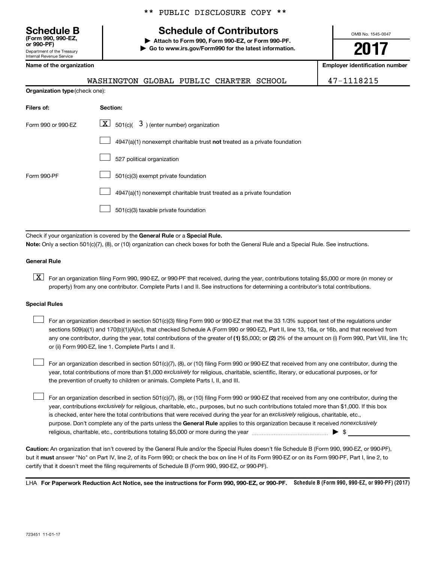Department of the Treasury Internal Revenue Service **(Form 990, 990-EZ,**

# \*\* PUBLIC DISCLOSURE COPY \*\*

# **Schedule B Schedule of Contributors**

**or 990-PF) | Attach to Form 990, Form 990-EZ, or Form 990-PF. | Go to www.irs.gov/Form990 for the latest information.** OMB No. 1545-0047

# **2017**

**Name of the organization Employer identification number**

|                                       | WASHINGTON GLOBAL PUBLIC CHARTER SCHOOL |  |  |
|---------------------------------------|-----------------------------------------|--|--|
| <b>Organization type</b> (check one): |                                         |  |  |

47-1118215

| Filers of:         | Section:                                                                           |
|--------------------|------------------------------------------------------------------------------------|
| Form 990 or 990-EZ | $\lfloor x \rfloor$ 501(c)( 3) (enter number) organization                         |
|                    | $4947(a)(1)$ nonexempt charitable trust <b>not</b> treated as a private foundation |
|                    | 527 political organization                                                         |
| Form 990-PF        | 501(c)(3) exempt private foundation                                                |
|                    | 4947(a)(1) nonexempt charitable trust treated as a private foundation              |
|                    | 501(c)(3) taxable private foundation                                               |

Check if your organization is covered by the General Rule or a Special Rule. **Note:**  Only a section 501(c)(7), (8), or (10) organization can check boxes for both the General Rule and a Special Rule. See instructions.

### **General Rule**

**K** For an organization filing Form 990, 990-EZ, or 990-PF that received, during the year, contributions totaling \$5,000 or more (in money or property) from any one contributor. Complete Parts I and II. See instructions for determining a contributor's total contributions.

### **Special Rules**

 $\Box$ 

any one contributor, during the year, total contributions of the greater of (1) \$5,000; or (2) 2% of the amount on (i) Form 990, Part VIII, line 1h; For an organization described in section 501(c)(3) filing Form 990 or 990-EZ that met the 33 1/3% support test of the regulations under sections 509(a)(1) and 170(b)(1)(A)(vi), that checked Schedule A (Form 990 or 990-EZ), Part II, line 13, 16a, or 16b, and that received from or (ii) Form 990-EZ, line 1. Complete Parts I and II.  $\Box$ 

year, total contributions of more than \$1,000 *exclusively* for religious, charitable, scientific, literary, or educational purposes, or for For an organization described in section 501(c)(7), (8), or (10) filing Form 990 or 990-EZ that received from any one contributor, during the the prevention of cruelty to children or animals. Complete Parts I, II, and III.  $\Box$ 

purpose. Don't complete any of the parts unless the General Rule applies to this organization because it received nonexclusively year, contributions exclusively for religious, charitable, etc., purposes, but no such contributions totaled more than \$1,000. If this box is checked, enter here the total contributions that were received during the year for an exclusively religious, charitable, etc., For an organization described in section 501(c)(7), (8), or (10) filing Form 990 or 990-EZ that received from any one contributor, during the religious, charitable, etc., contributions totaling \$5,000 or more during the year  $\ldots$  $\ldots$  $\ldots$  $\ldots$  $\ldots$  $\ldots$ 

**Caution:**  An organization that isn't covered by the General Rule and/or the Special Rules doesn't file Schedule B (Form 990, 990-EZ, or 990-PF),  **must** but it answer "No" on Part IV, line 2, of its Form 990; or check the box on line H of its Form 990-EZ or on its Form 990-PF, Part I, line 2, to certify that it doesn't meet the filing requirements of Schedule B (Form 990, 990-EZ, or 990-PF).

LHA For Paperwork Reduction Act Notice, see the instructions for Form 990, 990-EZ, or 990-PF. Schedule B (Form 990, 990-EZ, or 990-PF) (2017)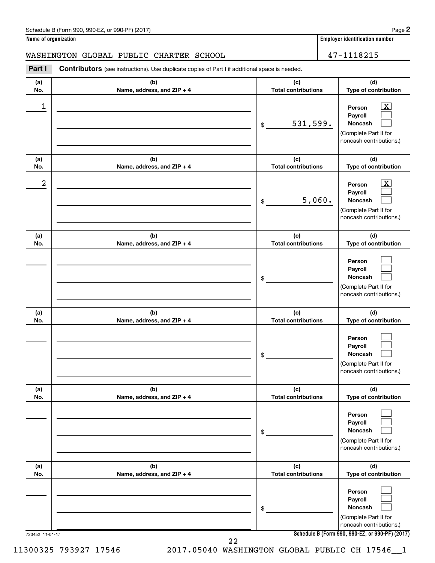**Name of organization Employer identification number**

# WASHINGTON GLOBAL PUBLIC CHARTER SCHOOL 47-1118215

| Part I          | <b>Contributors</b> (see instructions). Use duplicate copies of Part I if additional space is needed. |                                   |                                                                                                             |
|-----------------|-------------------------------------------------------------------------------------------------------|-----------------------------------|-------------------------------------------------------------------------------------------------------------|
| (a)<br>No.      | (b)<br>Name, address, and ZIP + 4                                                                     | (c)<br><b>Total contributions</b> | (d)<br>Type of contribution                                                                                 |
| 1               |                                                                                                       | 531,599.<br>\$                    | $\overline{\mathbf{X}}$<br>Person<br>Payroll<br>Noncash<br>(Complete Part II for<br>noncash contributions.) |
| (a)<br>No.      | (b)<br>Name, address, and ZIP + 4                                                                     | (c)<br><b>Total contributions</b> | (d)<br>Type of contribution                                                                                 |
| 2               |                                                                                                       | 5,060.<br>\$                      | $\overline{\mathbf{X}}$<br>Person<br>Payroll<br>Noncash<br>(Complete Part II for<br>noncash contributions.) |
| (a)<br>No.      | (b)<br>Name, address, and ZIP + 4                                                                     | (c)<br><b>Total contributions</b> | (d)<br>Type of contribution                                                                                 |
|                 |                                                                                                       | \$                                | Person<br>Payroll<br>Noncash<br>(Complete Part II for<br>noncash contributions.)                            |
| (a)<br>No.      | (b)<br>Name, address, and ZIP + 4                                                                     | (c)<br><b>Total contributions</b> | (d)<br>Type of contribution                                                                                 |
|                 |                                                                                                       | \$                                | Person<br>Payroll<br>Noncash<br>(Complete Part II for<br>noncash contributions.)                            |
| (a)<br>No.      | (b)<br>Name, address, and ZIP + 4                                                                     | (c)<br><b>Total contributions</b> | (d)<br>Type of contribution                                                                                 |
|                 |                                                                                                       | \$                                | Person<br>Payroll<br><b>Noncash</b><br>(Complete Part II for<br>noncash contributions.)                     |
| (a)<br>No.      | (b)<br>Name, address, and ZIP + 4                                                                     | (c)<br><b>Total contributions</b> | (d)<br>Type of contribution                                                                                 |
|                 |                                                                                                       | \$                                | Person<br>Payroll<br>Noncash<br>(Complete Part II for<br>noncash contributions.)                            |
| 723452 11-01-17 |                                                                                                       | 22                                | Schedule B (Form 990, 990-EZ, or 990-PF) (2017)                                                             |

11300325 793927 17546 2017.05040 WASHINGTON GLOBAL PUBLIC CH 17546\_\_1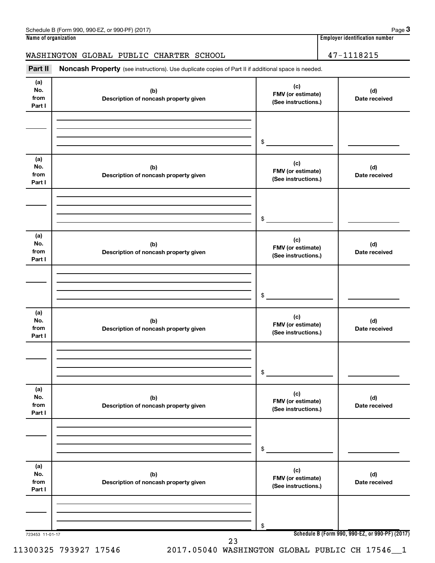# WASHINGTON GLOBAL PUBLIC CHARTER SCHOOL 47-1118215

Part II Noncash Property (see instructions). Use duplicate copies of Part II if additional space is needed.

| (a)<br>No.<br>from<br>Part I | (b)<br>Description of noncash property given | (c)<br>FMV (or estimate)<br>(See instructions.)         | (d)<br>Date received |
|------------------------------|----------------------------------------------|---------------------------------------------------------|----------------------|
|                              |                                              | $\begin{array}{c c} \updownarrow \\ \hline \end{array}$ |                      |
| (a)<br>No.<br>from<br>Part I | (b)<br>Description of noncash property given | (c)<br>FMV (or estimate)<br>(See instructions.)         | (d)<br>Date received |
|                              |                                              | $\frac{1}{2}$                                           |                      |
| (a)<br>No.<br>from<br>Part I | (b)<br>Description of noncash property given | (c)<br>FMV (or estimate)<br>(See instructions.)         | (d)<br>Date received |
|                              |                                              | $\frac{1}{2}$                                           |                      |
| (a)<br>No.<br>from<br>Part I | (b)<br>Description of noncash property given | (c)<br>FMV (or estimate)<br>(See instructions.)         | (d)<br>Date received |
|                              |                                              | \$                                                      |                      |
| (a)<br>No.<br>from<br>Part I | (b)<br>Description of noncash property given | (c)<br>FMV (or estimate)<br>(See instructions.)         | (d)<br>Date received |
|                              |                                              | \$                                                      |                      |
| (a)<br>No.<br>from<br>Part I | (b)<br>Description of noncash property given | (c)<br>FMV (or estimate)<br>(See instructions.)         | (d)<br>Date received |
|                              |                                              | \$                                                      |                      |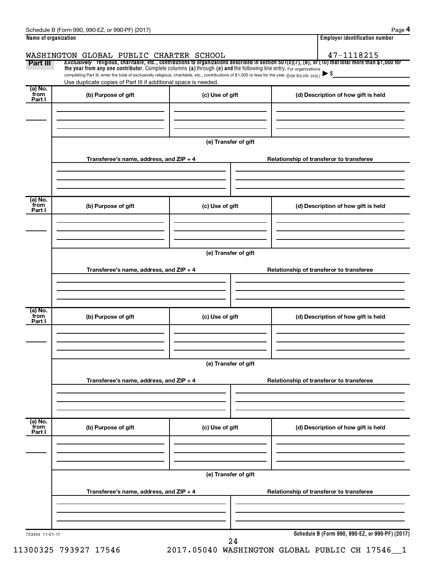|                           | WASHINGTON GLOBAL PUBLIC CHARTER SCHOOL                                                                                                                                                                                     |                      |  | 47-1118215                                                                                                                                               |  |  |  |
|---------------------------|-----------------------------------------------------------------------------------------------------------------------------------------------------------------------------------------------------------------------------|----------------------|--|----------------------------------------------------------------------------------------------------------------------------------------------------------|--|--|--|
| Part III                  | the year from any one contributor. Complete columns (a) through (e) and the following line entry. For organizations                                                                                                         |                      |  | Exclusively religious, charitable, etc., contributions to organizations described in section $501(c)(7)$ , (8), or (10) that total more than \$1,000 for |  |  |  |
|                           | completing Part III, enter the total of exclusively religious, charitable, etc., contributions of \$1,000 or less for the year. (Enter this info. once.)<br>Use duplicate copies of Part III if additional space is needed. |                      |  |                                                                                                                                                          |  |  |  |
| (a) No.<br>from           | (b) Purpose of gift                                                                                                                                                                                                         | (c) Use of gift      |  | (d) Description of how gift is held                                                                                                                      |  |  |  |
| Part I                    |                                                                                                                                                                                                                             |                      |  |                                                                                                                                                          |  |  |  |
|                           |                                                                                                                                                                                                                             |                      |  |                                                                                                                                                          |  |  |  |
|                           |                                                                                                                                                                                                                             | (e) Transfer of gift |  |                                                                                                                                                          |  |  |  |
|                           | Transferee's name, address, and ZIP + 4                                                                                                                                                                                     |                      |  | Relationship of transferor to transferee                                                                                                                 |  |  |  |
|                           |                                                                                                                                                                                                                             |                      |  |                                                                                                                                                          |  |  |  |
| (a) No.<br>from<br>Part I | (b) Purpose of gift                                                                                                                                                                                                         | (c) Use of gift      |  | (d) Description of how gift is held                                                                                                                      |  |  |  |
|                           |                                                                                                                                                                                                                             |                      |  |                                                                                                                                                          |  |  |  |
|                           | (e) Transfer of gift                                                                                                                                                                                                        |                      |  |                                                                                                                                                          |  |  |  |
|                           | Transferee's name, address, and ZIP + 4                                                                                                                                                                                     |                      |  | Relationship of transferor to transferee                                                                                                                 |  |  |  |
|                           |                                                                                                                                                                                                                             |                      |  |                                                                                                                                                          |  |  |  |
|                           |                                                                                                                                                                                                                             |                      |  |                                                                                                                                                          |  |  |  |
| (a) No.<br>from<br>Part I | (b) Purpose of gift                                                                                                                                                                                                         | (c) Use of gift      |  | (d) Description of how gift is held                                                                                                                      |  |  |  |
|                           |                                                                                                                                                                                                                             |                      |  |                                                                                                                                                          |  |  |  |
|                           |                                                                                                                                                                                                                             | (e) Transfer of gift |  |                                                                                                                                                          |  |  |  |
|                           | Transferee's name, address, and ZIP + 4                                                                                                                                                                                     |                      |  | Relationship of transferor to transferee                                                                                                                 |  |  |  |
|                           |                                                                                                                                                                                                                             |                      |  |                                                                                                                                                          |  |  |  |
| (a) No.<br>from<br>Part I | (b) Purpose of gift                                                                                                                                                                                                         | (c) Use of gift      |  | (d) Description of how gift is held                                                                                                                      |  |  |  |
|                           |                                                                                                                                                                                                                             |                      |  |                                                                                                                                                          |  |  |  |
|                           | (e) Transfer of gift<br>Transferee's name, address, and ZIP + 4                                                                                                                                                             |                      |  | Relationship of transferor to transferee                                                                                                                 |  |  |  |
|                           |                                                                                                                                                                                                                             |                      |  |                                                                                                                                                          |  |  |  |
|                           |                                                                                                                                                                                                                             |                      |  | Schedule B (Form 990, 990-EZ, or 990-PF) (2017)                                                                                                          |  |  |  |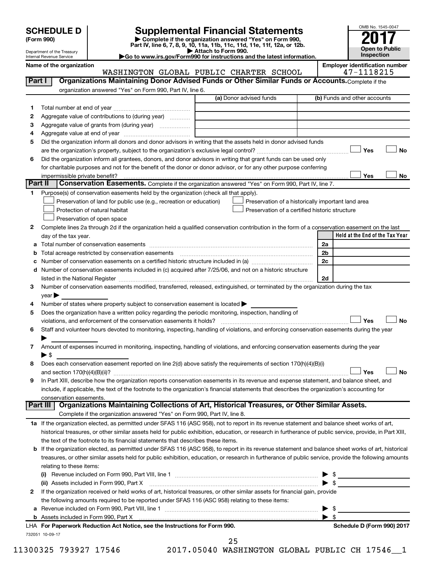| (Form 990) |  |
|------------|--|
|------------|--|

# **SCHEDULE D Supplemental Financial Statements**<br> **Form 990 2017**<br> **Part IV** line 6.7.8.9.10, 11a, 11b, 11d, 11d, 11d, 11d, 11d, 12a, 0r, 12b

**(Form 990) | Complete if the organization answered "Yes" on Form 990, Part IV, line 6, 7, 8, 9, 10, 11a, 11b, 11c, 11d, 11e, 11f, 12a, or 12b.**

**| Attach to Form 990. |Go to www.irs.gov/Form990 for instructions and the latest information.**



Department of the Treasury Internal Revenue Service

Name of the organization<br> **WASHINGTON GLOBAL PUBLIC CHARTER SCHOOL** 47-1118215 WASHINGTON GLOBAL PUBLIC CHARTER SCHOOL

| Part I         | Organizations Maintaining Donor Advised Funds or Other Similar Funds or Accounts. Complete if the                                                                                                                                                                                                                                                                 |                                                    |                                 |
|----------------|-------------------------------------------------------------------------------------------------------------------------------------------------------------------------------------------------------------------------------------------------------------------------------------------------------------------------------------------------------------------|----------------------------------------------------|---------------------------------|
|                | organization answered "Yes" on Form 990, Part IV, line 6.                                                                                                                                                                                                                                                                                                         |                                                    |                                 |
|                |                                                                                                                                                                                                                                                                                                                                                                   | (a) Donor advised funds                            | (b) Funds and other accounts    |
| 1.             |                                                                                                                                                                                                                                                                                                                                                                   |                                                    |                                 |
| 2              | Aggregate value of contributions to (during year)                                                                                                                                                                                                                                                                                                                 |                                                    |                                 |
| з              | Aggregate value of grants from (during year)                                                                                                                                                                                                                                                                                                                      |                                                    |                                 |
| 4              |                                                                                                                                                                                                                                                                                                                                                                   |                                                    |                                 |
| 5              | Did the organization inform all donors and donor advisors in writing that the assets held in donor advised funds                                                                                                                                                                                                                                                  |                                                    |                                 |
|                |                                                                                                                                                                                                                                                                                                                                                                   |                                                    | Yes<br>No                       |
| 6              | Did the organization inform all grantees, donors, and donor advisors in writing that grant funds can be used only                                                                                                                                                                                                                                                 |                                                    |                                 |
|                | for charitable purposes and not for the benefit of the donor or donor advisor, or for any other purpose conferring                                                                                                                                                                                                                                                |                                                    |                                 |
|                | impermissible private benefit?                                                                                                                                                                                                                                                                                                                                    |                                                    | Yes<br>No                       |
| <b>Part II</b> | Conservation Easements. Complete if the organization answered "Yes" on Form 990, Part IV, line 7.                                                                                                                                                                                                                                                                 |                                                    |                                 |
| 1.             | Purpose(s) of conservation easements held by the organization (check all that apply).                                                                                                                                                                                                                                                                             |                                                    |                                 |
|                | Preservation of land for public use (e.g., recreation or education)                                                                                                                                                                                                                                                                                               | Preservation of a historically important land area |                                 |
|                | Protection of natural habitat                                                                                                                                                                                                                                                                                                                                     | Preservation of a certified historic structure     |                                 |
|                | Preservation of open space                                                                                                                                                                                                                                                                                                                                        |                                                    |                                 |
| 2              | Complete lines 2a through 2d if the organization held a qualified conservation contribution in the form of a conservation easement on the last                                                                                                                                                                                                                    |                                                    |                                 |
|                | day of the tax year.                                                                                                                                                                                                                                                                                                                                              |                                                    | Held at the End of the Tax Year |
|                |                                                                                                                                                                                                                                                                                                                                                                   |                                                    | 2a                              |
| b              | Total acreage restricted by conservation easements                                                                                                                                                                                                                                                                                                                |                                                    | 2b                              |
|                | Number of conservation easements included in (c) acquired after 7/25/06, and not on a historic structure                                                                                                                                                                                                                                                          |                                                    | 2c                              |
| d              |                                                                                                                                                                                                                                                                                                                                                                   |                                                    | 2d                              |
| 3              | listed in the National Register [111] Marshall Register [11] Marshall Register [11] Marshall Register [11] Marshall Register [11] Marshall Register [11] Marshall Register [11] Marshall Register [11] Marshall Register [11]<br>Number of conservation easements modified, transferred, released, extinguished, or terminated by the organization during the tax |                                                    |                                 |
|                | $year \triangleright$                                                                                                                                                                                                                                                                                                                                             |                                                    |                                 |
| 4              | Number of states where property subject to conservation easement is located >                                                                                                                                                                                                                                                                                     |                                                    |                                 |
| 5              | Does the organization have a written policy regarding the periodic monitoring, inspection, handling of                                                                                                                                                                                                                                                            |                                                    |                                 |
|                | violations, and enforcement of the conservation easements it holds?                                                                                                                                                                                                                                                                                               |                                                    | Yes<br>No                       |
| 6              | Staff and volunteer hours devoted to monitoring, inspecting, handling of violations, and enforcing conservation easements during the year                                                                                                                                                                                                                         |                                                    |                                 |
|                |                                                                                                                                                                                                                                                                                                                                                                   |                                                    |                                 |
| 7              | Amount of expenses incurred in monitoring, inspecting, handling of violations, and enforcing conservation easements during the year                                                                                                                                                                                                                               |                                                    |                                 |
|                | $\blacktriangleright$ \$                                                                                                                                                                                                                                                                                                                                          |                                                    |                                 |
| 8              | Does each conservation easement reported on line 2(d) above satisfy the requirements of section 170(h)(4)(B)(i)                                                                                                                                                                                                                                                   |                                                    |                                 |
|                |                                                                                                                                                                                                                                                                                                                                                                   |                                                    | <b>No</b><br>Yes                |
| 9              | In Part XIII, describe how the organization reports conservation easements in its revenue and expense statement, and balance sheet, and                                                                                                                                                                                                                           |                                                    |                                 |
|                | include, if applicable, the text of the footnote to the organization's financial statements that describes the organization's accounting for                                                                                                                                                                                                                      |                                                    |                                 |
|                | conservation easements.                                                                                                                                                                                                                                                                                                                                           |                                                    |                                 |
| Part III       | Organizations Maintaining Collections of Art, Historical Treasures, or Other Similar Assets.                                                                                                                                                                                                                                                                      |                                                    |                                 |
|                | Complete if the organization answered "Yes" on Form 990, Part IV, line 8.                                                                                                                                                                                                                                                                                         |                                                    |                                 |
|                | 1a If the organization elected, as permitted under SFAS 116 (ASC 958), not to report in its revenue statement and balance sheet works of art,                                                                                                                                                                                                                     |                                                    |                                 |
|                | historical treasures, or other similar assets held for public exhibition, education, or research in furtherance of public service, provide, in Part XIII,                                                                                                                                                                                                         |                                                    |                                 |
|                | the text of the footnote to its financial statements that describes these items.                                                                                                                                                                                                                                                                                  |                                                    |                                 |
|                | If the organization elected, as permitted under SFAS 116 (ASC 958), to report in its revenue statement and balance sheet works of art, historical                                                                                                                                                                                                                 |                                                    |                                 |
|                | treasures, or other similar assets held for public exhibition, education, or research in furtherance of public service, provide the following amounts                                                                                                                                                                                                             |                                                    |                                 |
|                | relating to these items:                                                                                                                                                                                                                                                                                                                                          |                                                    |                                 |
|                |                                                                                                                                                                                                                                                                                                                                                                   |                                                    | $\triangleright$ \$             |
|                | If the organization received or held works of art, historical treasures, or other similar assets for financial gain, provide                                                                                                                                                                                                                                      |                                                    | $\blacktriangleright$ \$        |
| 2              | the following amounts required to be reported under SFAS 116 (ASC 958) relating to these items:                                                                                                                                                                                                                                                                   |                                                    |                                 |
|                |                                                                                                                                                                                                                                                                                                                                                                   |                                                    | \$<br>▶                         |
|                |                                                                                                                                                                                                                                                                                                                                                                   |                                                    | $\blacktriangleright$ \$        |
|                | LHA For Paperwork Reduction Act Notice, see the Instructions for Form 990.                                                                                                                                                                                                                                                                                        |                                                    | Schedule D (Form 990) 2017      |
|                | 732051 10-09-17                                                                                                                                                                                                                                                                                                                                                   |                                                    |                                 |

| 11300325 793927 17546 | 2017.05040 WASHINGTON GLOBAL PUBLIC CH 17546 1 |  |
|-----------------------|------------------------------------------------|--|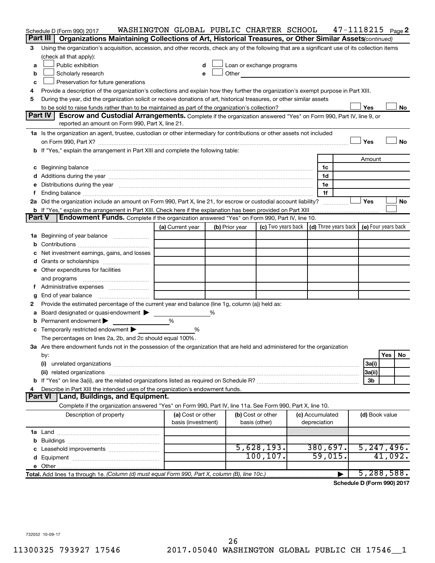|               | Schedule D (Form 990) 2017                                                                                                                                                                                                     | WASHINGTON GLOBAL PUBLIC CHARTER SCHOOL |   |                |                                                                                                                                                                                                                                |                 | $47 - 1118215$ Page 2                                    |                |         |           |
|---------------|--------------------------------------------------------------------------------------------------------------------------------------------------------------------------------------------------------------------------------|-----------------------------------------|---|----------------|--------------------------------------------------------------------------------------------------------------------------------------------------------------------------------------------------------------------------------|-----------------|----------------------------------------------------------|----------------|---------|-----------|
|               | Organizations Maintaining Collections of Art, Historical Treasures, or Other Similar Assets(continued)<br>Part III                                                                                                             |                                         |   |                |                                                                                                                                                                                                                                |                 |                                                          |                |         |           |
| З             | Using the organization's acquisition, accession, and other records, check any of the following that are a significant use of its collection items                                                                              |                                         |   |                |                                                                                                                                                                                                                                |                 |                                                          |                |         |           |
|               | (check all that apply):                                                                                                                                                                                                        |                                         |   |                |                                                                                                                                                                                                                                |                 |                                                          |                |         |           |
| a             | Public exhibition                                                                                                                                                                                                              | d                                       |   |                | Loan or exchange programs                                                                                                                                                                                                      |                 |                                                          |                |         |           |
| b             | Scholarly research                                                                                                                                                                                                             | е                                       |   |                | Other and the control of the control of the control of the control of the control of the control of the control of the control of the control of the control of the control of the control of the control of the control of th |                 |                                                          |                |         |           |
| c             | Preservation for future generations                                                                                                                                                                                            |                                         |   |                |                                                                                                                                                                                                                                |                 |                                                          |                |         |           |
| 4             | Provide a description of the organization's collections and explain how they further the organization's exempt purpose in Part XIII.                                                                                           |                                         |   |                |                                                                                                                                                                                                                                |                 |                                                          |                |         |           |
| 5             | During the year, did the organization solicit or receive donations of art, historical treasures, or other similar assets                                                                                                       |                                         |   |                |                                                                                                                                                                                                                                |                 |                                                          |                |         |           |
|               |                                                                                                                                                                                                                                |                                         |   |                |                                                                                                                                                                                                                                |                 |                                                          | Yes            |         | No        |
|               | Part IV<br>Escrow and Custodial Arrangements. Complete if the organization answered "Yes" on Form 990, Part IV, line 9, or                                                                                                     |                                         |   |                |                                                                                                                                                                                                                                |                 |                                                          |                |         |           |
|               | reported an amount on Form 990, Part X, line 21.                                                                                                                                                                               |                                         |   |                |                                                                                                                                                                                                                                |                 |                                                          |                |         |           |
|               | 1a Is the organization an agent, trustee, custodian or other intermediary for contributions or other assets not included                                                                                                       |                                         |   |                |                                                                                                                                                                                                                                |                 |                                                          |                |         |           |
|               |                                                                                                                                                                                                                                |                                         |   |                |                                                                                                                                                                                                                                |                 |                                                          | Yes            |         | <b>No</b> |
|               | If "Yes," explain the arrangement in Part XIII and complete the following table:                                                                                                                                               |                                         |   |                |                                                                                                                                                                                                                                |                 |                                                          |                |         |           |
|               |                                                                                                                                                                                                                                |                                         |   |                |                                                                                                                                                                                                                                |                 |                                                          | Amount         |         |           |
| c             | Beginning balance manufactured and contain an account of the state of the state of the state of the state of the state of the state of the state of the state of the state of the state of the state of the state of the state |                                         |   |                |                                                                                                                                                                                                                                | 1c              |                                                          |                |         |           |
|               | Additions during the year manufactured and an account of the year and year and year and year and year and year                                                                                                                 |                                         |   |                |                                                                                                                                                                                                                                | 1d              |                                                          |                |         |           |
| е             | Distributions during the year manufactured and an account of the year manufactured and the year manufactured and the year manufactured and the year manufactured and the year manufactured and the year manufactured and the y |                                         |   |                |                                                                                                                                                                                                                                | 1e              |                                                          |                |         |           |
|               |                                                                                                                                                                                                                                |                                         |   |                |                                                                                                                                                                                                                                | 1f              |                                                          |                |         |           |
|               | 2a Did the organization include an amount on Form 990, Part X, line 21, for escrow or custodial account liability?                                                                                                             |                                         |   |                |                                                                                                                                                                                                                                |                 |                                                          | Yes            |         | No        |
| <b>Part V</b> | <b>b</b> If "Yes," explain the arrangement in Part XIII. Check here if the explanation has been provided on Part XIII<br><b>Endowment Funds.</b> Complete if the organization answered "Yes" on Form 990, Part IV, line 10.    |                                         |   |                |                                                                                                                                                                                                                                |                 |                                                          |                |         |           |
|               |                                                                                                                                                                                                                                |                                         |   |                |                                                                                                                                                                                                                                |                 | $\vert$ (d) Three years back $\vert$ (e) Four years back |                |         |           |
|               |                                                                                                                                                                                                                                | (a) Current year                        |   | (b) Prior year | (c) Two years back                                                                                                                                                                                                             |                 |                                                          |                |         |           |
| 1a            | Beginning of year balance                                                                                                                                                                                                      |                                         |   |                |                                                                                                                                                                                                                                |                 |                                                          |                |         |           |
|               |                                                                                                                                                                                                                                |                                         |   |                |                                                                                                                                                                                                                                |                 |                                                          |                |         |           |
|               | Net investment earnings, gains, and losses                                                                                                                                                                                     |                                         |   |                |                                                                                                                                                                                                                                |                 |                                                          |                |         |           |
|               |                                                                                                                                                                                                                                |                                         |   |                |                                                                                                                                                                                                                                |                 |                                                          |                |         |           |
|               | e Other expenditures for facilities                                                                                                                                                                                            |                                         |   |                |                                                                                                                                                                                                                                |                 |                                                          |                |         |           |
|               | and programs                                                                                                                                                                                                                   |                                         |   |                |                                                                                                                                                                                                                                |                 |                                                          |                |         |           |
|               | End of year balance                                                                                                                                                                                                            |                                         |   |                |                                                                                                                                                                                                                                |                 |                                                          |                |         |           |
| g<br>2        | Provide the estimated percentage of the current year end balance (line 1g, column (a)) held as:                                                                                                                                |                                         |   |                |                                                                                                                                                                                                                                |                 |                                                          |                |         |           |
|               | Board designated or quasi-endowment >                                                                                                                                                                                          |                                         | ℅ |                |                                                                                                                                                                                                                                |                 |                                                          |                |         |           |
|               | Permanent endowment                                                                                                                                                                                                            | %                                       |   |                |                                                                                                                                                                                                                                |                 |                                                          |                |         |           |
| с             | Temporarily restricted endowment                                                                                                                                                                                               | %                                       |   |                |                                                                                                                                                                                                                                |                 |                                                          |                |         |           |
|               | The percentages on lines 2a, 2b, and 2c should equal 100%.                                                                                                                                                                     |                                         |   |                |                                                                                                                                                                                                                                |                 |                                                          |                |         |           |
|               | 3a Are there endowment funds not in the possession of the organization that are held and administered for the organization                                                                                                     |                                         |   |                |                                                                                                                                                                                                                                |                 |                                                          |                |         |           |
|               | by:                                                                                                                                                                                                                            |                                         |   |                |                                                                                                                                                                                                                                |                 |                                                          |                | Yes     | No        |
|               | (i)                                                                                                                                                                                                                            |                                         |   |                |                                                                                                                                                                                                                                |                 |                                                          | 3a(i)          |         |           |
|               | (ii) related organizations                                                                                                                                                                                                     |                                         |   |                |                                                                                                                                                                                                                                |                 |                                                          | 3a(ii)         |         |           |
|               | <b>b</b> If "Yes" on line 3a(ii), are the related organizations listed as required on Schedule R?                                                                                                                              |                                         |   |                |                                                                                                                                                                                                                                |                 |                                                          | 3b             |         |           |
|               | Describe in Part XIII the intended uses of the organization's endowment funds.                                                                                                                                                 |                                         |   |                |                                                                                                                                                                                                                                |                 |                                                          |                |         |           |
|               | Land, Buildings, and Equipment.<br><b>Part VI</b>                                                                                                                                                                              |                                         |   |                |                                                                                                                                                                                                                                |                 |                                                          |                |         |           |
|               | Complete if the organization answered "Yes" on Form 990, Part IV, line 11a. See Form 990, Part X, line 10.                                                                                                                     |                                         |   |                |                                                                                                                                                                                                                                |                 |                                                          |                |         |           |
|               | Description of property                                                                                                                                                                                                        | (a) Cost or other                       |   |                | (b) Cost or other                                                                                                                                                                                                              | (c) Accumulated |                                                          | (d) Book value |         |           |
|               |                                                                                                                                                                                                                                | basis (investment)                      |   |                | basis (other)                                                                                                                                                                                                                  | depreciation    |                                                          |                |         |           |
|               |                                                                                                                                                                                                                                |                                         |   |                |                                                                                                                                                                                                                                |                 |                                                          |                |         |           |
| b             |                                                                                                                                                                                                                                |                                         |   |                |                                                                                                                                                                                                                                |                 |                                                          |                |         |           |
|               |                                                                                                                                                                                                                                |                                         |   |                | 5,628,193.                                                                                                                                                                                                                     | 380,697.        |                                                          | 5, 247, 496.   |         |           |
|               |                                                                                                                                                                                                                                |                                         |   |                | 100, 107.                                                                                                                                                                                                                      | 59,015.         |                                                          |                | 41,092. |           |
|               | e Other.                                                                                                                                                                                                                       |                                         |   |                |                                                                                                                                                                                                                                |                 |                                                          |                |         |           |
|               | Total. Add lines 1a through 1e. (Column (d) must equal Form 990, Part X, column (B), line 10c.)                                                                                                                                |                                         |   |                |                                                                                                                                                                                                                                |                 |                                                          | 5,288,588.     |         |           |

**Schedule D (Form 990) 2017**

732052 10-09-17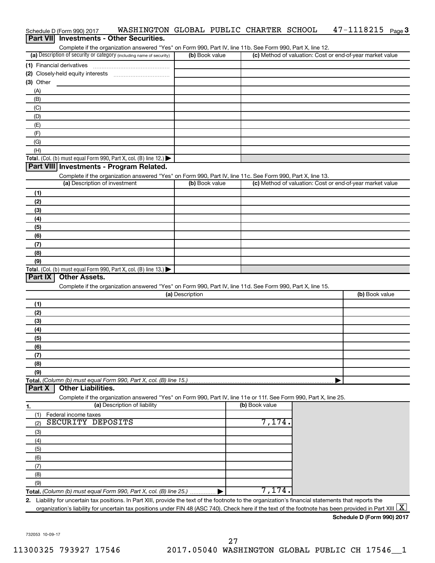|                  | Schedule D (Form 990) 2017    | WASHINGTON GLOBAL PUBLIC CHARTER SCHOOL                                                                           |                 |                |                | $47 - 1118215$ Page 3                                     |
|------------------|-------------------------------|-------------------------------------------------------------------------------------------------------------------|-----------------|----------------|----------------|-----------------------------------------------------------|
| <b>Part VIII</b> |                               | <b>Investments - Other Securities.</b>                                                                            |                 |                |                |                                                           |
|                  |                               | Complete if the organization answered "Yes" on Form 990, Part IV, line 11b. See Form 990, Part X, line 12.        |                 |                |                |                                                           |
|                  |                               | (a) Description of security or category (including name of security)                                              |                 | (b) Book value |                | (c) Method of valuation: Cost or end-of-year market value |
|                  | (1) Financial derivatives     |                                                                                                                   |                 |                |                |                                                           |
|                  |                               |                                                                                                                   |                 |                |                |                                                           |
| $(3)$ Other      |                               |                                                                                                                   |                 |                |                |                                                           |
| (A)              |                               |                                                                                                                   |                 |                |                |                                                           |
| (B)              |                               |                                                                                                                   |                 |                |                |                                                           |
| (C)              |                               |                                                                                                                   |                 |                |                |                                                           |
| (D)              |                               |                                                                                                                   |                 |                |                |                                                           |
| (E)              |                               |                                                                                                                   |                 |                |                |                                                           |
| (F)              |                               |                                                                                                                   |                 |                |                |                                                           |
| (G)              |                               |                                                                                                                   |                 |                |                |                                                           |
| (H)              |                               |                                                                                                                   |                 |                |                |                                                           |
|                  |                               | Total. (Col. (b) must equal Form 990, Part X, col. (B) line 12.)                                                  |                 |                |                |                                                           |
|                  |                               | Part VIII Investments - Program Related.                                                                          |                 |                |                |                                                           |
|                  |                               | Complete if the organization answered "Yes" on Form 990, Part IV, line 11c. See Form 990, Part X, line 13.        |                 |                |                |                                                           |
|                  | (a) Description of investment |                                                                                                                   |                 | (b) Book value |                | (c) Method of valuation: Cost or end-of-year market value |
| (1)              |                               |                                                                                                                   |                 |                |                |                                                           |
| (2)              |                               |                                                                                                                   |                 |                |                |                                                           |
| (3)              |                               |                                                                                                                   |                 |                |                |                                                           |
| (4)              |                               |                                                                                                                   |                 |                |                |                                                           |
| (5)              |                               |                                                                                                                   |                 |                |                |                                                           |
| (6)              |                               |                                                                                                                   |                 |                |                |                                                           |
| (7)              |                               |                                                                                                                   |                 |                |                |                                                           |
| (8)              |                               |                                                                                                                   |                 |                |                |                                                           |
| (9)              |                               |                                                                                                                   |                 |                |                |                                                           |
| Part IX          | <b>Other Assets.</b>          | Total. (Col. (b) must equal Form 990, Part X, col. (B) line 13.) $\blacktriangleright$                            |                 |                |                |                                                           |
|                  |                               | Complete if the organization answered "Yes" on Form 990, Part IV, line 11d. See Form 990, Part X, line 15.        |                 |                |                |                                                           |
|                  |                               |                                                                                                                   | (a) Description |                |                | (b) Book value                                            |
| (1)              |                               |                                                                                                                   |                 |                |                |                                                           |
| (2)              |                               |                                                                                                                   |                 |                |                |                                                           |
| (3)              |                               |                                                                                                                   |                 |                |                |                                                           |
| (4)              |                               |                                                                                                                   |                 |                |                |                                                           |
| (5)              |                               |                                                                                                                   |                 |                |                |                                                           |
| (6)              |                               |                                                                                                                   |                 |                |                |                                                           |
| (7)              |                               |                                                                                                                   |                 |                |                |                                                           |
| (8)              |                               |                                                                                                                   |                 |                |                |                                                           |
| (9)              |                               |                                                                                                                   |                 |                |                |                                                           |
|                  |                               | Total. (Column (b) must equal Form 990, Part X, col. (B) line 15.)                                                |                 |                |                |                                                           |
| <b>Part X</b>    | <b>Other Liabilities.</b>     |                                                                                                                   |                 |                |                |                                                           |
|                  |                               | Complete if the organization answered "Yes" on Form 990, Part IV, line 11e or 11f. See Form 990, Part X, line 25. |                 |                |                |                                                           |
| 1.               |                               | (a) Description of liability                                                                                      |                 |                | (b) Book value |                                                           |
| (1)              | Federal income taxes          |                                                                                                                   |                 |                |                |                                                           |
| (2)              | SECURITY DEPOSITS             |                                                                                                                   |                 |                | 7,174.         |                                                           |
|                  |                               |                                                                                                                   |                 |                |                |                                                           |
| (3)              |                               |                                                                                                                   |                 |                |                |                                                           |
| (4)              |                               |                                                                                                                   |                 |                |                |                                                           |
| (5)              |                               |                                                                                                                   |                 |                |                |                                                           |
| (6)              |                               |                                                                                                                   |                 |                |                |                                                           |
| (7)              |                               |                                                                                                                   |                 |                |                |                                                           |
| (8)              |                               |                                                                                                                   |                 |                |                |                                                           |
| (9)              |                               |                                                                                                                   |                 |                |                |                                                           |
|                  |                               | Total. (Column (b) must equal Form 990, Part X, col. (B) line 25.)                                                |                 |                | 7,174.         |                                                           |

732053 10-09-17

**Schedule D (Form 990) 2017**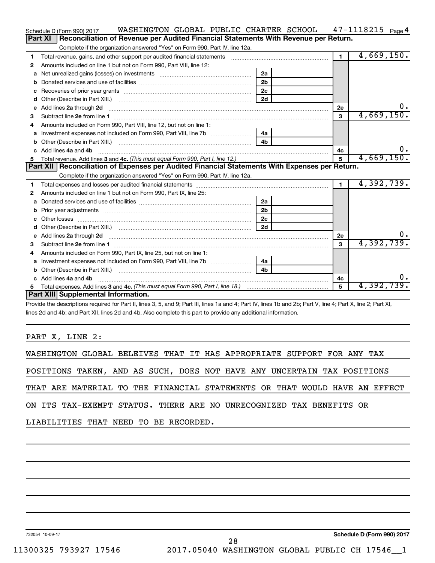|    | WASHINGTON GLOBAL PUBLIC CHARTER SCHOOL<br>Schedule D (Form 990) 2017                                                   |                |                | $47 - 1118215$ Page 4 |
|----|-------------------------------------------------------------------------------------------------------------------------|----------------|----------------|-----------------------|
|    | Part XI<br>Reconciliation of Revenue per Audited Financial Statements With Revenue per Return.                          |                |                |                       |
|    | Complete if the organization answered "Yes" on Form 990, Part IV, line 12a.                                             |                |                |                       |
| 1  | Total revenue, gains, and other support per audited financial statements                                                |                | $\overline{1}$ | 4,669,150.            |
| 2  | Amounts included on line 1 but not on Form 990, Part VIII, line 12:                                                     |                |                |                       |
| a  | Net unrealized gains (losses) on investments [111] [12] matter and the unrealized gains (losses) on investments         | 2a             |                |                       |
|    |                                                                                                                         | 2 <sub>b</sub> |                |                       |
| c  |                                                                                                                         | 2 <sub>c</sub> |                |                       |
| d  |                                                                                                                         | 2d             |                |                       |
| е  | Add lines 2a through 2d                                                                                                 |                | 2е             | 0.                    |
| з  |                                                                                                                         |                | 3              | 4,669,150.            |
| 4  | Amounts included on Form 990. Part VIII. line 12, but not on line 1:                                                    |                |                |                       |
|    |                                                                                                                         | 4a             |                |                       |
|    |                                                                                                                         | 4 <sub>b</sub> |                |                       |
| c. | Add lines 4a and 4b                                                                                                     |                | 4c             | 0.                    |
|    |                                                                                                                         |                | 5              | 4,669,150.            |
|    |                                                                                                                         |                |                |                       |
|    | Part XII   Reconciliation of Expenses per Audited Financial Statements With Expenses per Return.                        |                |                |                       |
|    | Complete if the organization answered "Yes" on Form 990, Part IV, line 12a.                                             |                |                |                       |
| 1  |                                                                                                                         |                | $\blacksquare$ | 4,392,739.            |
| 2  | Amounts included on line 1 but not on Form 990, Part IX, line 25:                                                       |                |                |                       |
| a  |                                                                                                                         | 2a             |                |                       |
| b  |                                                                                                                         | 2 <sub>b</sub> |                |                       |
|    |                                                                                                                         | 2 <sub>c</sub> |                |                       |
| d  |                                                                                                                         | 2d             |                |                       |
| е  | Add lines 2a through 2d <b>contract and a contract and a contract a</b> contract a contract and a contract a contract a |                | 2е             | υ.                    |
| з  |                                                                                                                         |                | $\mathbf{a}$   | 4,392,739.            |
| 4  | Amounts included on Form 990, Part IX, line 25, but not on line 1:                                                      |                |                |                       |
| a  |                                                                                                                         | 4a             |                |                       |
| b  |                                                                                                                         | 4 <sub>h</sub> |                |                       |
|    | c Add lines 4a and 4b                                                                                                   |                | 4c             |                       |
| 5  | Part XIII Supplemental Information.                                                                                     |                | 5              | 4,392,739.            |

Provide the descriptions required for Part II, lines 3, 5, and 9; Part III, lines 1a and 4; Part IV, lines 1b and 2b; Part V, line 4; Part X, line 2; Part XI, lines 2d and 4b; and Part XII, lines 2d and 4b. Also complete this part to provide any additional information.

# PART X, LINE 2:

| POSITIONS TAKEN, AND AS SUCH, DOES NOT HAVE ANY UNCERTAIN TAX POSITIONS    |
|----------------------------------------------------------------------------|
| THAT ARE MATERIAL TO THE FINANCIAL STATEMENTS OR THAT WOULD HAVE AN EFFECT |
| ON ITS TAX-EXEMPT STATUS. THERE ARE NO UNRECOGNIZED TAX BENEFITS OR        |
| LIABILITIES THAT NEED TO BE RECORDED.                                      |

732054 10-09-17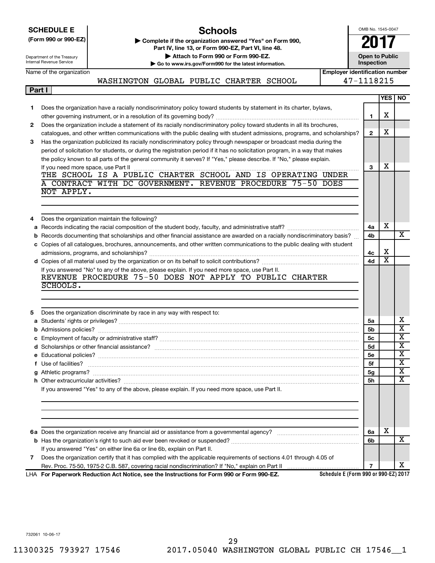|        | OMB No. 1545-0047<br><b>Schools</b><br><b>SCHEDULE E</b>                                                                 |                                                                                                                                                            |                                       |                                     |                         |                         |  |  |  |  |  |
|--------|--------------------------------------------------------------------------------------------------------------------------|------------------------------------------------------------------------------------------------------------------------------------------------------------|---------------------------------------|-------------------------------------|-------------------------|-------------------------|--|--|--|--|--|
|        | (Form 990 or 990-EZ)                                                                                                     | Complete if the organization answered "Yes" on Form 990,                                                                                                   |                                       |                                     |                         |                         |  |  |  |  |  |
|        |                                                                                                                          | Part IV, line 13, or Form 990-EZ, Part VI, line 48.                                                                                                        |                                       |                                     |                         |                         |  |  |  |  |  |
|        | Department of the Treasury<br>Internal Revenue Service                                                                   | Attach to Form 990 or Form 990-EZ.                                                                                                                         |                                       | <b>Open to Public</b><br>Inspection |                         |                         |  |  |  |  |  |
|        | Name of the organization                                                                                                 | Go to www.irs.gov/Form990 for the latest information.                                                                                                      | <b>Employer identification number</b> |                                     |                         |                         |  |  |  |  |  |
|        |                                                                                                                          | WASHINGTON GLOBAL PUBLIC CHARTER SCHOOL                                                                                                                    |                                       | 47-1118215                          |                         |                         |  |  |  |  |  |
| Part I |                                                                                                                          |                                                                                                                                                            |                                       |                                     |                         |                         |  |  |  |  |  |
|        |                                                                                                                          |                                                                                                                                                            |                                       |                                     |                         | <b>YES   NO</b>         |  |  |  |  |  |
| 1.     |                                                                                                                          | Does the organization have a racially nondiscriminatory policy toward students by statement in its charter, bylaws,                                        |                                       |                                     |                         |                         |  |  |  |  |  |
|        |                                                                                                                          |                                                                                                                                                            |                                       | 1                                   | х                       |                         |  |  |  |  |  |
| 2      | Does the organization include a statement of its racially nondiscriminatory policy toward students in all its brochures, |                                                                                                                                                            |                                       |                                     |                         |                         |  |  |  |  |  |
|        |                                                                                                                          | catalogues, and other written communications with the public dealing with student admissions, programs, and scholarships?                                  |                                       | $\mathbf{2}$                        | x                       |                         |  |  |  |  |  |
| 3      |                                                                                                                          | Has the organization publicized its racially nondiscriminatory policy through newspaper or broadcast media during the                                      |                                       |                                     |                         |                         |  |  |  |  |  |
|        |                                                                                                                          | period of solicitation for students, or during the registration period if it has no solicitation program, in a way that makes                              |                                       |                                     |                         |                         |  |  |  |  |  |
|        |                                                                                                                          | the policy known to all parts of the general community it serves? If "Yes," please describe. If "No," please explain.                                      |                                       |                                     | х                       |                         |  |  |  |  |  |
|        |                                                                                                                          | THE SCHOOL IS A PUBLIC CHARTER SCHOOL AND IS OPERATING UNDER                                                                                               |                                       | 3                                   |                         |                         |  |  |  |  |  |
|        |                                                                                                                          | A CONTRACT WITH DC GOVERNMENT. REVENUE PROCEDURE 75-50 DOES                                                                                                |                                       |                                     |                         |                         |  |  |  |  |  |
|        | NOT APPLY.                                                                                                               |                                                                                                                                                            |                                       |                                     |                         |                         |  |  |  |  |  |
|        |                                                                                                                          |                                                                                                                                                            |                                       |                                     |                         |                         |  |  |  |  |  |
|        |                                                                                                                          |                                                                                                                                                            |                                       |                                     |                         |                         |  |  |  |  |  |
| 4      |                                                                                                                          | Does the organization maintain the following?                                                                                                              |                                       |                                     |                         |                         |  |  |  |  |  |
| а      |                                                                                                                          |                                                                                                                                                            |                                       | 4a                                  | х                       |                         |  |  |  |  |  |
| b      |                                                                                                                          | Records documenting that scholarships and other financial assistance are awarded on a racially nondiscriminatory basis?                                    |                                       | 4b                                  |                         | X                       |  |  |  |  |  |
|        |                                                                                                                          | c Copies of all catalogues, brochures, announcements, and other written communications to the public dealing with student                                  |                                       |                                     |                         |                         |  |  |  |  |  |
|        |                                                                                                                          |                                                                                                                                                            |                                       | 4с                                  | х                       |                         |  |  |  |  |  |
|        |                                                                                                                          |                                                                                                                                                            |                                       | 4d                                  | $\overline{\texttt{x}}$ |                         |  |  |  |  |  |
|        |                                                                                                                          | If you answered "No" to any of the above, please explain. If you need more space, use Part II.<br>REVENUE PROCEDURE 75-50 DOES NOT APPLY TO PUBLIC CHARTER |                                       |                                     |                         |                         |  |  |  |  |  |
|        | SCHOOLS.                                                                                                                 |                                                                                                                                                            |                                       |                                     |                         |                         |  |  |  |  |  |
|        |                                                                                                                          |                                                                                                                                                            |                                       |                                     |                         |                         |  |  |  |  |  |
|        |                                                                                                                          |                                                                                                                                                            |                                       |                                     |                         |                         |  |  |  |  |  |
| 5      |                                                                                                                          | Does the organization discriminate by race in any way with respect to:                                                                                     |                                       |                                     |                         |                         |  |  |  |  |  |
|        |                                                                                                                          |                                                                                                                                                            |                                       | 5a                                  |                         | x                       |  |  |  |  |  |
|        |                                                                                                                          |                                                                                                                                                            |                                       | 5b                                  |                         | $\overline{\textbf{x}}$ |  |  |  |  |  |
|        |                                                                                                                          |                                                                                                                                                            |                                       | 5с                                  |                         | $\overline{\mathtt{x}}$ |  |  |  |  |  |
|        |                                                                                                                          |                                                                                                                                                            |                                       | <b>5d</b>                           |                         | $\overline{\textbf{x}}$ |  |  |  |  |  |
|        |                                                                                                                          |                                                                                                                                                            |                                       | <b>5e</b>                           |                         | X                       |  |  |  |  |  |
| f      | Use of facilities?                                                                                                       |                                                                                                                                                            |                                       | 5f                                  |                         | х                       |  |  |  |  |  |
|        |                                                                                                                          |                                                                                                                                                            |                                       | 5g                                  |                         | х<br>X                  |  |  |  |  |  |
|        |                                                                                                                          | If you answered "Yes" to any of the above, please explain. If you need more space, use Part II.                                                            |                                       | 5h                                  |                         |                         |  |  |  |  |  |
|        |                                                                                                                          |                                                                                                                                                            |                                       |                                     |                         |                         |  |  |  |  |  |
|        |                                                                                                                          |                                                                                                                                                            |                                       |                                     |                         |                         |  |  |  |  |  |
|        |                                                                                                                          |                                                                                                                                                            |                                       |                                     |                         |                         |  |  |  |  |  |
|        |                                                                                                                          |                                                                                                                                                            |                                       |                                     |                         |                         |  |  |  |  |  |
|        |                                                                                                                          |                                                                                                                                                            |                                       | 6a                                  | x                       |                         |  |  |  |  |  |
|        |                                                                                                                          |                                                                                                                                                            |                                       | 6b                                  |                         | х                       |  |  |  |  |  |
|        |                                                                                                                          | If you answered "Yes" on either line 6a or line 6b, explain on Part II.                                                                                    |                                       |                                     |                         |                         |  |  |  |  |  |
| 7      |                                                                                                                          | Does the organization certify that it has complied with the applicable requirements of sections 4.01 through 4.05 of                                       |                                       |                                     |                         |                         |  |  |  |  |  |
|        |                                                                                                                          |                                                                                                                                                            |                                       | $\overline{7}$                      |                         | x                       |  |  |  |  |  |

**For Paperwork Reduction Act Notice, see the Instructions for Form 990 or Form 990-EZ.** LHA

**Schedule E (Form 990 or 990-EZ) 2017**

732061 10-06-17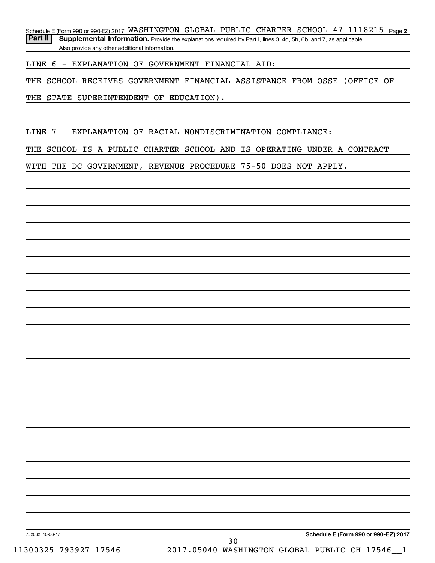Schedule E (Form 990 or 990-EZ) 2017 WASHINGTON GLOBAL PUBLIC CHARTER SCHOOL  $47-1118215$  Page 2

Part II | Supplemental Information. Provide the explanations required by Part I, lines 3, 4d, 5h, 6b, and 7, as applicable. Also provide any other additional information.

LINE 6 - EXPLANATION OF GOVERNMENT FINANCIAL AID:

THE SCHOOL RECEIVES GOVERNMENT FINANCIAL ASSISTANCE FROM OSSE (OFFICE OF

THE STATE SUPERINTENDENT OF EDUCATION).

LINE 7 - EXPLANATION OF RACIAL NONDISCRIMINATION COMPLIANCE:

THE SCHOOL IS A PUBLIC CHARTER SCHOOL AND IS OPERATING UNDER A CONTRACT

WITH THE DC GOVERNMENT, REVENUE PROCEDURE 75-50 DOES NOT APPLY.

**Schedule E (Form 990 or 990-EZ) 2017**

732062 10-06-17

30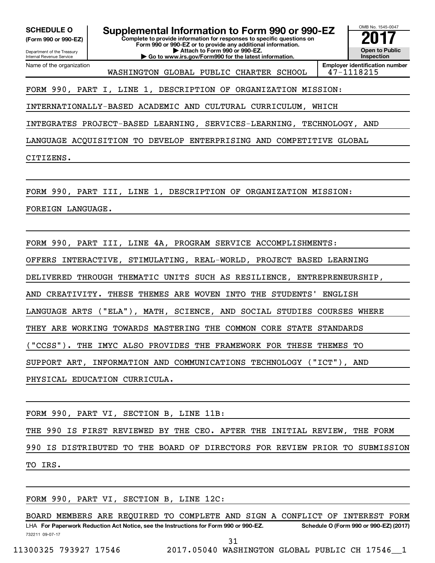**(Form 990 or 990-EZ)**

Department of the Treasury

Internal Revenue Service

**SCHEDULE O Supplemental Information to Form 990 or 990-EZ** <br>(Form 990 or 990-EZ) Complete to provide information for responses to specific questions on

**Complete to provide information for responses to specific questions on Form 990 or 990-EZ or to provide any additional information.**

**| Attach to Form 990 or 990-EZ. | Go to www.irs.gov/Form990 for the latest information.** OMB No. 1545-0047 **Open to Public Inspection**

Name of the organization WASHINGTON GLOBAL PUBLIC CHARTER SCHOOL | 47-1118215

**Employer identification number**

FORM 990, PART I, LINE 1, DESCRIPTION OF ORGANIZATION MISSION:

INTERNATIONALLY-BASED ACADEMIC AND CULTURAL CURRICULUM, WHICH

INTEGRATES PROJECT-BASED LEARNING, SERVICES-LEARNING, TECHNOLOGY, AND

LANGUAGE ACQUISITION TO DEVELOP ENTERPRISING AND COMPETITIVE GLOBAL

CITIZENS.

FORM 990, PART III, LINE 1, DESCRIPTION OF ORGANIZATION MISSION:

FOREIGN LANGUAGE.

FORM 990, PART III, LINE 4A, PROGRAM SERVICE ACCOMPLISHMENTS: OFFERS INTERACTIVE, STIMULATING, REAL-WORLD, PROJECT BASED LEARNING DELIVERED THROUGH THEMATIC UNITS SUCH AS RESILIENCE, ENTREPRENEURSHIP, AND CREATIVITY. THESE THEMES ARE WOVEN INTO THE STUDENTS' ENGLISH LANGUAGE ARTS ("ELA"), MATH, SCIENCE, AND SOCIAL STUDIES COURSES WHERE THEY ARE WORKING TOWARDS MASTERING THE COMMON CORE STATE STANDARDS ("CCSS"). THE IMYC ALSO PROVIDES THE FRAMEWORK FOR THESE THEMES TO SUPPORT ART, INFORMATION AND COMMUNICATIONS TECHNOLOGY ("ICT"), AND PHYSICAL EDUCATION CURRICULA.

FORM 990, PART VI, SECTION B, LINE 11B:

THE 990 IS FIRST REVIEWED BY THE CEO. AFTER THE INITIAL REVIEW, THE FORM

990 IS DISTRIBUTED TO THE BOARD OF DIRECTORS FOR REVIEW PRIOR TO SUBMISSION TO IRS.

FORM 990, PART VI, SECTION B, LINE 12C:

732211 09-07-17 LHA For Paperwork Reduction Act Notice, see the Instructions for Form 990 or 990-EZ. Schedule O (Form 990 or 990-EZ) (2017) BOARD MEMBERS ARE REQUIRED TO COMPLETE AND SIGN A CONFLICT OF INTEREST FORM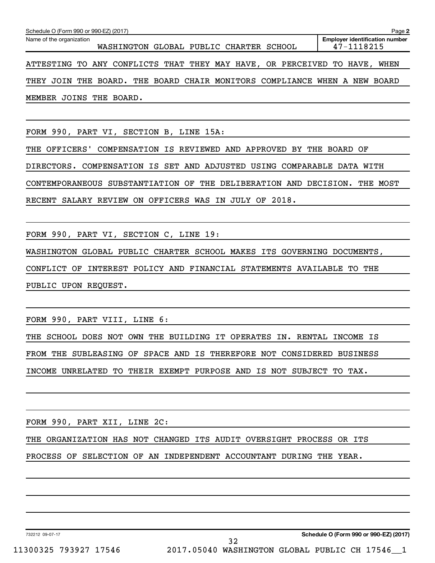| Schedule O (Form 990 or 990-EZ) (2017)<br>Page 2 |                                                     |  |  |  |                                                                           |  |  |  |  |  |
|--------------------------------------------------|-----------------------------------------------------|--|--|--|---------------------------------------------------------------------------|--|--|--|--|--|
| Name of the organization                         | <b>Employer identification number</b><br>47-1118215 |  |  |  |                                                                           |  |  |  |  |  |
|                                                  |                                                     |  |  |  | ATTESTING TO ANY CONFLICTS THAT THEY MAY HAVE, OR PERCEIVED TO HAVE, WHEN |  |  |  |  |  |
|                                                  |                                                     |  |  |  | THEY JOIN THE BOARD. THE BOARD CHAIR MONITORS COMPLIANCE WHEN A NEW BOARD |  |  |  |  |  |
|                                                  | MEMBER JOINS THE BOARD.                             |  |  |  |                                                                           |  |  |  |  |  |

FORM 990, PART VI, SECTION B, LINE 15A:

THE OFFICERS' COMPENSATION IS REVIEWED AND APPROVED BY THE BOARD OF DIRECTORS. COMPENSATION IS SET AND ADJUSTED USING COMPARABLE DATA WITH CONTEMPORANEOUS SUBSTANTIATION OF THE DELIBERATION AND DECISION. THE MOST RECENT SALARY REVIEW ON OFFICERS WAS IN JULY OF 2018.

FORM 990, PART VI, SECTION C, LINE 19:

WASHINGTON GLOBAL PUBLIC CHARTER SCHOOL MAKES ITS GOVERNING DOCUMENTS,

CONFLICT OF INTEREST POLICY AND FINANCIAL STATEMENTS AVAILABLE TO THE

PUBLIC UPON REQUEST.

FORM 990, PART VIII, LINE 6:

THE SCHOOL DOES NOT OWN THE BUILDING IT OPERATES IN. RENTAL INCOME IS

FROM THE SUBLEASING OF SPACE AND IS THEREFORE NOT CONSIDERED BUSINESS

INCOME UNRELATED TO THEIR EXEMPT PURPOSE AND IS NOT SUBJECT TO TAX.

FORM 990, PART XII, LINE 2C:

THE ORGANIZATION HAS NOT CHANGED ITS AUDIT OVERSIGHT PROCESS OR ITS

PROCESS OF SELECTION OF AN INDEPENDENT ACCOUNTANT DURING THE YEAR.

732212 09-07-17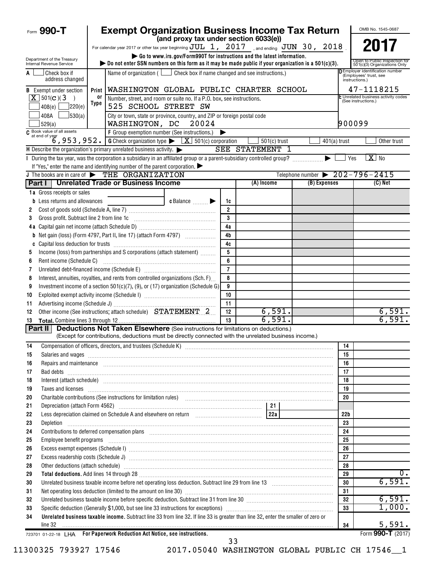|          | Form 990-T                                                                                                                                                                                                                           |                   | <b>Exempt Organization Business Income Tax Return</b>                                                                                                                                                                               |                                                                         |                |                        |                                                |                 | OMB No. 1545-0687                                                                  |
|----------|--------------------------------------------------------------------------------------------------------------------------------------------------------------------------------------------------------------------------------------|-------------------|-------------------------------------------------------------------------------------------------------------------------------------------------------------------------------------------------------------------------------------|-------------------------------------------------------------------------|----------------|------------------------|------------------------------------------------|-----------------|------------------------------------------------------------------------------------|
|          |                                                                                                                                                                                                                                      |                   |                                                                                                                                                                                                                                     | (and proxy tax under section 6033(e))                                   |                |                        |                                                |                 | 2017                                                                               |
|          |                                                                                                                                                                                                                                      |                   | For calendar year 2017 or other tax year beginning $\text{JUL}$ 1, 2017 , and ending $\text{JUN}$ 30, 2018                                                                                                                          | Go to www.irs.gov/Form990T for instructions and the latest information. |                |                        |                                                |                 |                                                                                    |
|          | Department of the Treasury<br>Internal Revenue Service                                                                                                                                                                               |                   | bo not enter SSN numbers on this form as it may be made public if your organization is a $501(c)(3)$ .                                                                                                                              |                                                                         |                |                        |                                                |                 | Open to Public Inspection for<br>501(c)(3) Organizations Only                      |
| A        | Check box if<br>address changed                                                                                                                                                                                                      |                   | Name of organization ( $\Box$ Check box if name changed and see instructions.)                                                                                                                                                      |                                                                         |                |                        |                                                |                 | <b>DEmployer identification number</b><br>(Employees' trust, see<br>instructions.) |
|          | <b>B</b> Exempt under section                                                                                                                                                                                                        | Print             | WASHINGTON GLOBAL PUBLIC CHARTER SCHOOL                                                                                                                                                                                             |                                                                         |                |                        |                                                |                 | 47-1118215                                                                         |
|          | $X$ 501(c)(3)<br>$\rightarrow$                                                                                                                                                                                                       | 0ľ<br><b>Type</b> | Number, street, and room or suite no. If a P.O. box, see instructions.                                                                                                                                                              |                                                                         |                |                        |                                                |                 | E Unrelated business activity codes<br>(See instructions.)                         |
|          | 7220(e)<br>408(e)                                                                                                                                                                                                                    |                   | 525 SCHOOL STREET SW                                                                                                                                                                                                                |                                                                         |                |                        |                                                |                 |                                                                                    |
|          | 30(a)<br>408A<br>529(a)                                                                                                                                                                                                              |                   | City or town, state or province, country, and ZIP or foreign postal code<br>WASHINGTON, DC                                                                                                                                          | 20024                                                                   |                |                        |                                                | 900099          |                                                                                    |
|          | C Book value of all assets                                                                                                                                                                                                           |                   | F Group exemption number (See instructions.)                                                                                                                                                                                        |                                                                         | ▶              |                        |                                                |                 |                                                                                    |
|          | at end of year<br>6, 953, 952.                                                                                                                                                                                                       |                   | <b>G</b> Check organization type $\blacktriangleright$ $\boxed{\mathbf{X}}$ 501(c) corporation                                                                                                                                      |                                                                         |                | $501(c)$ trust         |                                                | $401(a)$ trust  | Other trust                                                                        |
|          |                                                                                                                                                                                                                                      |                   | H Describe the organization's primary unrelated business activity.                                                                                                                                                                  |                                                                         |                | <b>SEE STATEMENT 1</b> |                                                |                 |                                                                                    |
|          |                                                                                                                                                                                                                                      |                   | I During the tax year, was the corporation a subsidiary in an affiliated group or a parent-subsidiary controlled group?                                                                                                             |                                                                         |                |                        |                                                | Yes             | $X$ No                                                                             |
|          |                                                                                                                                                                                                                                      |                   | If "Yes," enter the name and identifying number of the parent corporation.<br>J The books are in care of $\triangleright$ THE ORGANIZATION                                                                                          |                                                                         |                |                        | Telephone number $\triangleright$ 202-796-2415 |                 |                                                                                    |
|          |                                                                                                                                                                                                                                      |                   | Part I   Unrelated Trade or Business Income                                                                                                                                                                                         |                                                                         |                | (A) Income             | (B) Expenses                                   |                 | (C) Net                                                                            |
|          | 1a Gross receipts or sales                                                                                                                                                                                                           |                   |                                                                                                                                                                                                                                     |                                                                         |                |                        |                                                |                 |                                                                                    |
| b        | Less returns and allowances                                                                                                                                                                                                          |                   |                                                                                                                                                                                                                                     | $c$ Balance $\Box$                                                      | 1c             |                        |                                                |                 |                                                                                    |
| 2        |                                                                                                                                                                                                                                      |                   |                                                                                                                                                                                                                                     |                                                                         | $\overline{2}$ |                        |                                                |                 |                                                                                    |
| 3        | Gross profit. Subtract line 2 from line 1c                                                                                                                                                                                           |                   |                                                                                                                                                                                                                                     |                                                                         | 3              |                        |                                                |                 |                                                                                    |
|          |                                                                                                                                                                                                                                      |                   |                                                                                                                                                                                                                                     |                                                                         | 4a             |                        |                                                |                 |                                                                                    |
| b        |                                                                                                                                                                                                                                      |                   | Net gain (loss) (Form 4797, Part II, line 17) (attach Form 4797)                                                                                                                                                                    |                                                                         | 4 <sub>b</sub> |                        |                                                |                 |                                                                                    |
|          |                                                                                                                                                                                                                                      |                   |                                                                                                                                                                                                                                     |                                                                         | 4c             |                        |                                                |                 |                                                                                    |
| 5        |                                                                                                                                                                                                                                      |                   | Income (loss) from partnerships and S corporations (attach statement)                                                                                                                                                               |                                                                         | 5              |                        |                                                |                 |                                                                                    |
| 6        | Rent income (Schedule C)                                                                                                                                                                                                             |                   |                                                                                                                                                                                                                                     |                                                                         | 6              |                        |                                                |                 |                                                                                    |
| 7        |                                                                                                                                                                                                                                      |                   |                                                                                                                                                                                                                                     |                                                                         | $\overline{7}$ |                        |                                                |                 |                                                                                    |
| 8        |                                                                                                                                                                                                                                      |                   | Interest, annuities, royalties, and rents from controlled organizations (Sch. F)                                                                                                                                                    |                                                                         | 8              |                        |                                                |                 |                                                                                    |
| 9        |                                                                                                                                                                                                                                      |                   | Investment income of a section $501(c)(7)$ , (9), or (17) organization (Schedule G)                                                                                                                                                 |                                                                         | 9              |                        |                                                |                 |                                                                                    |
| 10       |                                                                                                                                                                                                                                      |                   |                                                                                                                                                                                                                                     |                                                                         | 10<br>11       |                        |                                                |                 |                                                                                    |
| 11<br>12 |                                                                                                                                                                                                                                      |                   | Other income (See instructions; attach schedule) STATEMENT 2                                                                                                                                                                        |                                                                         | 12             | 6,591.                 |                                                |                 | 6,591.                                                                             |
| 13       |                                                                                                                                                                                                                                      |                   |                                                                                                                                                                                                                                     |                                                                         | 13             | 6,591.                 |                                                |                 | 6,591.                                                                             |
|          | Part II                                                                                                                                                                                                                              |                   | <b>Deductions Not Taken Elsewhere</b> (See instructions for limitations on deductions.)                                                                                                                                             |                                                                         |                |                        |                                                |                 |                                                                                    |
|          |                                                                                                                                                                                                                                      |                   | (Except for contributions, deductions must be directly connected with the unrelated business income.)                                                                                                                               |                                                                         |                |                        |                                                |                 |                                                                                    |
| 14       |                                                                                                                                                                                                                                      |                   |                                                                                                                                                                                                                                     |                                                                         |                |                        |                                                | 14              |                                                                                    |
| 15       |                                                                                                                                                                                                                                      |                   | Salaries and wages <b>construction and construction of the construction</b> and wages <b>construction</b> and wages <b>construction</b>                                                                                             |                                                                         |                |                        |                                                | 15              |                                                                                    |
| 16       |                                                                                                                                                                                                                                      |                   | Repairs and maintenance <i>maintenance</i> and contained and contained and contained and maintenance and maintenance and                                                                                                            |                                                                         |                |                        |                                                | 16              |                                                                                    |
| 17       |                                                                                                                                                                                                                                      |                   | Bad debts <b>www.community.community.community.com</b>                                                                                                                                                                              |                                                                         |                |                        |                                                | 17              |                                                                                    |
| 18       |                                                                                                                                                                                                                                      |                   | Interest (attach schedule) <i>machine and accordinational content and accordinational content and accordination</i> and accordination and accordination and accordination and accordination and accordination and accordination and |                                                                         |                |                        |                                                | 18              |                                                                                    |
| 19       |                                                                                                                                                                                                                                      |                   | Taxes and licenses <b>construction and construction of the construction</b> and construction of the construction of the                                                                                                             |                                                                         |                |                        |                                                | 19              |                                                                                    |
| 20       |                                                                                                                                                                                                                                      |                   | Charitable contributions (See instructions for limitation rules) [11] manufacture in the contributions (See instructions for limitation rules) [11] manufacture in the contributions (See instructions for limitation rules) [      |                                                                         |                |                        |                                                | 20              |                                                                                    |
| 21<br>22 |                                                                                                                                                                                                                                      |                   |                                                                                                                                                                                                                                     |                                                                         |                |                        |                                                | 22 <sub>b</sub> |                                                                                    |
| 23       | Depletion                                                                                                                                                                                                                            |                   |                                                                                                                                                                                                                                     |                                                                         |                |                        |                                                | 23              |                                                                                    |
| 24       |                                                                                                                                                                                                                                      |                   |                                                                                                                                                                                                                                     |                                                                         |                |                        |                                                | 24              |                                                                                    |
| 25       | Contributions to deferred compensation plans [11] manufactured manufactured manufactured manufactured manufactured manufactured manufactured manufactured manufactured manufactured manufactured manufactured manufactured man       |                   |                                                                                                                                                                                                                                     |                                                                         |                |                        |                                                |                 |                                                                                    |
| 26       |                                                                                                                                                                                                                                      |                   |                                                                                                                                                                                                                                     |                                                                         |                |                        |                                                |                 |                                                                                    |
| 27       |                                                                                                                                                                                                                                      |                   |                                                                                                                                                                                                                                     |                                                                         |                |                        |                                                |                 |                                                                                    |
| 28       |                                                                                                                                                                                                                                      |                   | Other deductions (attach schedule) www.communications.communications.communications.communications.com                                                                                                                              |                                                                         |                |                        |                                                | 28              |                                                                                    |
| 29       | Total deductions. Add lines 14 through 28 [11, 20] [12, 20] [12, 20] [12, 20] [12, 20] [12, 20] [12, 20] [12, 20] [12, 20] [12, 20] [12, 20] [12, 20] [12, 20] [12, 20] [12, 20] [12, 20] [12, 20] [12, 20] [12, 20] [12, 20]<br>29  |                   |                                                                                                                                                                                                                                     |                                                                         |                |                        |                                                |                 | $\overline{0}$ .                                                                   |
| 30       | Unrelated business taxable income before net operating loss deduction. Subtract line 29 from line 13 [111] [120] [120] [120] [120] [120] [120] [120] [120] [120] [120] [120] [120] [120] [120] [120] [120] [120] [120] [120] [<br>30 |                   |                                                                                                                                                                                                                                     |                                                                         |                |                        |                                                |                 | 6,591.                                                                             |
| 31       |                                                                                                                                                                                                                                      |                   |                                                                                                                                                                                                                                     |                                                                         |                |                        |                                                | 31              |                                                                                    |
| 32       |                                                                                                                                                                                                                                      |                   | Unrelated business taxable income before specific deduction. Subtract line 31 from line 30 [11] manuscriptions taxable income before specific deduction. Subtract line 31 from line 30                                              |                                                                         |                |                        |                                                | 32              | 6,591.                                                                             |
| 33       |                                                                                                                                                                                                                                      |                   |                                                                                                                                                                                                                                     |                                                                         |                |                        |                                                | 33              | 1,000.                                                                             |
| 34       | line 32                                                                                                                                                                                                                              |                   | Unrelated business taxable income. Subtract line 33 from line 32. If line 33 is greater than line 32, enter the smaller of zero or                                                                                                  |                                                                         |                |                        |                                                | 34              | 5,591.                                                                             |
|          |                                                                                                                                                                                                                                      |                   | 723701 01-22-18 LHA For Paperwork Reduction Act Notice, see instructions.                                                                                                                                                           |                                                                         |                |                        |                                                |                 | Form 990-T (2017)                                                                  |
|          |                                                                                                                                                                                                                                      |                   |                                                                                                                                                                                                                                     |                                                                         | 33             |                        |                                                |                 |                                                                                    |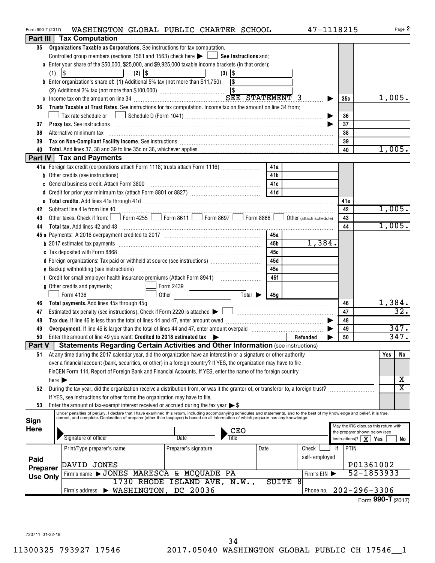| Form 990-T (2017) |                            | WASHINGTON GLOBAL PUBLIC CHARTER SCHOOL                                                                                                                                                                                                                                                                                                                                                                                   |                              |                             |                          | 47-1118215             |                                  | Page 2                               |  |  |  |  |  |
|-------------------|----------------------------|---------------------------------------------------------------------------------------------------------------------------------------------------------------------------------------------------------------------------------------------------------------------------------------------------------------------------------------------------------------------------------------------------------------------------|------------------------------|-----------------------------|--------------------------|------------------------|----------------------------------|--------------------------------------|--|--|--|--|--|
| Part III          |                            | <b>Tax Computation</b>                                                                                                                                                                                                                                                                                                                                                                                                    |                              |                             |                          |                        |                                  |                                      |  |  |  |  |  |
| 35                | (1)                        | Organizations Taxable as Corporations. See instructions for tax computation.<br>Controlled group members (sections 1561 and 1563) check here $\blacktriangleright$ $\Box$ See instructions and:<br>a Enter your share of the \$50,000, \$25,000, and \$9,925,000 taxable income brackets (in that order):<br>\$<br>$(2)$ $ $ \$<br><b>b</b> Enter organization's share of: (1) Additional 5% tax (not more than \$11,750) |                              | $(3)$ $ $<br>$\sqrt{3}$     |                          |                        |                                  |                                      |  |  |  |  |  |
|                   |                            |                                                                                                                                                                                                                                                                                                                                                                                                                           |                              |                             |                          |                        | 35c                              | 1,005.                               |  |  |  |  |  |
| 36                |                            | Trusts Taxable at Trust Rates. See instructions for tax computation. Income tax on the amount on line 34 from:                                                                                                                                                                                                                                                                                                            |                              |                             |                          |                        | 36                               |                                      |  |  |  |  |  |
| 37                |                            | <b>Proxy tax.</b> See instructions <b>constructions b</b><br>37                                                                                                                                                                                                                                                                                                                                                           |                              |                             |                          |                        |                                  |                                      |  |  |  |  |  |
| 38                |                            | Alternative minimum tax<br>38                                                                                                                                                                                                                                                                                                                                                                                             |                              |                             |                          |                        |                                  |                                      |  |  |  |  |  |
| 39                |                            |                                                                                                                                                                                                                                                                                                                                                                                                                           |                              |                             |                          |                        | 39                               |                                      |  |  |  |  |  |
| 40                |                            |                                                                                                                                                                                                                                                                                                                                                                                                                           |                              |                             |                          |                        | 40                               | 1,005.                               |  |  |  |  |  |
|                   |                            | <b>Part IV Tax and Payments</b>                                                                                                                                                                                                                                                                                                                                                                                           |                              |                             |                          |                        |                                  |                                      |  |  |  |  |  |
| b<br>c<br>d       |                            | 41a Foreign tax credit (corporations attach Form 1118; trusts attach Form 1116)<br>Other credits (see instructions)<br>General business credit. Attach Form 3800 [11] [11] [12] [12] [12] [12] [13] [14] [14] [14] [14] [14] [14] [14                                                                                                                                                                                     |                              |                             | 41a<br>41b<br>41c<br>41d |                        |                                  |                                      |  |  |  |  |  |
| e                 |                            |                                                                                                                                                                                                                                                                                                                                                                                                                           |                              |                             |                          |                        | 41e                              |                                      |  |  |  |  |  |
| 42                |                            | Subtract line 41e from line 40                                                                                                                                                                                                                                                                                                                                                                                            |                              |                             |                          |                        | 42                               | 1,005.                               |  |  |  |  |  |
| 43                |                            | Other taxes. Check if from: Form 4255 Form 8611 Form 8697 Form 8866 O Other (attach schedule)                                                                                                                                                                                                                                                                                                                             |                              |                             |                          |                        | 43                               |                                      |  |  |  |  |  |
| 44                |                            | <b>Total tax.</b> Add lines 42 and 43                                                                                                                                                                                                                                                                                                                                                                                     |                              |                             |                          |                        | 44                               | 1,005.                               |  |  |  |  |  |
|                   |                            |                                                                                                                                                                                                                                                                                                                                                                                                                           |                              |                             | 45a                      |                        |                                  |                                      |  |  |  |  |  |
|                   |                            |                                                                                                                                                                                                                                                                                                                                                                                                                           |                              |                             | 45b                      | 1,384.                 |                                  |                                      |  |  |  |  |  |
|                   |                            |                                                                                                                                                                                                                                                                                                                                                                                                                           |                              |                             | 45с                      |                        |                                  |                                      |  |  |  |  |  |
|                   |                            | d Foreign organizations: Tax paid or withheld at source (see instructions)                                                                                                                                                                                                                                                                                                                                                |                              |                             | 45d                      |                        |                                  |                                      |  |  |  |  |  |
|                   |                            |                                                                                                                                                                                                                                                                                                                                                                                                                           |                              |                             | 45e                      |                        |                                  |                                      |  |  |  |  |  |
|                   |                            |                                                                                                                                                                                                                                                                                                                                                                                                                           |                              |                             | 45f                      |                        |                                  |                                      |  |  |  |  |  |
|                   |                            | g Other credits and payments:                                                                                                                                                                                                                                                                                                                                                                                             | Form 2439                    |                             |                          |                        |                                  |                                      |  |  |  |  |  |
|                   |                            | Form 4136                                                                                                                                                                                                                                                                                                                                                                                                                 |                              | $\overline{\mathrm{Total}}$ | 45g                      |                        |                                  |                                      |  |  |  |  |  |
| 46                |                            |                                                                                                                                                                                                                                                                                                                                                                                                                           |                              |                             |                          |                        | 46                               | 1,384.                               |  |  |  |  |  |
| 47                |                            |                                                                                                                                                                                                                                                                                                                                                                                                                           |                              |                             |                          |                        | 47                               | $\overline{32}$ .                    |  |  |  |  |  |
| 48                |                            |                                                                                                                                                                                                                                                                                                                                                                                                                           |                              |                             |                          |                        | 48                               |                                      |  |  |  |  |  |
| 49                |                            |                                                                                                                                                                                                                                                                                                                                                                                                                           |                              |                             |                          |                        | 49                               | 347.                                 |  |  |  |  |  |
| 50                |                            | Enter the amount of line 49 you want: Credited to 2018 estimated tax $\blacktriangleright$                                                                                                                                                                                                                                                                                                                                |                              |                             |                          | Refunded               | 50                               | 347.                                 |  |  |  |  |  |
| <b>Part V</b>     |                            | <b>Statements Regarding Certain Activities and Other Information (see instructions)</b>                                                                                                                                                                                                                                                                                                                                   |                              |                             |                          |                        |                                  |                                      |  |  |  |  |  |
| 51                |                            | At any time during the 2017 calendar year, did the organization have an interest in or a signature or other authority<br>over a financial account (bank, securities, or other) in a foreign country? If YES, the organization may have to file<br>FinCEN Form 114, Report of Foreign Bank and Financial Accounts. If YES, enter the name of the foreign country                                                           |                              |                             |                          |                        |                                  | Yes<br>No                            |  |  |  |  |  |
|                   | here $\blacktriangleright$ | During the tax year, did the organization receive a distribution from, or was it the grantor of, or transferor to, a foreign trust?                                                                                                                                                                                                                                                                                       |                              |                             |                          |                        |                                  | x<br>$\overline{\textbf{x}}$         |  |  |  |  |  |
| 52                |                            |                                                                                                                                                                                                                                                                                                                                                                                                                           |                              |                             |                          |                        |                                  |                                      |  |  |  |  |  |
| 53                |                            | If YES, see instructions for other forms the organization may have to file.<br>Enter the amount of tax-exempt interest received or accrued during the tax year $\triangleright$ \$                                                                                                                                                                                                                                        |                              |                             |                          |                        |                                  |                                      |  |  |  |  |  |
|                   |                            | Under penalties of perjury, I declare that I have examined this return, including accompanying schedules and statements, and to the best of my knowledge and belief, it is true,                                                                                                                                                                                                                                          |                              |                             |                          |                        |                                  |                                      |  |  |  |  |  |
| Sign              |                            | correct, and complete. Declaration of preparer (other than taxpayer) is based on all information of which preparer has any knowledge.                                                                                                                                                                                                                                                                                     |                              |                             |                          |                        |                                  |                                      |  |  |  |  |  |
| Here              |                            |                                                                                                                                                                                                                                                                                                                                                                                                                           |                              | CEO                         |                          |                        | the preparer shown below (see    | May the IRS discuss this return with |  |  |  |  |  |
|                   |                            | Signature of officer                                                                                                                                                                                                                                                                                                                                                                                                      | Date                         |                             |                          |                        | instructions)? $\mid X \mid Yes$ | No                                   |  |  |  |  |  |
| Paid              |                            | Print/Type preparer's name                                                                                                                                                                                                                                                                                                                                                                                                | Preparer's signature         |                             | Date                     | Check<br>self-employed | PTIN<br>if                       |                                      |  |  |  |  |  |
| Preparer          |                            | DAVID JONES                                                                                                                                                                                                                                                                                                                                                                                                               |                              |                             |                          |                        |                                  | P01361002                            |  |  |  |  |  |
| <b>Use Only</b>   |                            | Firm's name > JONES MARESCA & MCQUADE PA                                                                                                                                                                                                                                                                                                                                                                                  |                              |                             |                          | Firm's EIN             |                                  | 52-1853933                           |  |  |  |  |  |
|                   |                            |                                                                                                                                                                                                                                                                                                                                                                                                                           | 1730 RHODE ISLAND AVE, N.W., |                             | SUITE                    | 8                      |                                  |                                      |  |  |  |  |  |
|                   |                            | Firm's address > WASHINGTON, DC 20036                                                                                                                                                                                                                                                                                                                                                                                     |                              |                             |                          |                        | Phone no. 202-296-3306           |                                      |  |  |  |  |  |
|                   |                            |                                                                                                                                                                                                                                                                                                                                                                                                                           |                              |                             |                          |                        |                                  | Form 990-T (2017)                    |  |  |  |  |  |

723711 01-22-18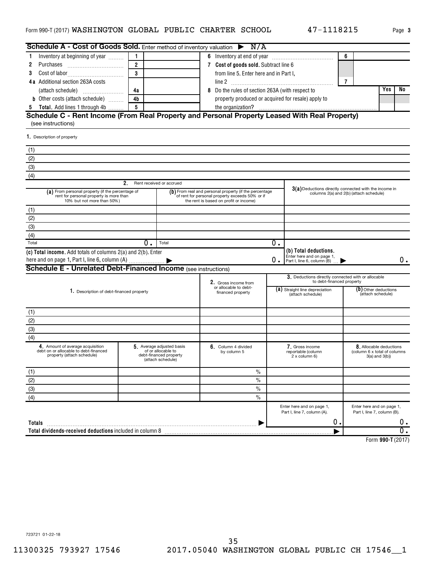| Page 3 |  |
|--------|--|
|        |  |

| Schedule A - Cost of Goods Sold. Enter method of inventory valuation $\triangleright$ N/A                                 |                |                                                                                                |                                                                                                                                                     |    |                                                                                 |                |                                                                              |                  |
|---------------------------------------------------------------------------------------------------------------------------|----------------|------------------------------------------------------------------------------------------------|-----------------------------------------------------------------------------------------------------------------------------------------------------|----|---------------------------------------------------------------------------------|----------------|------------------------------------------------------------------------------|------------------|
| Inventory at beginning of year                                                                                            |                |                                                                                                |                                                                                                                                                     |    |                                                                                 | 6              |                                                                              |                  |
| 2                                                                                                                         | $\overline{2}$ |                                                                                                | 7 Cost of goods sold. Subtract line 6                                                                                                               |    |                                                                                 |                |                                                                              |                  |
| 3                                                                                                                         | $\mathbf{R}$   |                                                                                                | from line 5. Enter here and in Part I,                                                                                                              |    |                                                                                 |                |                                                                              |                  |
| 4a Additional section 263A costs                                                                                          |                |                                                                                                |                                                                                                                                                     |    |                                                                                 | $\overline{7}$ |                                                                              |                  |
|                                                                                                                           | 4a             |                                                                                                | Do the rules of section 263A (with respect to                                                                                                       |    |                                                                                 |                | Yes                                                                          | No               |
| <b>b</b> Other costs (attach schedule)                                                                                    | 4 <sub>b</sub> |                                                                                                | property produced or acquired for resale) apply to                                                                                                  |    |                                                                                 |                |                                                                              |                  |
| Total. Add lines 1 through 4b<br>5                                                                                        | 5              |                                                                                                |                                                                                                                                                     |    |                                                                                 |                |                                                                              |                  |
| Schedule C - Rent Income (From Real Property and Personal Property Leased With Real Property)                             |                |                                                                                                |                                                                                                                                                     |    |                                                                                 |                |                                                                              |                  |
| (see instructions)                                                                                                        |                |                                                                                                |                                                                                                                                                     |    |                                                                                 |                |                                                                              |                  |
| 1. Description of property                                                                                                |                |                                                                                                |                                                                                                                                                     |    |                                                                                 |                |                                                                              |                  |
| (1)                                                                                                                       |                |                                                                                                |                                                                                                                                                     |    |                                                                                 |                |                                                                              |                  |
| (2)                                                                                                                       |                |                                                                                                |                                                                                                                                                     |    |                                                                                 |                |                                                                              |                  |
| (3)                                                                                                                       |                |                                                                                                |                                                                                                                                                     |    |                                                                                 |                |                                                                              |                  |
| (4)                                                                                                                       |                |                                                                                                |                                                                                                                                                     |    |                                                                                 |                |                                                                              |                  |
|                                                                                                                           | 2.             | Rent received or accrued                                                                       |                                                                                                                                                     |    |                                                                                 |                |                                                                              |                  |
| (a) From personal property (if the percentage of<br>rent for personal property is more than<br>10% but not more than 50%) |                |                                                                                                | (b) From real and personal property (if the percentage<br>of rent for personal property exceeds 50% or if<br>the rent is based on profit or income) |    | 3(a) Deductions directly connected with the income in                           |                | columns 2(a) and 2(b) (attach schedule)                                      |                  |
| (1)                                                                                                                       |                |                                                                                                |                                                                                                                                                     |    |                                                                                 |                |                                                                              |                  |
| (2)                                                                                                                       |                |                                                                                                |                                                                                                                                                     |    |                                                                                 |                |                                                                              |                  |
| (3)                                                                                                                       |                |                                                                                                |                                                                                                                                                     |    |                                                                                 |                |                                                                              |                  |
| (4)                                                                                                                       |                |                                                                                                |                                                                                                                                                     |    |                                                                                 |                |                                                                              |                  |
| Total                                                                                                                     | $0$ .          | Total                                                                                          |                                                                                                                                                     | 0. |                                                                                 |                |                                                                              |                  |
| (c) Total income. Add totals of columns 2(a) and 2(b). Enter                                                              |                |                                                                                                |                                                                                                                                                     |    | (b) Total deductions.                                                           |                |                                                                              |                  |
|                                                                                                                           |                |                                                                                                |                                                                                                                                                     | 0. | Enter here and on page 1.<br>Part I, line 6, column (B)                         |                |                                                                              | 0.               |
| <b>Schedule E - Unrelated Debt-Financed Income</b> (see instructions)                                                     |                |                                                                                                |                                                                                                                                                     |    |                                                                                 |                |                                                                              |                  |
|                                                                                                                           |                |                                                                                                | 2. Gross income from                                                                                                                                |    | 3. Deductions directly connected with or allocable<br>to debt-financed property |                |                                                                              |                  |
| 1. Description of debt-financed property                                                                                  |                |                                                                                                | or allocable to debt-<br>financed property                                                                                                          |    | (a) Straight line depreciation<br>(attach schedule)                             |                | (D) Other deductions<br>(attach schedule)                                    |                  |
| (1)                                                                                                                       |                |                                                                                                |                                                                                                                                                     |    |                                                                                 |                |                                                                              |                  |
| (2)                                                                                                                       |                |                                                                                                |                                                                                                                                                     |    |                                                                                 |                |                                                                              |                  |
| (3)                                                                                                                       |                |                                                                                                |                                                                                                                                                     |    |                                                                                 |                |                                                                              |                  |
| (4)                                                                                                                       |                |                                                                                                |                                                                                                                                                     |    |                                                                                 |                |                                                                              |                  |
| 4. Amount of average acquisition<br>debt on or allocable to debt-financed<br>property (attach schedule)                   |                | 5. Average adjusted basis<br>of or allocable to<br>debt-financed property<br>(attach schedule) | 6. Column 4 divided<br>by column 5                                                                                                                  |    | 7. Gross income<br>reportable (column<br>2 x column 6)                          |                | 8. Allocable deductions<br>(column 6 x total of columns<br>$3(a)$ and $3(b)$ |                  |
| (1)                                                                                                                       |                |                                                                                                | $\%$                                                                                                                                                |    |                                                                                 |                |                                                                              |                  |
| (2)                                                                                                                       |                |                                                                                                | $\frac{0}{0}$                                                                                                                                       |    |                                                                                 |                |                                                                              |                  |
| (3)                                                                                                                       |                |                                                                                                | $\frac{0}{0}$                                                                                                                                       |    |                                                                                 |                |                                                                              |                  |
| (4)                                                                                                                       |                |                                                                                                | $\%$                                                                                                                                                |    |                                                                                 |                |                                                                              |                  |
|                                                                                                                           |                |                                                                                                |                                                                                                                                                     |    | Enter here and on page 1,<br>Part I, line 7, column (A).                        |                | Enter here and on page 1,<br>Part I, line 7, column (B).                     |                  |
| Totals                                                                                                                    |                |                                                                                                |                                                                                                                                                     |    | Ο.                                                                              |                |                                                                              | 0.               |
| Total dividends-received deductions included in column 8                                                                  |                |                                                                                                |                                                                                                                                                     |    |                                                                                 |                |                                                                              | $\overline{0}$ . |
|                                                                                                                           |                |                                                                                                |                                                                                                                                                     |    |                                                                                 |                |                                                                              |                  |

**990-T**  Form (2017)

723721 01-22-18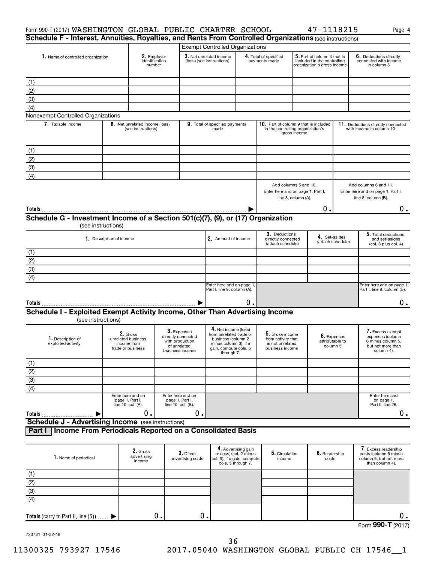| Form 990-T (2017) WASHINGTON GLOBAL PUBLIC CHARTER SCHOOL                                               |  |                                                                    |                                                                                         |                                                      |                                                                                                                                       |                                                                                                                                       |                                                                                                |                     | 47-1118215                                 |                                                                | Page 4                                                                                       |
|---------------------------------------------------------------------------------------------------------|--|--------------------------------------------------------------------|-----------------------------------------------------------------------------------------|------------------------------------------------------|---------------------------------------------------------------------------------------------------------------------------------------|---------------------------------------------------------------------------------------------------------------------------------------|------------------------------------------------------------------------------------------------|---------------------|--------------------------------------------|----------------------------------------------------------------|----------------------------------------------------------------------------------------------|
| Schedule F - Interest, Annuities, Royalties, and Rents From Controlled Organizations (see instructions) |  |                                                                    |                                                                                         |                                                      |                                                                                                                                       |                                                                                                                                       |                                                                                                |                     |                                            |                                                                |                                                                                              |
|                                                                                                         |  |                                                                    |                                                                                         |                                                      | <b>Exempt Controlled Organizations</b>                                                                                                |                                                                                                                                       |                                                                                                |                     |                                            |                                                                |                                                                                              |
| 1. Name of controlled organization                                                                      |  | 2. Employer<br>identification<br>number                            |                                                                                         | 3. Net unrelated income<br>(loss) (see instructions) |                                                                                                                                       | 4. Total of specified<br>$5.$ Part of column 4 that is<br>payments made<br>included in the controlling<br>organization's gross income |                                                                                                |                     |                                            | 6. Deductions directly<br>connected with income<br>in column 5 |                                                                                              |
| (1)                                                                                                     |  |                                                                    |                                                                                         |                                                      |                                                                                                                                       |                                                                                                                                       |                                                                                                |                     |                                            |                                                                |                                                                                              |
| (2)                                                                                                     |  |                                                                    |                                                                                         |                                                      |                                                                                                                                       |                                                                                                                                       |                                                                                                |                     |                                            |                                                                |                                                                                              |
| (3)                                                                                                     |  |                                                                    |                                                                                         |                                                      |                                                                                                                                       |                                                                                                                                       |                                                                                                |                     |                                            |                                                                |                                                                                              |
| (4)                                                                                                     |  |                                                                    |                                                                                         |                                                      |                                                                                                                                       |                                                                                                                                       |                                                                                                |                     |                                            |                                                                |                                                                                              |
| Nonexempt Controlled Organizations                                                                      |  |                                                                    |                                                                                         |                                                      |                                                                                                                                       |                                                                                                                                       |                                                                                                |                     |                                            |                                                                |                                                                                              |
| 7. Taxable Income                                                                                       |  | 8. Net unrelated income (loss)<br>(see instructions)               |                                                                                         |                                                      | 9. Total of specified payments<br>made                                                                                                |                                                                                                                                       | 10. Part of column 9 that is included<br>in the controlling organization's                     | gross income        |                                            |                                                                | 11. Deductions directly connected<br>with income in column 10                                |
| (1)                                                                                                     |  |                                                                    |                                                                                         |                                                      |                                                                                                                                       |                                                                                                                                       |                                                                                                |                     |                                            |                                                                |                                                                                              |
| (2)                                                                                                     |  |                                                                    |                                                                                         |                                                      |                                                                                                                                       |                                                                                                                                       |                                                                                                |                     |                                            |                                                                |                                                                                              |
| (3)                                                                                                     |  |                                                                    |                                                                                         |                                                      |                                                                                                                                       |                                                                                                                                       |                                                                                                |                     |                                            |                                                                |                                                                                              |
| (4)                                                                                                     |  |                                                                    |                                                                                         |                                                      |                                                                                                                                       |                                                                                                                                       |                                                                                                |                     |                                            |                                                                |                                                                                              |
|                                                                                                         |  |                                                                    |                                                                                         |                                                      |                                                                                                                                       |                                                                                                                                       | Add columns 5 and 10.<br>Enter here and on page 1, Part I,                                     | line 8, column (A). |                                            |                                                                | Add columns 6 and 11.<br>Enter here and on page 1, Part I,<br>line 8, column (B).            |
| Totals                                                                                                  |  |                                                                    |                                                                                         |                                                      |                                                                                                                                       |                                                                                                                                       |                                                                                                |                     | Ο.                                         |                                                                | $0$ .                                                                                        |
| Schedule G - Investment Income of a Section 501(c)(7), (9), or (17) Organization<br>(see instructions)  |  |                                                                    |                                                                                         |                                                      |                                                                                                                                       |                                                                                                                                       |                                                                                                |                     |                                            |                                                                |                                                                                              |
| 1. Description of income                                                                                |  |                                                                    |                                                                                         |                                                      | 2. Amount of income                                                                                                                   |                                                                                                                                       | 3. Deductions<br>4. Set-asides<br>directly connected<br>(attach schedule)<br>(attach schedule) |                     |                                            | 5. Total deductions<br>and set-asides<br>(col. 3 plus col. 4)  |                                                                                              |
| (1)                                                                                                     |  |                                                                    |                                                                                         |                                                      |                                                                                                                                       |                                                                                                                                       |                                                                                                |                     |                                            |                                                                |                                                                                              |
| $\overline{(2)}$                                                                                        |  |                                                                    |                                                                                         |                                                      |                                                                                                                                       |                                                                                                                                       |                                                                                                |                     |                                            |                                                                |                                                                                              |
| $\overline{3}$                                                                                          |  |                                                                    |                                                                                         |                                                      |                                                                                                                                       |                                                                                                                                       |                                                                                                |                     |                                            |                                                                |                                                                                              |
| $\overline{(4)}$                                                                                        |  |                                                                    |                                                                                         |                                                      |                                                                                                                                       |                                                                                                                                       |                                                                                                |                     |                                            |                                                                |                                                                                              |
|                                                                                                         |  |                                                                    |                                                                                         |                                                      | Enter here and on page 1<br>Part I, line 9, column (A).                                                                               |                                                                                                                                       |                                                                                                |                     |                                            |                                                                | Enter here and on page 1,<br>Part I, line 9, column (B).                                     |
| Totals                                                                                                  |  |                                                                    |                                                                                         |                                                      |                                                                                                                                       | о.                                                                                                                                    |                                                                                                |                     |                                            |                                                                | 0.                                                                                           |
| Schedule I - Exploited Exempt Activity Income, Other Than Advertising Income<br>(see instructions)      |  |                                                                    |                                                                                         |                                                      |                                                                                                                                       |                                                                                                                                       |                                                                                                |                     |                                            |                                                                |                                                                                              |
| 1. Description of<br>exploited activity                                                                 |  | 2. Gross<br>unrelated business<br>income from<br>trade or business | 3. Expenses<br>directly connected<br>with production<br>of unrelated<br>business income |                                                      | 4. Net income (loss)<br>from unrelated trade or<br>business (column 2<br>minus column 3). If a<br>gain, compute cols. 5<br>through 7. |                                                                                                                                       | 5. Gross income<br>from activity that<br>is not unrelated<br>business income                   |                     | 6. Expenses<br>attributable to<br>column 5 |                                                                | I. Excess exempt<br>expenses (column<br>6 minus column 5,<br>but not more than<br>column 4). |
| (1)                                                                                                     |  |                                                                    |                                                                                         |                                                      |                                                                                                                                       |                                                                                                                                       |                                                                                                |                     |                                            |                                                                |                                                                                              |
| $\frac{(2)}{(3)}$                                                                                       |  |                                                                    |                                                                                         |                                                      |                                                                                                                                       |                                                                                                                                       |                                                                                                |                     |                                            |                                                                |                                                                                              |
|                                                                                                         |  |                                                                    |                                                                                         |                                                      |                                                                                                                                       |                                                                                                                                       |                                                                                                |                     |                                            |                                                                |                                                                                              |
| $\overline{(4)}$                                                                                        |  |                                                                    |                                                                                         |                                                      |                                                                                                                                       |                                                                                                                                       |                                                                                                |                     |                                            |                                                                |                                                                                              |
|                                                                                                         |  | Enter here and on<br>page 1, Part I,<br>line 10, col. (A).         | Enter here and on<br>page 1, Part I,<br>line 10, col. (B).                              |                                                      |                                                                                                                                       |                                                                                                                                       |                                                                                                |                     |                                            |                                                                | Enter here and<br>on page 1,<br>Part II, line 26.                                            |
| Totals                                                                                                  |  | 0.                                                                 |                                                                                         | Ο.                                                   |                                                                                                                                       |                                                                                                                                       |                                                                                                |                     |                                            |                                                                | $0$ .                                                                                        |
| <b>Schedule J - Advertising Income</b> (see instructions)                                               |  |                                                                    |                                                                                         |                                                      |                                                                                                                                       |                                                                                                                                       |                                                                                                |                     |                                            |                                                                |                                                                                              |
| Income From Periodicals Reported on a Consolidated Basis<br>Part I                                      |  |                                                                    |                                                                                         |                                                      |                                                                                                                                       |                                                                                                                                       |                                                                                                |                     |                                            |                                                                |                                                                                              |
| 1. Name of periodical                                                                                   |  | 2. Gross<br>advertising<br>income                                  |                                                                                         | 3. Direct<br>advertising costs                       | col. 3). If a gain, compute                                                                                                           | 4. Advertising gain<br>or (loss) (col. 2 minus<br>cols. 5 through 7.                                                                  | 5. Circulation<br>income                                                                       |                     | 6. Readership<br>costs                     |                                                                | 7. Excess readership<br>costs (column 6 minus<br>column 5, but not more<br>than column 4).   |
|                                                                                                         |  |                                                                    |                                                                                         |                                                      |                                                                                                                                       |                                                                                                                                       |                                                                                                |                     |                                            |                                                                |                                                                                              |
| $rac{(1)}{(2)}$<br>(3)                                                                                  |  |                                                                    |                                                                                         |                                                      |                                                                                                                                       |                                                                                                                                       |                                                                                                |                     |                                            |                                                                |                                                                                              |
|                                                                                                         |  |                                                                    |                                                                                         |                                                      |                                                                                                                                       |                                                                                                                                       |                                                                                                |                     |                                            |                                                                |                                                                                              |
| $\overline{(4)}$                                                                                        |  |                                                                    |                                                                                         |                                                      |                                                                                                                                       |                                                                                                                                       |                                                                                                |                     |                                            |                                                                |                                                                                              |

Form (2017) **990-T** 0. 0. 0. 0.

723731 01-22-18

**Totals** (carry to Part II, line  $(5)$ )  $\ldots$ .

 $\blacktriangleright$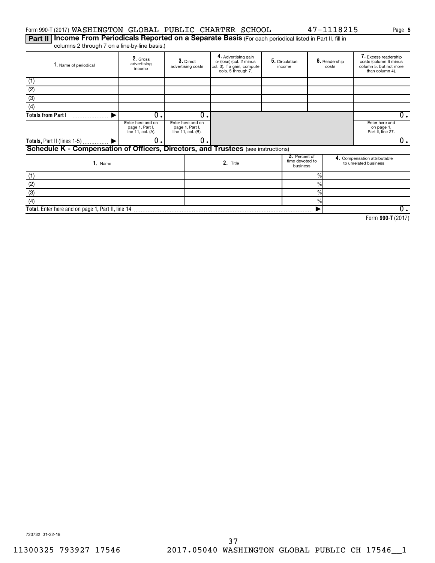# Form 990-T (2017) Page WASHINGTON GLOBAL PUBLIC CHARTER SCHOOL 47-1118215

Part II | Income From Periodicals Reported on a Separate Basis (For each periodical listed in Part II, fill in columns 2 through 7 on a line-by-line basis.)

| 1. Name of periodical                                                             | 2. Gross<br>advertising<br>income                          | 3. Direct<br>advertising costs                             | 4. Advertising gain<br>or (loss) (col. 2 minus<br>col. 3). If a gain, compute<br>cols. 5 through 7. | 5. Circulation<br>income                     |               | 6. Readership<br>costs | 7. Excess readership<br>costs (column 6 minus<br>column 5, but not more<br>than column 4). |
|-----------------------------------------------------------------------------------|------------------------------------------------------------|------------------------------------------------------------|-----------------------------------------------------------------------------------------------------|----------------------------------------------|---------------|------------------------|--------------------------------------------------------------------------------------------|
| (1)                                                                               |                                                            |                                                            |                                                                                                     |                                              |               |                        |                                                                                            |
| (2)                                                                               |                                                            |                                                            |                                                                                                     |                                              |               |                        |                                                                                            |
| (3)                                                                               |                                                            |                                                            |                                                                                                     |                                              |               |                        |                                                                                            |
| (4)                                                                               |                                                            |                                                            |                                                                                                     |                                              |               |                        |                                                                                            |
| <b>Totals from Part I</b>                                                         | 0.                                                         | 0                                                          |                                                                                                     |                                              |               |                        | 0.                                                                                         |
|                                                                                   | Enter here and on<br>page 1, Part I,<br>line 11, col. (A). | Enter here and on<br>page 1, Part I,<br>line 11, col. (B). |                                                                                                     |                                              |               |                        | Enter here and<br>on page 1,<br>Part II, line 27.                                          |
| Totals, Part II (lines 1-5)  ▶                                                    | 0.                                                         | 0                                                          |                                                                                                     |                                              |               |                        | 0.                                                                                         |
| Schedule K - Compensation of Officers, Directors, and Trustees (see instructions) |                                                            |                                                            |                                                                                                     |                                              |               |                        |                                                                                            |
| 1. Name                                                                           |                                                            |                                                            | 2. Title                                                                                            | 3. Percent of<br>time devoted to<br>business |               |                        | 4. Compensation attributable<br>to unrelated business                                      |
| (1)                                                                               |                                                            |                                                            |                                                                                                     |                                              | $\%$          |                        |                                                                                            |
| (2)                                                                               |                                                            |                                                            |                                                                                                     |                                              | $\frac{0}{0}$ |                        |                                                                                            |
| (3)                                                                               |                                                            |                                                            |                                                                                                     |                                              | $\frac{0}{0}$ |                        |                                                                                            |
| (4)                                                                               |                                                            |                                                            |                                                                                                     |                                              | $\frac{0}{0}$ |                        |                                                                                            |
| Total. Enter here and on page 1, Part II, line 14                                 |                                                            |                                                            |                                                                                                     |                                              |               |                        | 0.                                                                                         |

**990-T**  Form (2017)

**5**

723732 01-22-18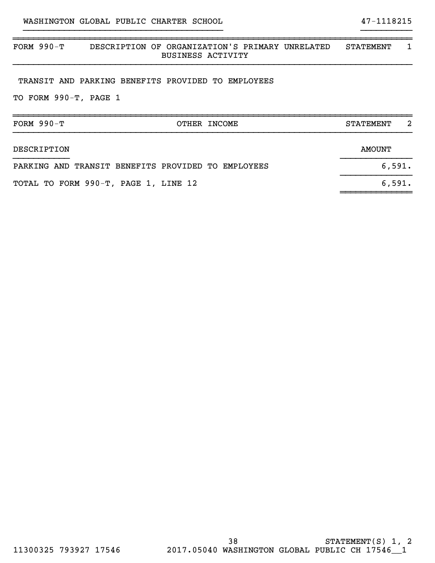# ~~~~~~~~~~~~~~~~~~~~~~~~~~~~~~~~~~~~~~~~~~~~~~~~~~~~~~~~~~~~~~~~~~~~~~~~~~~~~~ FORM 990-T DESCRIPTION OF ORGANIZATION'S PRIMARY UNRELATED STATEMENT 1 BUSINESS ACTIVITY }}}}}}}}}}}}}}}}}}}}}}}}}}}}}}}}}}}}}}}}}}}}}}}}}}}}}}}}}}}}}}}}}}}}}}}}}}}}}}

}}}}}}}}}}}}}}}}}}}}}}}}}}}}}}}}}}}}}}} }}}}}}}}}}

### TRANSIT AND PARKING BENEFITS PROVIDED TO EMPLOYEES

TO FORM 990-T, PAGE 1

| FORM $990-T$<br>OTHER INCOME                       | 2<br><b>STATEMENT</b> |
|----------------------------------------------------|-----------------------|
|                                                    |                       |
| DESCRIPTION                                        | <b>AMOUNT</b>         |
| PARKING AND TRANSIT BENEFITS PROVIDED TO EMPLOYEES | 6,591.                |
| TOTAL TO FORM 990-T, PAGE 1, LINE 12               | 6,591.                |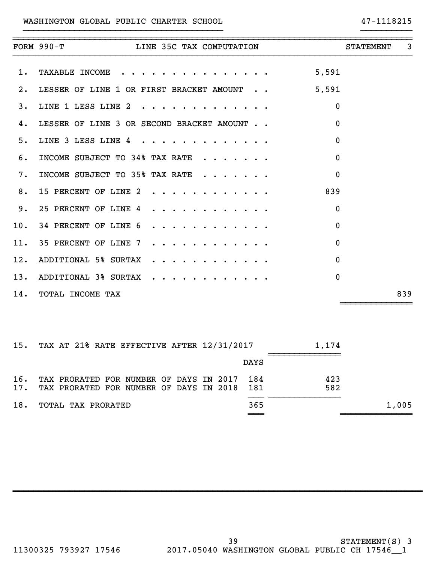# WASHINGTON GLOBAL PUBLIC CHARTER SCHOOL 47-1118215

|     | FORM 990-T LINE 35C TAX COMPUTATION                                                                | <b>STATEMENT</b> | 3 |
|-----|----------------------------------------------------------------------------------------------------|------------------|---|
| 1.  | TAXABLE INCOME 5,591                                                                               |                  |   |
| 2.  | LESSER OF LINE 1 OR FIRST BRACKET AMOUNT 5,591                                                     |                  |   |
| 3.  | LINE 1 LESS LINE 2 $\cdot \cdot \cdot \cdot \cdot \cdot \cdot \cdot \cdot \cdot \cdot$<br>$\Omega$ |                  |   |
| 4.  | $\mathbf{0}$<br>LESSER OF LINE 3 OR SECOND BRACKET AMOUNT                                          |                  |   |
| 5.  | LINE 3 LESS LINE 4<br>$\Omega$                                                                     |                  |   |
| б.  | INCOME SUBJECT TO 34% TAX RATE $\cdot \cdot \cdot \cdot \cdot$<br>$\mathbf 0$                      |                  |   |
| 7.  | INCOME SUBJECT TO 35% TAX RATE $\cdot \cdot \cdot \cdot \cdot$<br>$\mathbf{0}$                     |                  |   |
| 8.  | 839<br>15 PERCENT OF LINE 2                                                                        |                  |   |
| 9.  | 25 PERCENT OF LINE 4<br>$\mathbf 0$                                                                |                  |   |
| 10. | 34 PERCENT OF LINE 6<br>$\Omega$                                                                   |                  |   |
|     | 11. 35 PERCENT OF LINE 7<br>$\mathbf{0}$                                                           |                  |   |
| 12. | $\mathbf 0$<br>ADDITIONAL 5% SURTAX<br>.                                                           |                  |   |
| 13. | ADDITIONAL 3% SURTAX<br>$\Omega$                                                                   |                  |   |
|     | 14. TOTAL INCOME TAX                                                                               | 839              |   |

}}}}}}}}}}}}}}}}}}}}}}}}}}}}}}}}}}}}}}} }}}}}}}}}}

|     | 15. TAX AT 21% RATE EFFECTIVE AFTER 12/31/2017                                                 | 1.174       |       |
|-----|------------------------------------------------------------------------------------------------|-------------|-------|
|     |                                                                                                | <b>DAYS</b> |       |
| 16. | TAX PRORATED FOR NUMBER OF DAYS IN 2017 184<br>17. TAX PRORATED FOR NUMBER OF DAYS IN 2018 181 | 423<br>582  |       |
| 18. | TOTAL TAX PRORATED                                                                             | 365         | 1,005 |
|     |                                                                                                |             |       |

~~~~~~~~~~~~~~~~~~~~~~~~~~~~~~~~~~~~~~~~~~~~~~~~~~~~~~~~~~~~~~~~~~~~~~~~~~~~~~~~